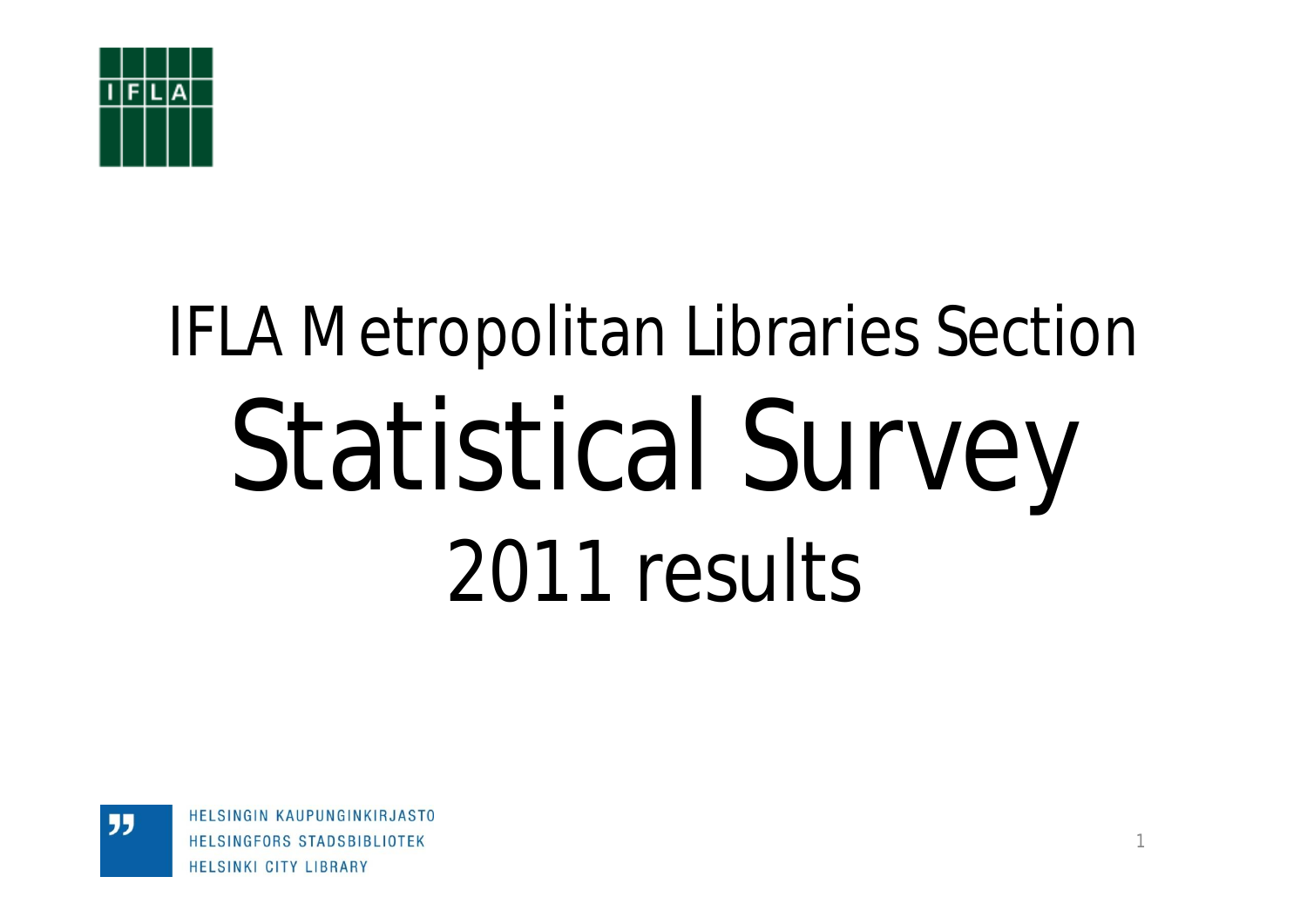

# IFLA Metropolitan Libraries Section Statistical Survey 2011 results

HELSINGIN KAUPUNGINKIRJASTO HELSINGFORS STADSBIBLIOTEK **HELSINKI CITY LIBRARY**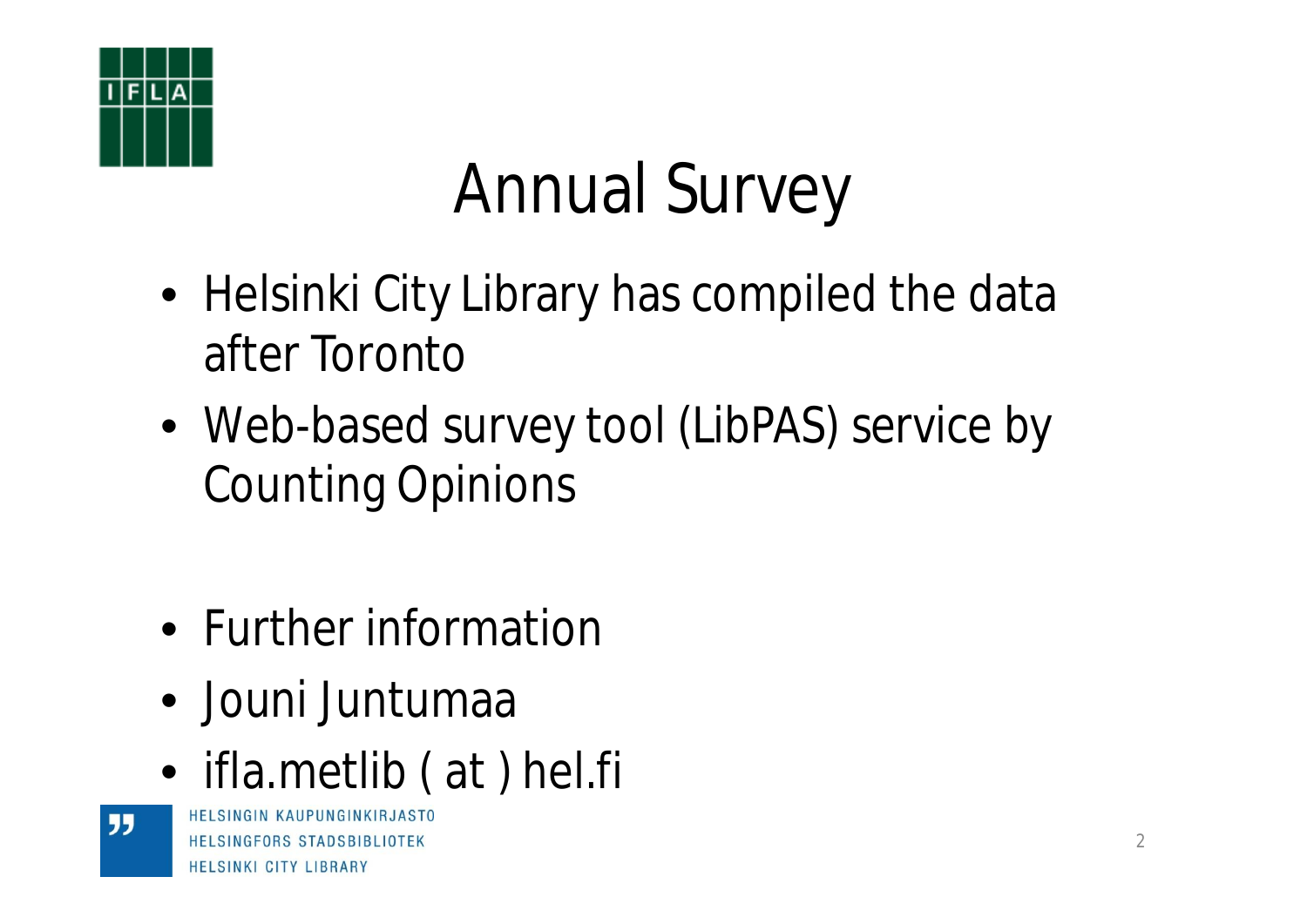

# Annual Survey

- Helsinki City Library has compiled the data after Toronto
- Web-based survey tool (LibPAS) service by Counting Opinions
- Further information
- Jouni Juntumaa
- ifla.metlib (at) hel.fi

HELSINGIN KAUPUNGINKIRJASTO HELSINGFORS STADSBIBLIOTEK **HELSINKI CITY LIBRARY**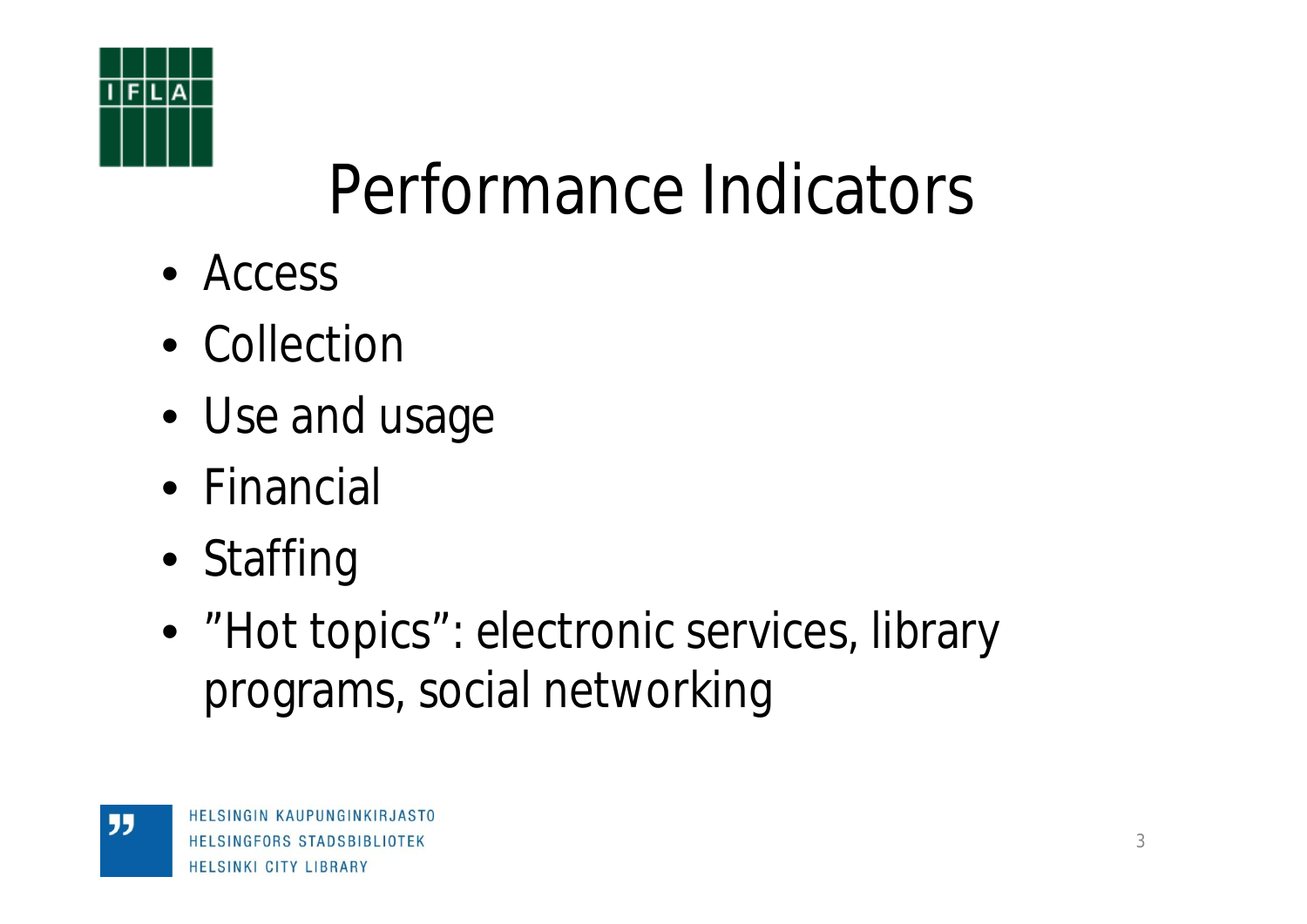

## Performance Indicators

- Access
- Collection
- Use and usage
- Financial
- Staffing
- "Hot topics": electronic services, library programs, social networking

"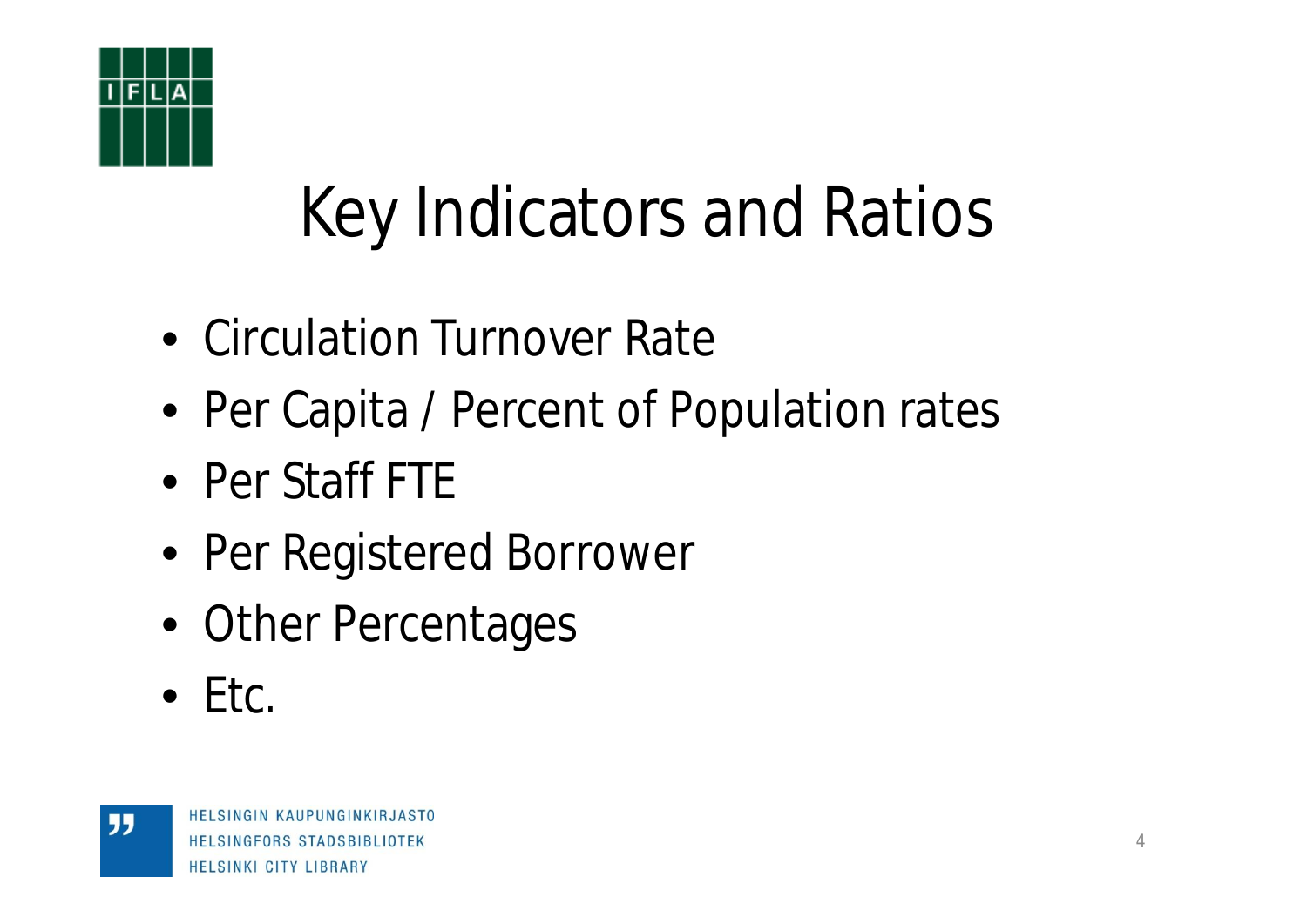

# Key Indicators and Ratios

- Circulation Turnover Rate
- Per Capita / Percent of Population rates
- Per Staff FTE
- Per Registered Borrower
- Other Percentages
- $\bullet$  Ftc.

"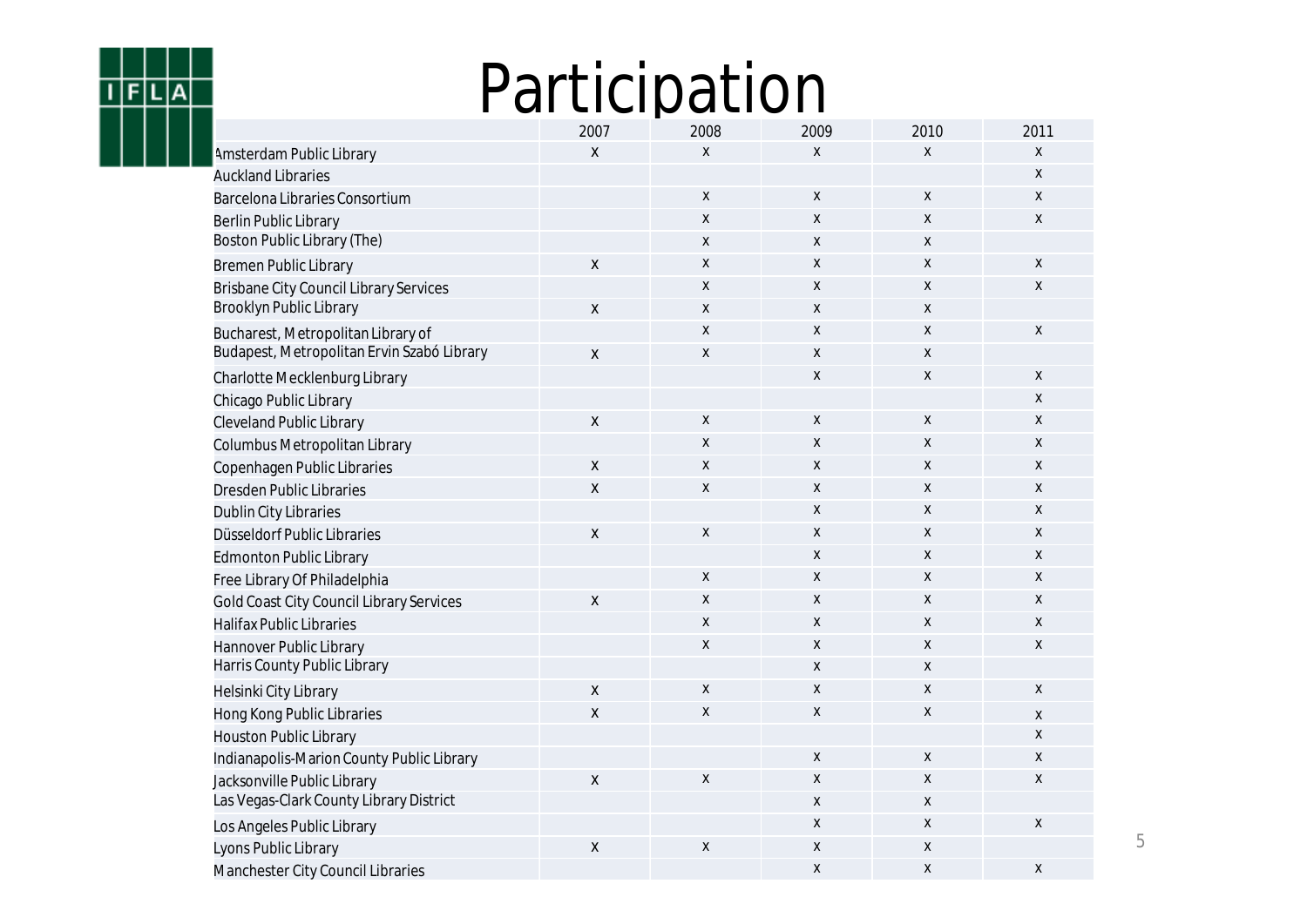## Participation

 $F|L|A$ 

ī

|                                               | 2007               | 2008               | 2009 | 2010               | 2011               |
|-----------------------------------------------|--------------------|--------------------|------|--------------------|--------------------|
| Amsterdam Public Library                      | X                  | $\mathsf{x}$       | X    | X                  | X                  |
| <b>Auckland Libraries</b>                     |                    |                    |      |                    | X                  |
| Barcelona Libraries Consortium                |                    | Χ                  | X    | X                  | X                  |
| <b>Berlin Public Library</b>                  |                    | Χ                  | Χ    | X                  | X                  |
| Boston Public Library (The)                   |                    | Χ                  | X    | X                  |                    |
| <b>Bremen Public Library</b>                  | X                  | Χ                  | X    | $\mathsf{x}$       | X                  |
| <b>Brisbane City Council Library Services</b> |                    | χ                  | X    | X                  | X                  |
| Brooklyn Public Library                       | X                  | Χ                  | X    | X                  |                    |
| Bucharest, Metropolitan Library of            |                    | Χ                  | Χ    | X                  | $\pmb{\mathsf{X}}$ |
| Budapest, Metropolitan Ervin Szabó Library    | Χ                  | X                  | Χ    | X                  |                    |
| Charlotte Mecklenburg Library                 |                    |                    | X    | X                  | X                  |
| Chicago Public Library                        |                    |                    |      |                    | X                  |
| <b>Cleveland Public Library</b>               | $\pmb{\mathsf{X}}$ | Χ                  | X    | X                  | X                  |
| Columbus Metropolitan Library                 |                    | Χ                  | Χ    | $\mathsf{x}$       | X                  |
| Copenhagen Public Libraries                   | X                  | X                  | X    | $\mathsf{x}$       | X                  |
| <b>Dresden Public Libraries</b>               | Χ                  | Χ                  | X    | X                  | X                  |
| Dublin City Libraries                         |                    |                    | X    | X                  | X                  |
| Düsseldorf Public Libraries                   | $\pmb{\mathsf{X}}$ | $\pmb{\mathsf{X}}$ | Χ    | X                  | X                  |
| <b>Edmonton Public Library</b>                |                    |                    | Χ    | $\mathsf{x}$       | X                  |
| Free Library Of Philadelphia                  |                    | X                  | X    | $\mathsf{x}$       | X                  |
| Gold Coast City Council Library Services      | X                  | Χ                  | X    | $\mathsf{x}$       | X                  |
| <b>Halifax Public Libraries</b>               |                    | X                  | Χ    | X                  | X                  |
| Hannover Public Library                       |                    | $\pmb{\mathsf{X}}$ | X    | $\mathsf{x}$       | X                  |
| Harris County Public Library                  |                    |                    | X    | $\mathsf{x}$       |                    |
| Helsinki City Library                         | Χ                  | Χ                  | X    | X                  | X                  |
| Hong Kong Public Libraries                    | Χ                  | Χ                  | X    | $\pmb{\mathsf{X}}$ | X                  |
| <b>Houston Public Library</b>                 |                    |                    |      |                    | $\pmb{\mathsf{X}}$ |
| Indianapolis-Marion County Public Library     |                    |                    | Χ    | $\pmb{\mathsf{X}}$ | X                  |
| Jacksonville Public Library                   | X                  | X                  | Χ    | $\mathsf{x}$       | X                  |
| Las Vegas-Clark County Library District       |                    |                    | Χ    | X                  |                    |
| Los Angeles Public Library                    |                    |                    | Χ    | X                  | X                  |
| Lyons Public Library                          | Χ                  | $\pmb{\mathsf{X}}$ | Χ    | $\pmb{\mathsf{X}}$ |                    |
| Manchester City Council Libraries             |                    |                    | X    | X                  | X                  |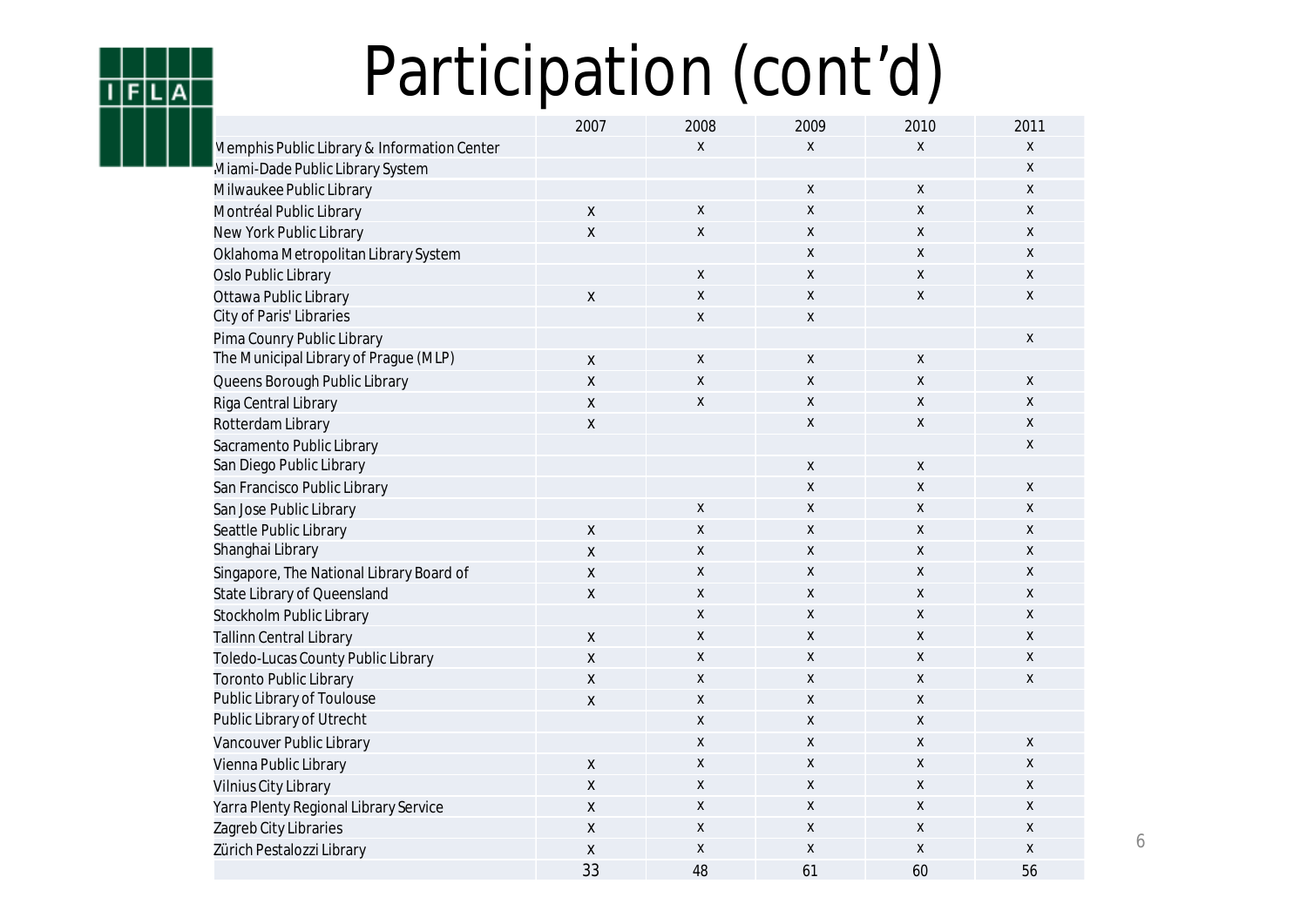## Participation (cont'd)

**FILIA** 

|                                             | 2007               | 2008               | 2009                      | 2010 | 2011 |
|---------------------------------------------|--------------------|--------------------|---------------------------|------|------|
| Memphis Public Library & Information Center |                    | X                  | $\mathsf{x}$              | X    | X    |
| Miami-Dade Public Library System            |                    |                    |                           |      | X    |
| Milwaukee Public Library                    |                    |                    | X                         | X    | X    |
| Montréal Public Library                     | X                  | $\pmb{\chi}$       | $\boldsymbol{\mathsf{X}}$ | X    | X    |
| New York Public Library                     | X                  | X                  | X                         | X    | X    |
| Oklahoma Metropolitan Library System        |                    |                    | X                         | X    | X    |
| Oslo Public Library                         |                    | X                  | X                         | X    | X    |
| Ottawa Public Library                       | $\pmb{\mathsf{X}}$ | X                  | $\mathsf{x}$              | X    | Χ    |
| City of Paris' Libraries                    |                    | $\pmb{\mathsf{X}}$ | X                         |      |      |
| Pima Counry Public Library                  |                    |                    |                           |      | Χ    |
| The Municipal Library of Prague (MLP)       | $\pmb{\chi}$       | $\pmb{\mathsf{X}}$ | $\pmb{\mathsf{X}}$        | Χ    |      |
| Queens Borough Public Library               | X                  | X                  | X                         | Χ    | X    |
| Riga Central Library                        | Χ                  | $\mathsf{X}$       | $\boldsymbol{\mathsf{X}}$ | X    | X    |
| Rotterdam Library                           | X                  |                    | X                         | Χ    | X    |
| Sacramento Public Library                   |                    |                    |                           |      | Χ    |
| San Diego Public Library                    |                    |                    | X                         | X    |      |
| San Francisco Public Library                |                    |                    | X                         | Χ    | X    |
| San Jose Public Library                     |                    | X                  | X                         | X    | X    |
| Seattle Public Library                      | X                  | $\pmb{\mathsf{X}}$ | X                         | X    | Χ    |
| Shanghai Library                            | X                  | X                  | Χ                         | Χ    | X    |
| Singapore, The National Library Board of    | X                  | X                  | X                         | X    | Χ    |
| State Library of Queensland                 | X                  | X                  | Χ                         | Χ    | X    |
| Stockholm Public Library                    |                    | X                  | Χ                         | X    | X    |
| <b>Tallinn Central Library</b>              | X                  | $\mathsf{X}$       | X                         | X    | X    |
| Toledo-Lucas County Public Library          | X                  | X                  | X                         | X    | X    |
| <b>Toronto Public Library</b>               | X                  | X                  | X                         | X    | X    |
| Public Library of Toulouse                  | Χ                  | $\mathsf{x}$       | X                         | X    |      |
| Public Library of Utrecht                   |                    | X                  | Χ                         | X    |      |
| Vancouver Public Library                    |                    | $\pmb{\mathsf{X}}$ | X                         | X    | Χ    |
| Vienna Public Library                       | X                  | $\pmb{\mathsf{X}}$ | X                         | X    | Χ    |
| Vilnius City Library                        | Χ                  | X                  | Χ                         | Χ    | Χ    |
| Yarra Plenty Regional Library Service       | $\pmb{\mathsf{X}}$ | $\pmb{\mathsf{X}}$ | Χ                         | Χ    | Χ    |
| Zagreb City Libraries                       | X                  | $\pmb{\mathsf{X}}$ | Χ                         | Χ    | X    |
| Zürich Pestalozzi Library                   | Χ                  | X                  | X                         | X    | X    |
|                                             | 33                 | 48                 | 61                        | 60   | 56   |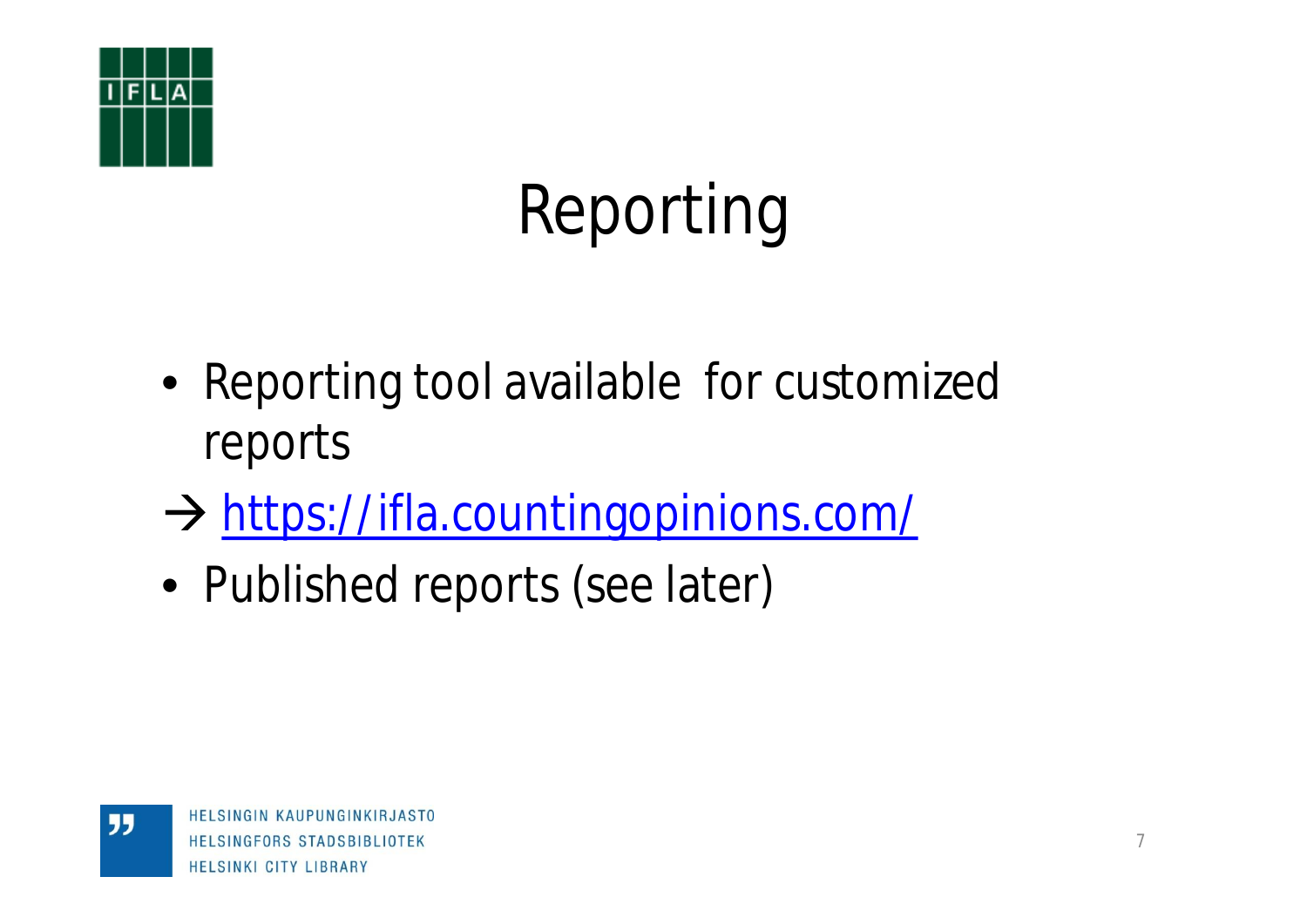

"

# Reporting

- Reporting tool available for customized reports
- $\rightarrow$  <https://ifla.countingopinions.com/>
- Published reports (see later)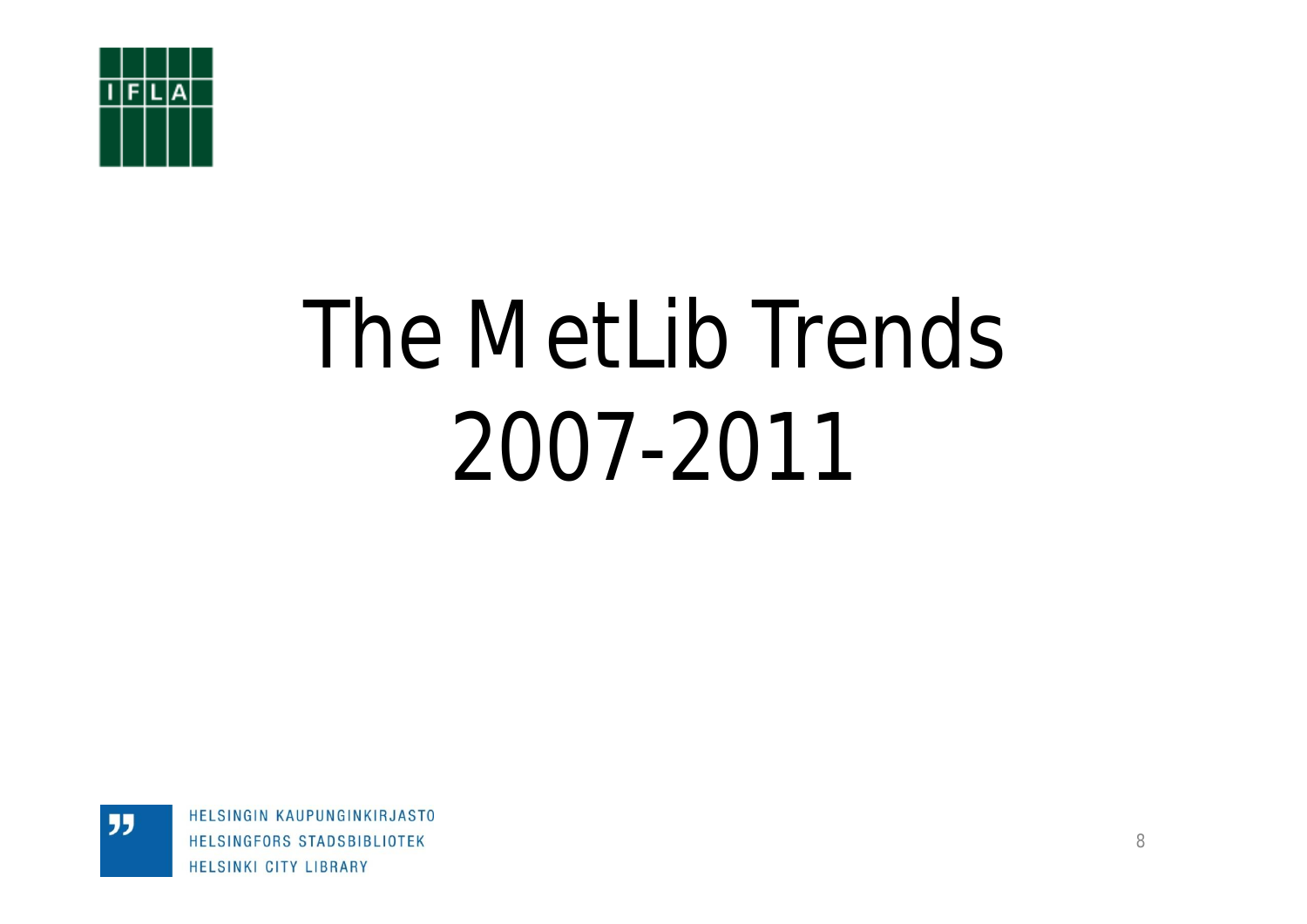

"

# The MetLib Trends 2007-2011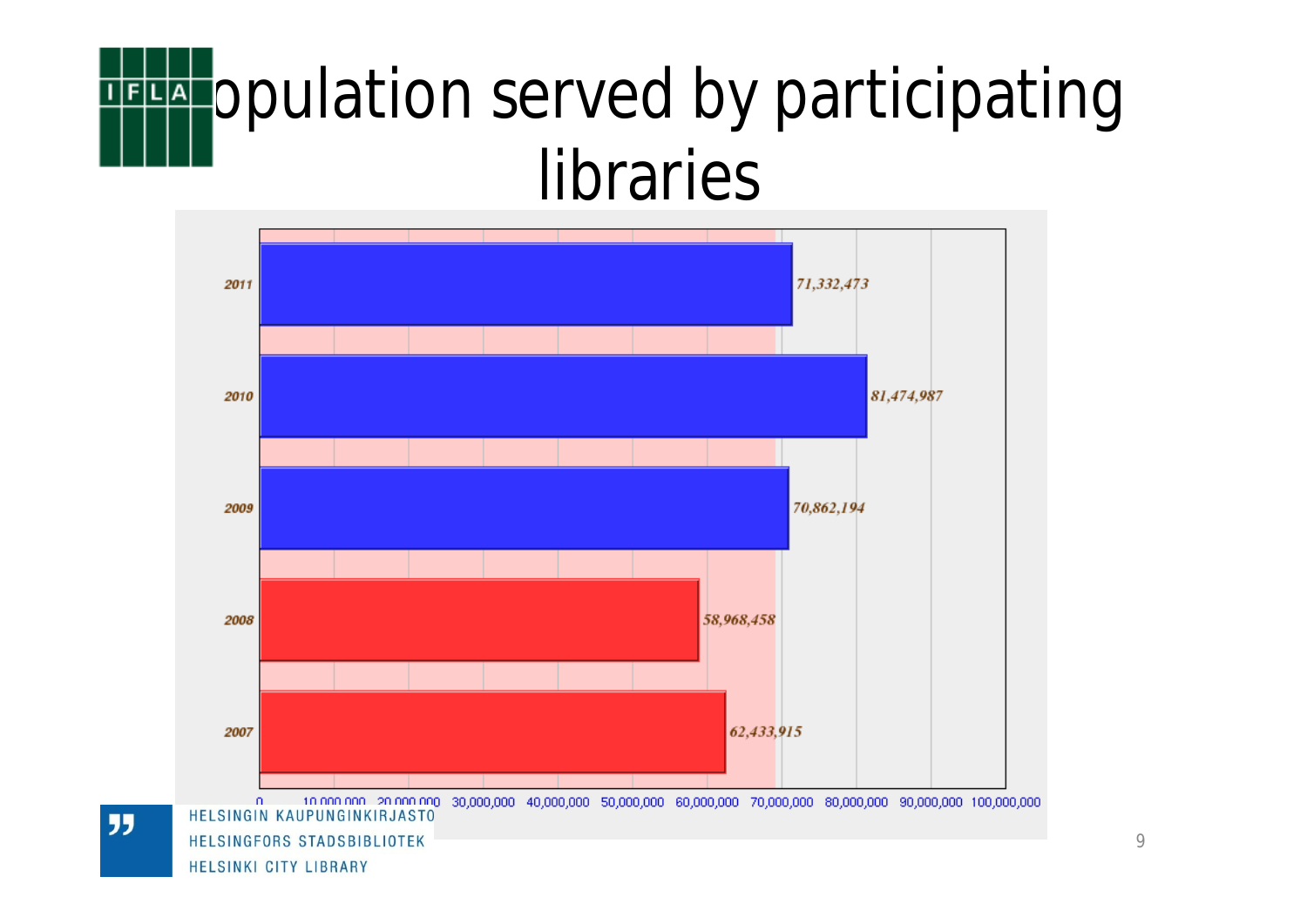# **THE Opulation served by participating** libraries



"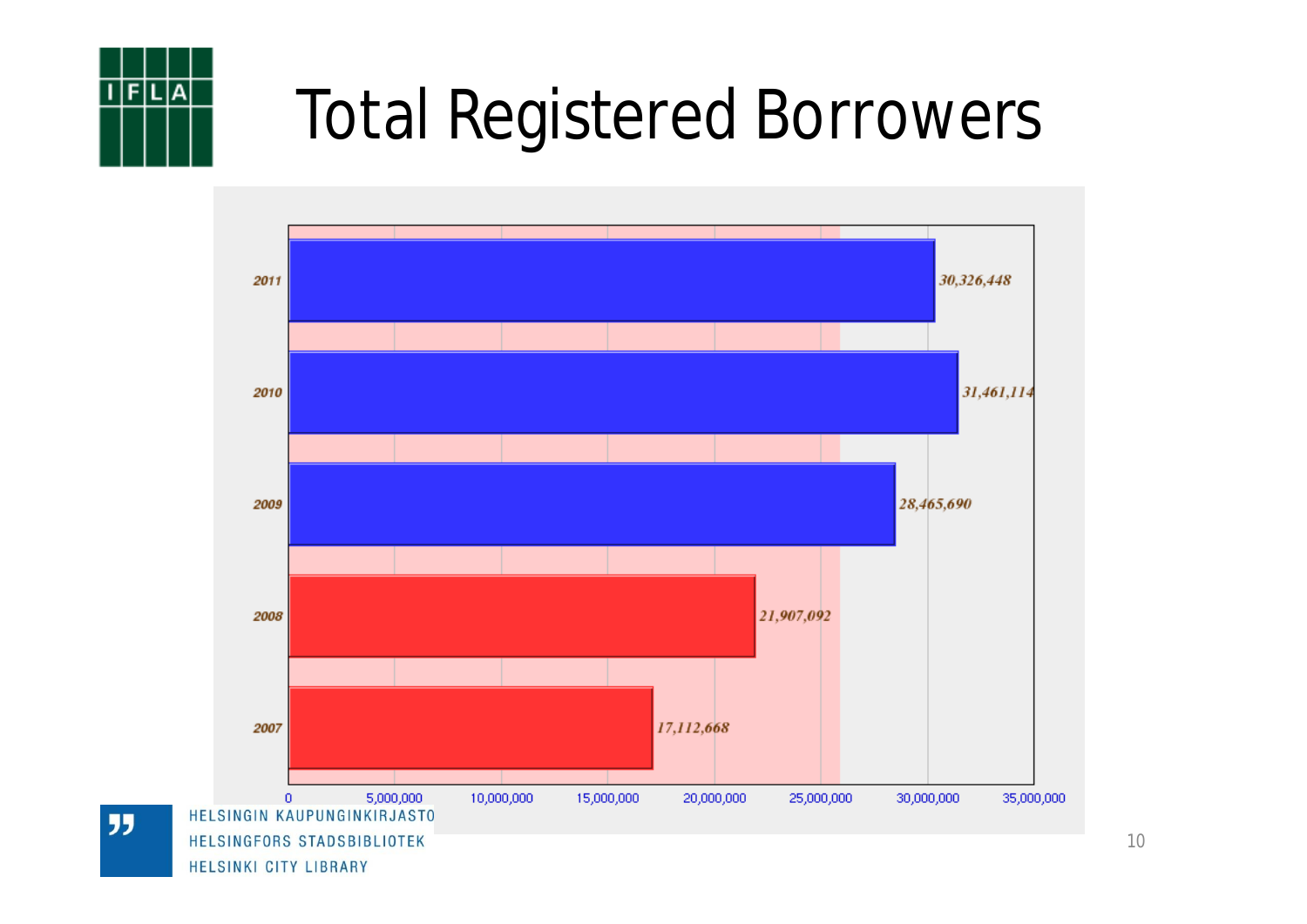![](_page_9_Picture_0.jpeg)

## Total Registered Borrowers

![](_page_9_Figure_2.jpeg)

"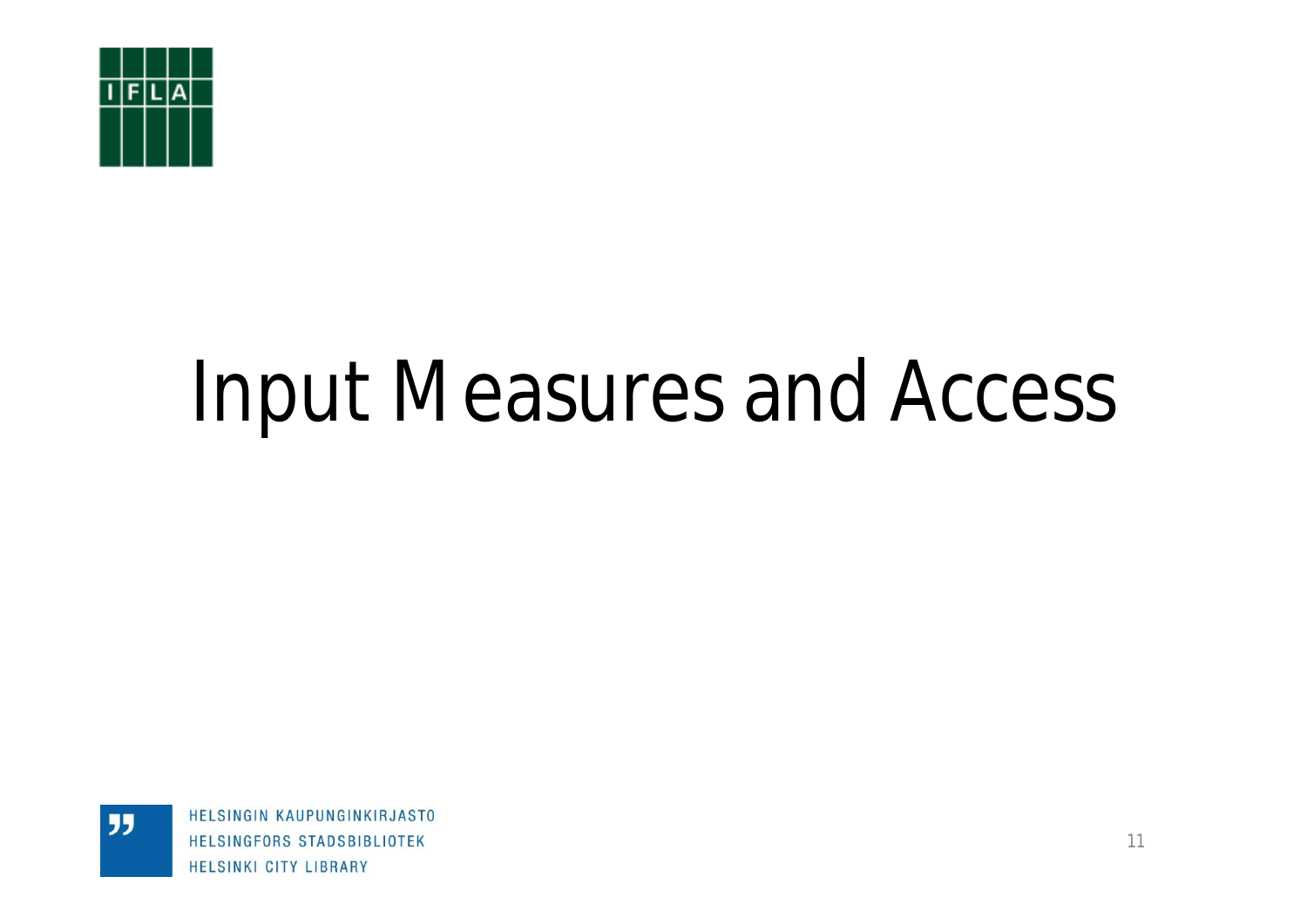![](_page_10_Picture_0.jpeg)

"

# Input Measures and Access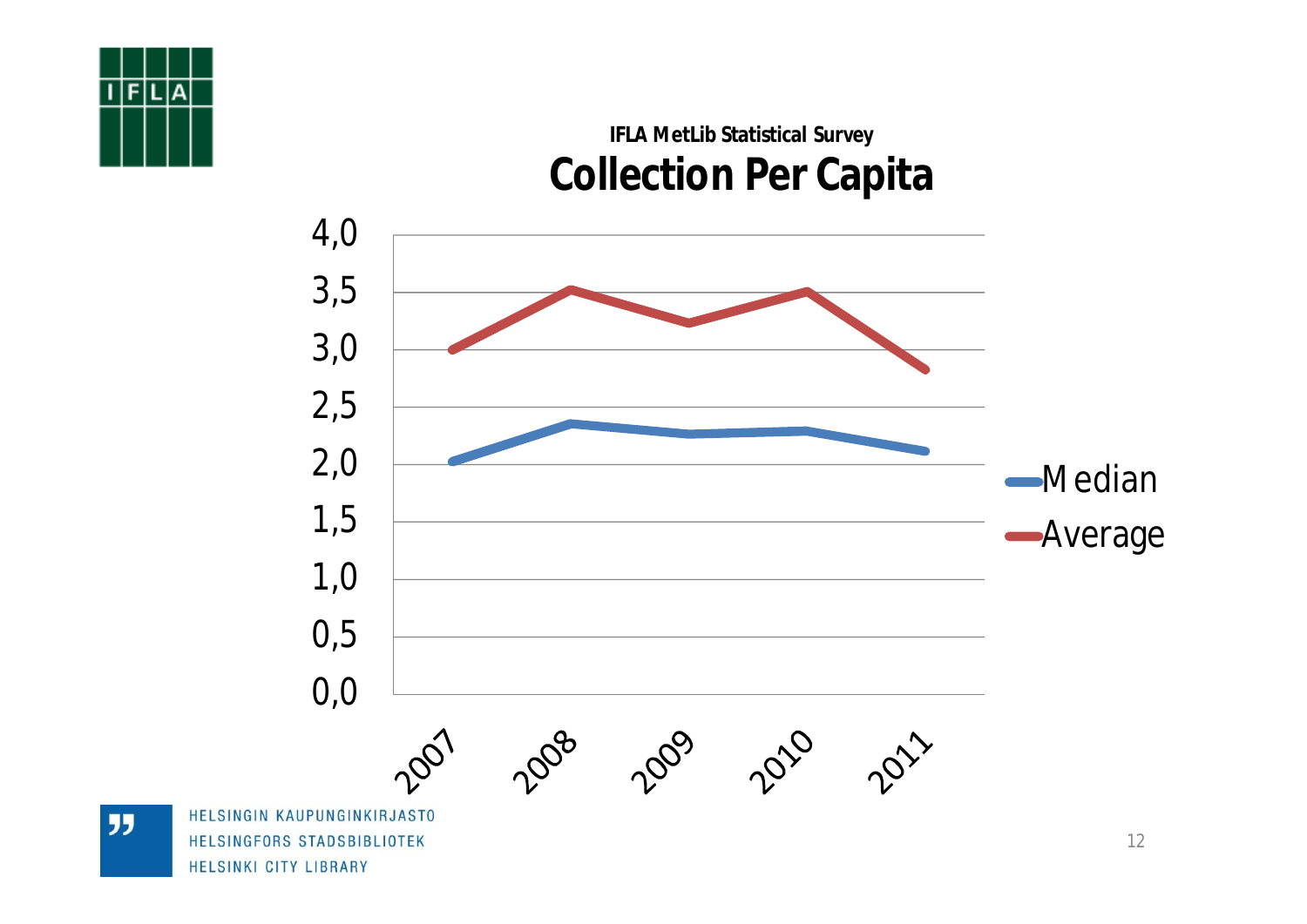![](_page_11_Figure_0.jpeg)

### **IFLA MetLib Statistical Survey Collection Per Capita**

![](_page_11_Figure_2.jpeg)

**JJ**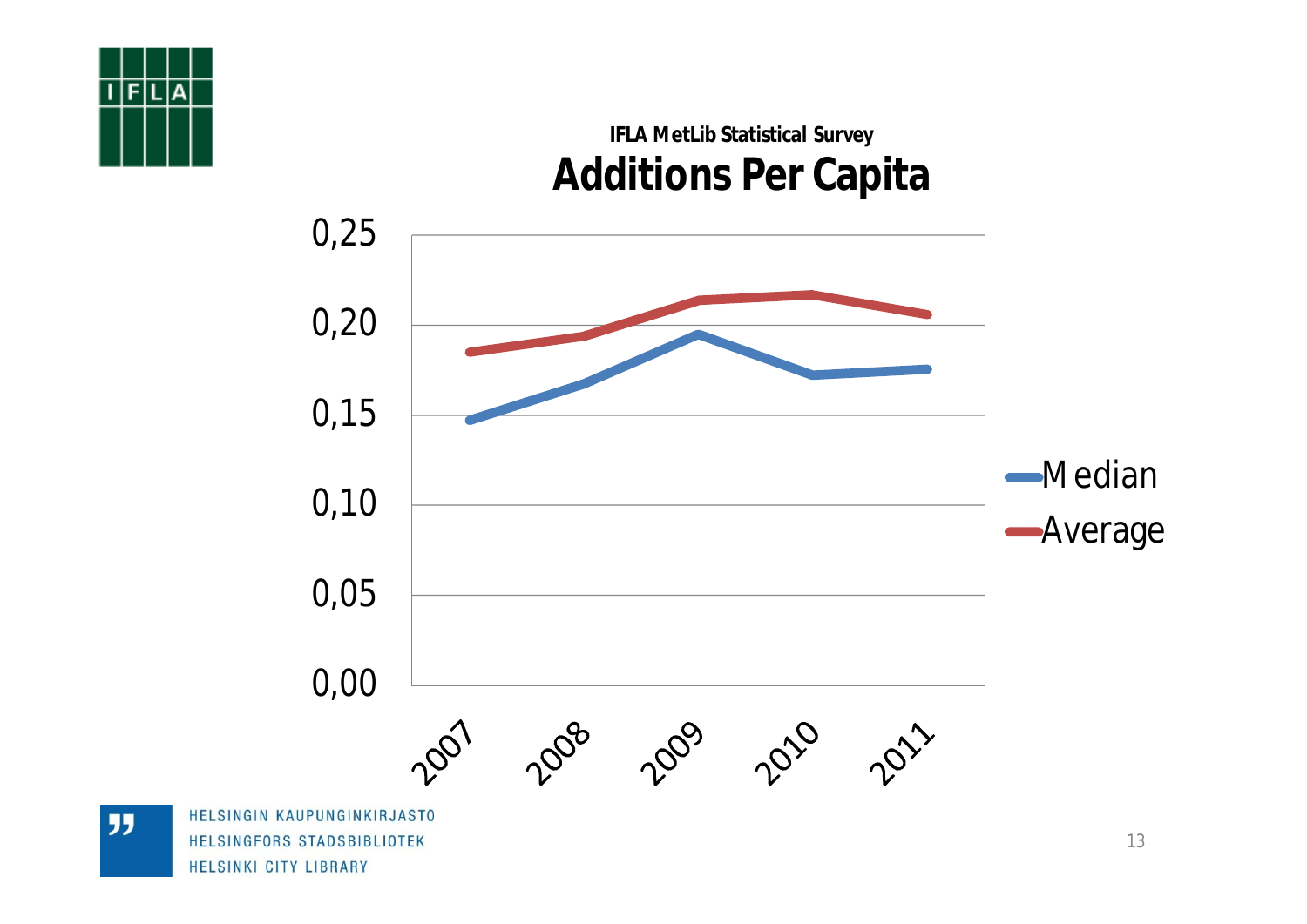![](_page_12_Figure_0.jpeg)

## **IFLA MetLib Statistical Survey Additions Per Capita**

![](_page_12_Figure_2.jpeg)

**JJ** 

HELSINKI CITY LIBRARY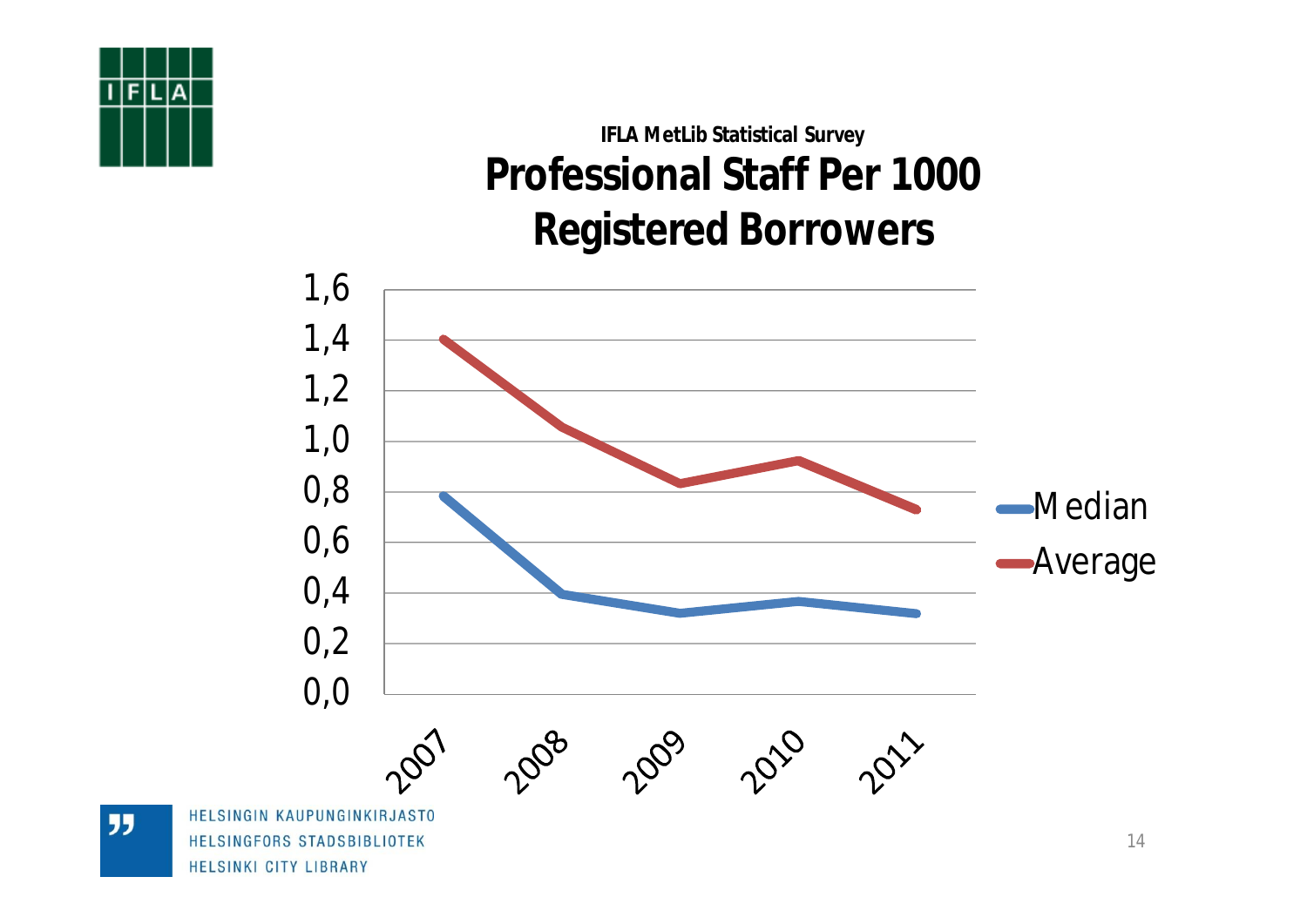## **IFLA MetLib Statistical Survey Professional Staff Per 1000 Registered Borrowers**

![](_page_13_Figure_1.jpeg)

**JJ**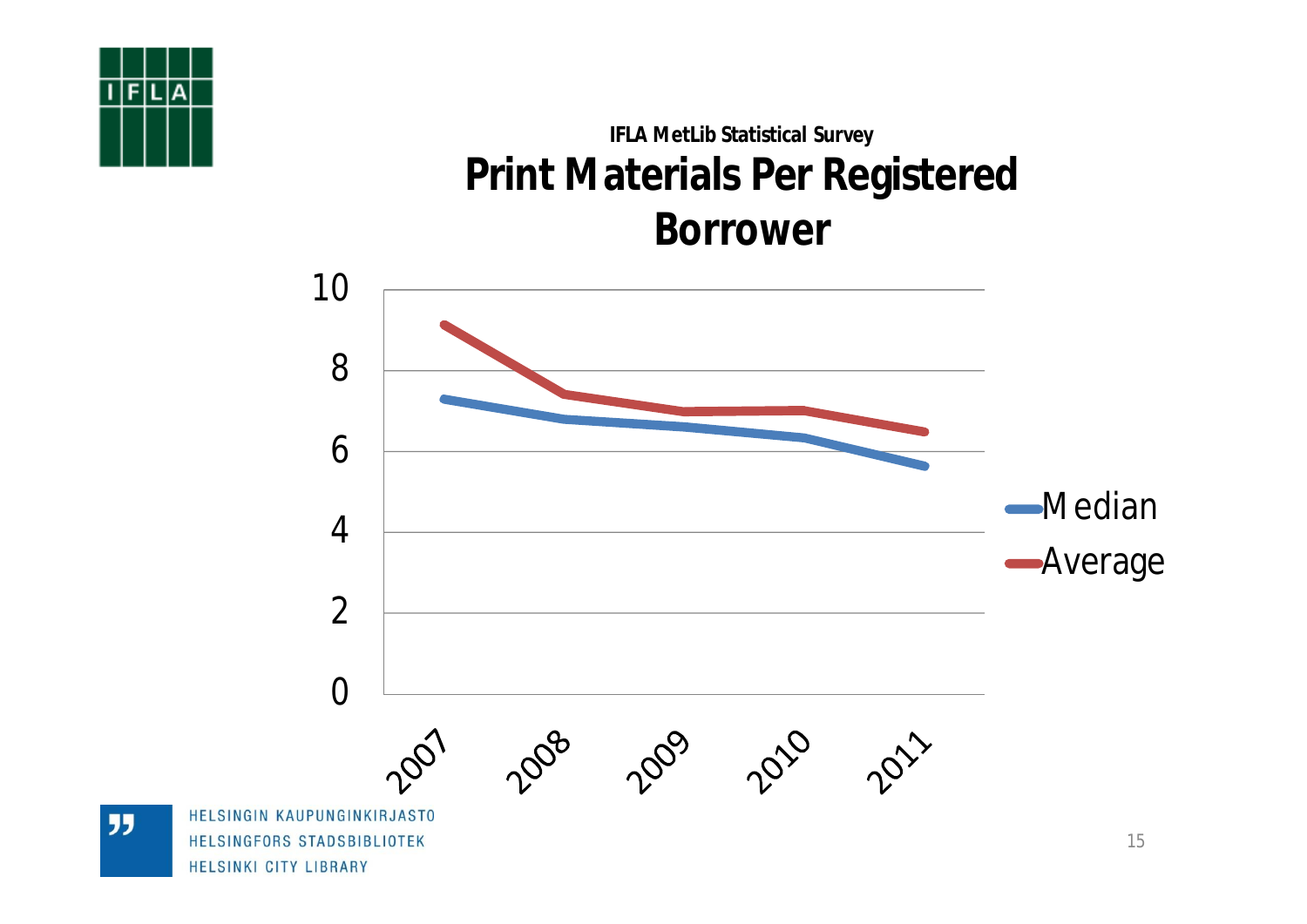## **IFLA MetLib Statistical Survey Print Materials Per Registered Borrower**

![](_page_14_Figure_1.jpeg)

**JJ**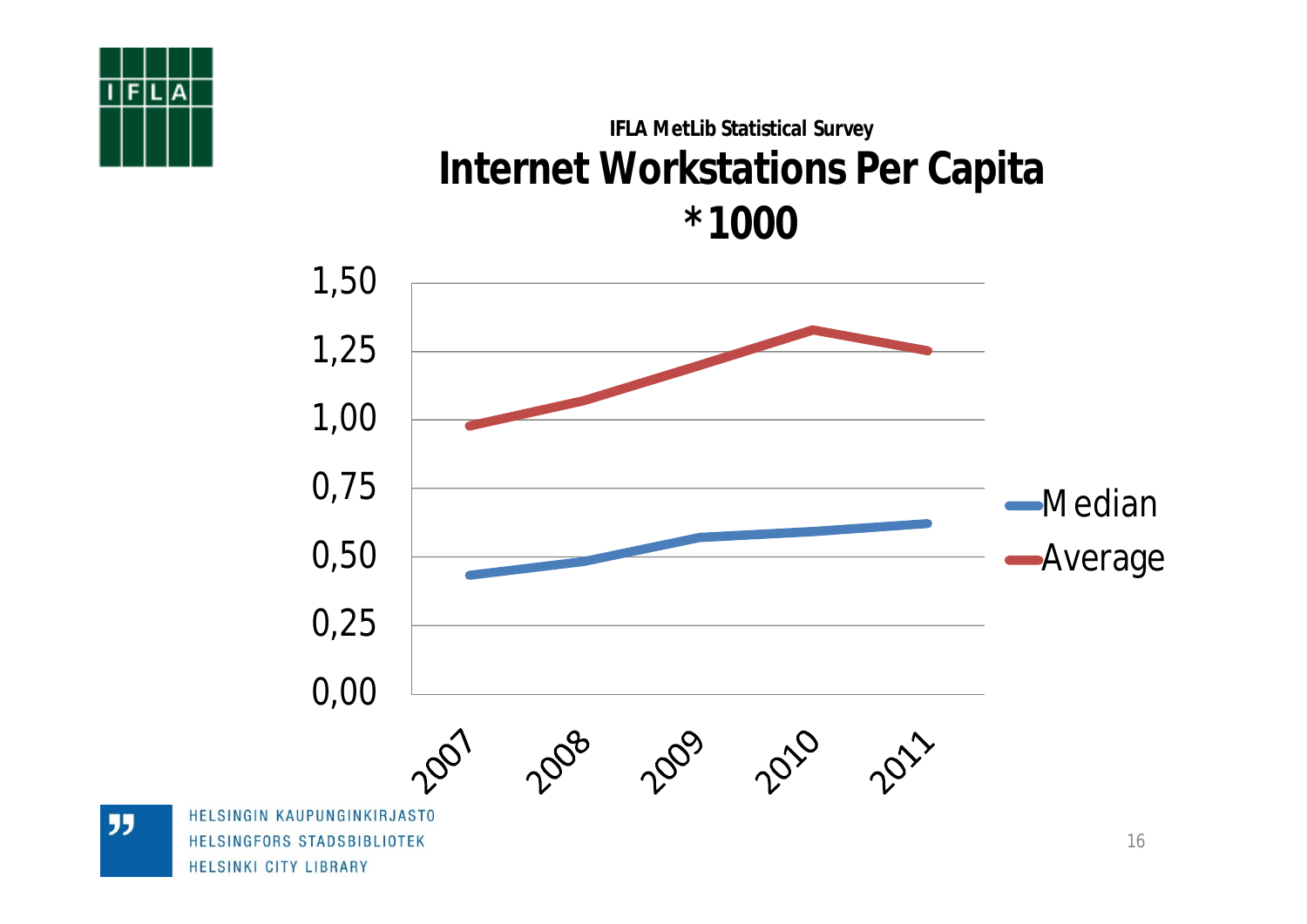### **IFLA MetLib Statistical Survey Internet Workstations Per Capita \*1000**

![](_page_15_Figure_1.jpeg)

![](_page_15_Figure_2.jpeg)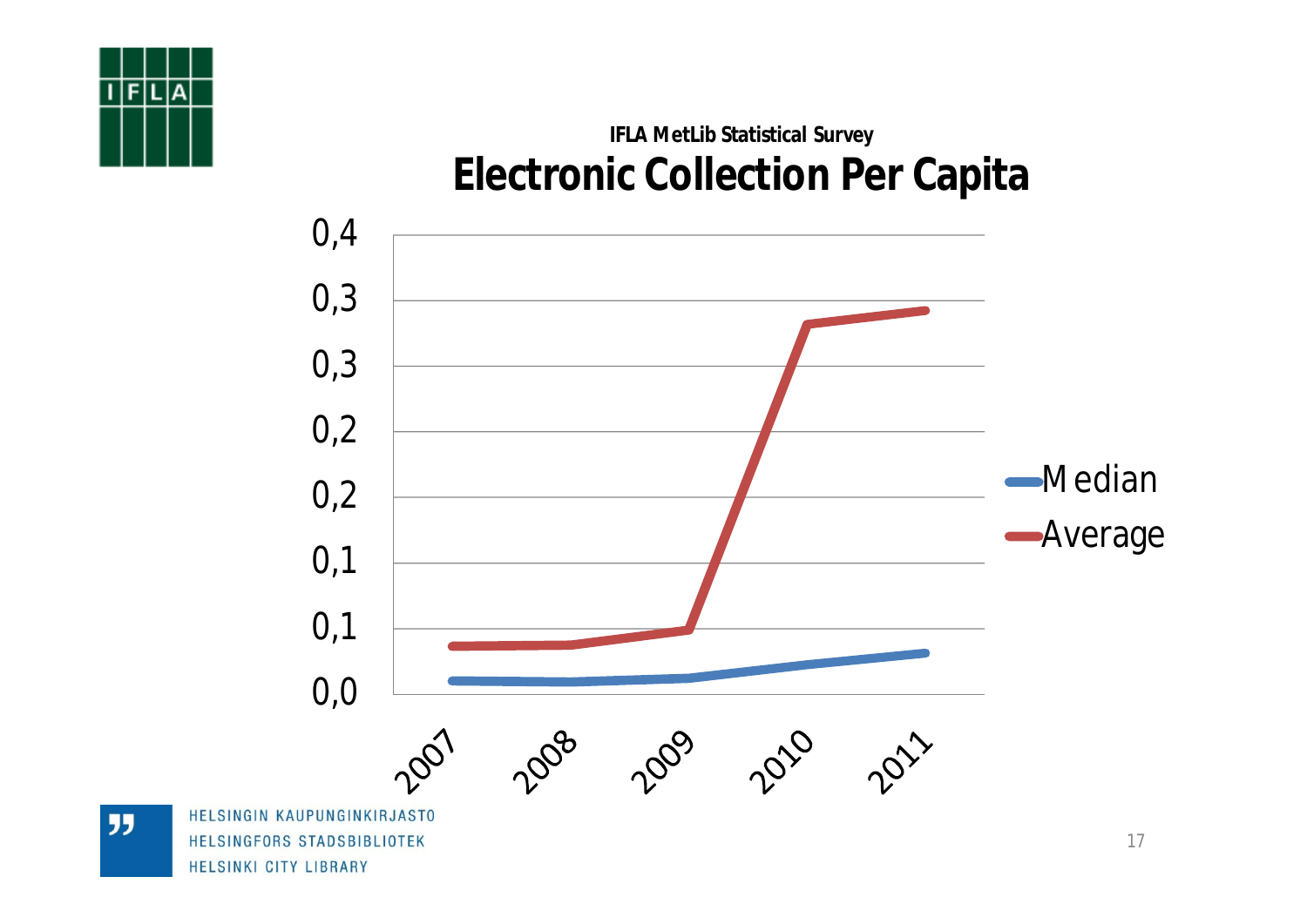![](_page_16_Picture_0.jpeg)

### **IFLA MetLib Statistical Survey Electronic Collection Per Capita**

![](_page_16_Figure_2.jpeg)

**JJ** 

HELSINGFORS STADSBIBLIOTEK HELSINKI CITY LIBRARY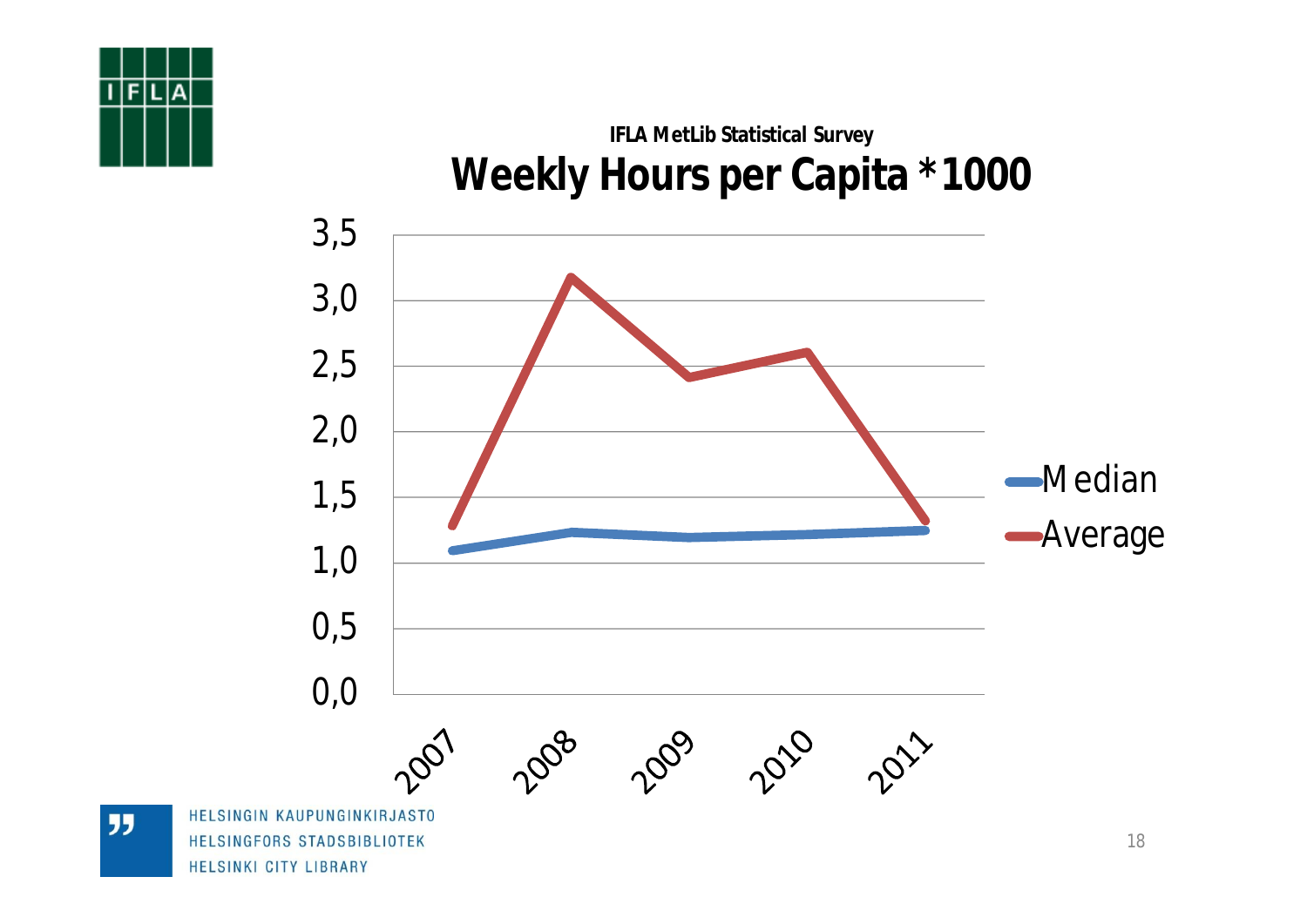![](_page_17_Picture_0.jpeg)

### **IFLA MetLib Statistical Survey Weekly Hours per Capita \*1000**

![](_page_17_Figure_2.jpeg)

**JJ** 

HELSINKI CITY LIBRARY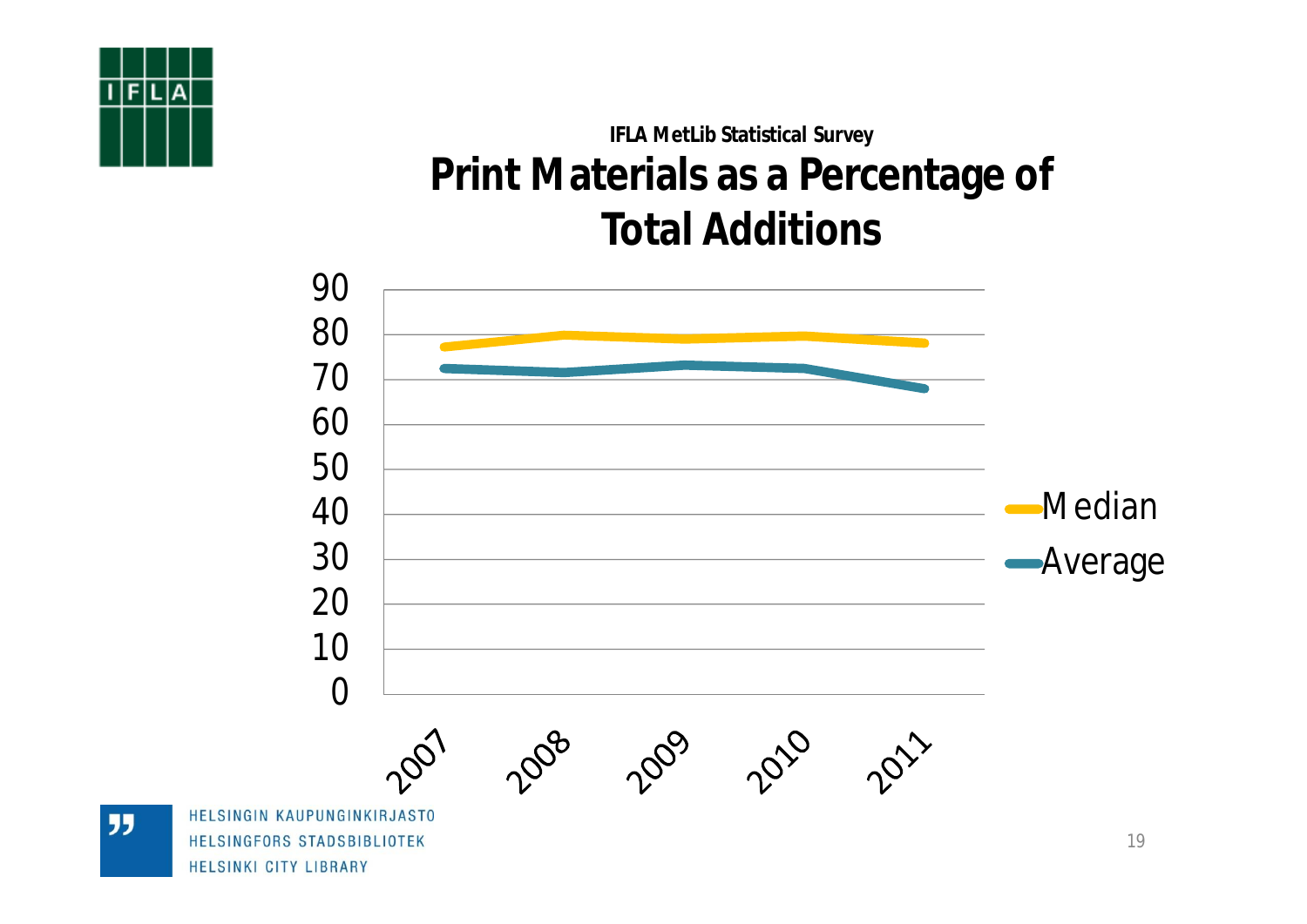## **IFLA MetLib Statistical Survey Print Materials as a Percentage of Total Additions**

![](_page_18_Figure_1.jpeg)

![](_page_18_Figure_2.jpeg)

"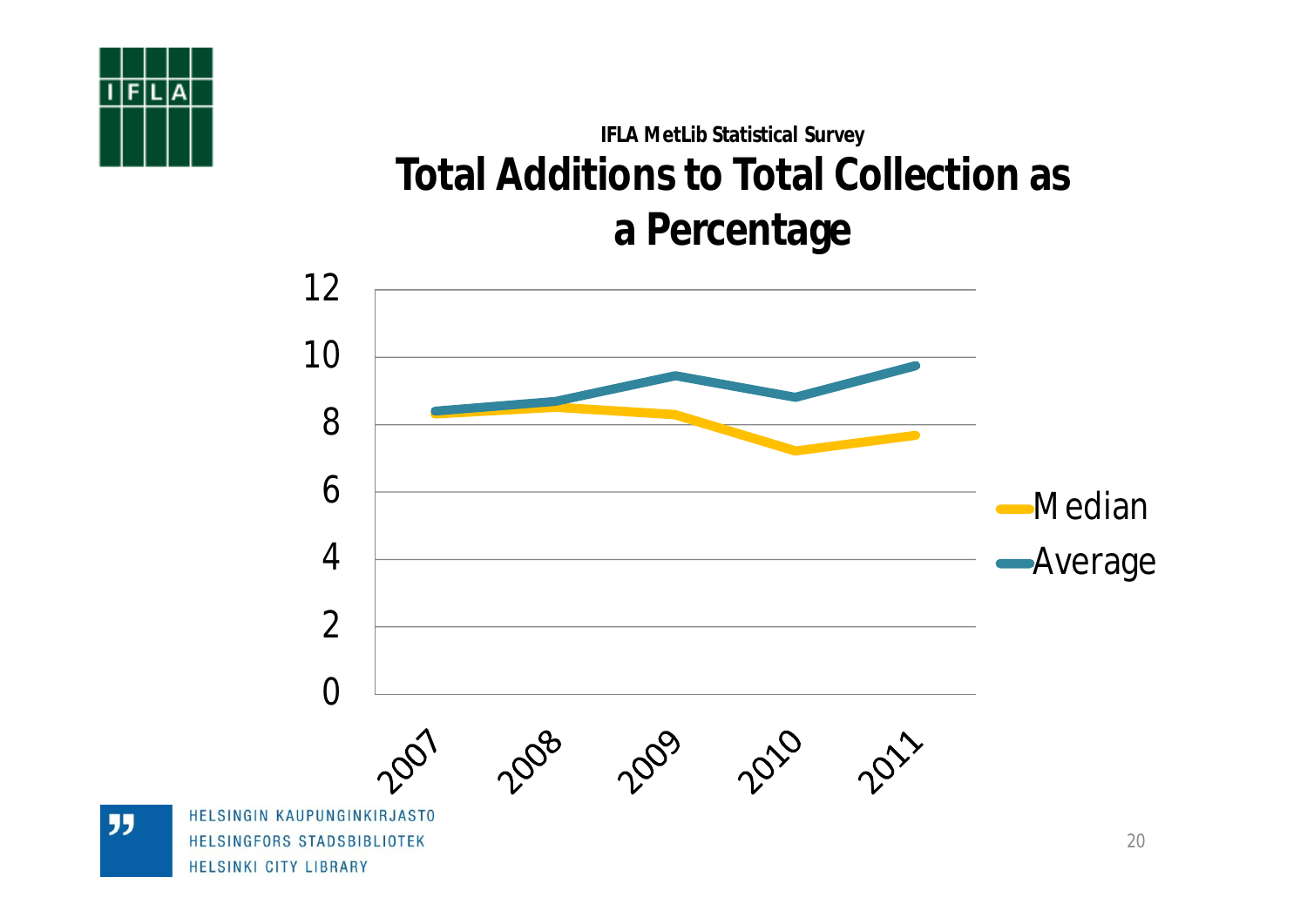## **IFLA MetLib Statistical Survey Total Additions to Total Collection as a Percentage**

![](_page_19_Figure_1.jpeg)

**JJ**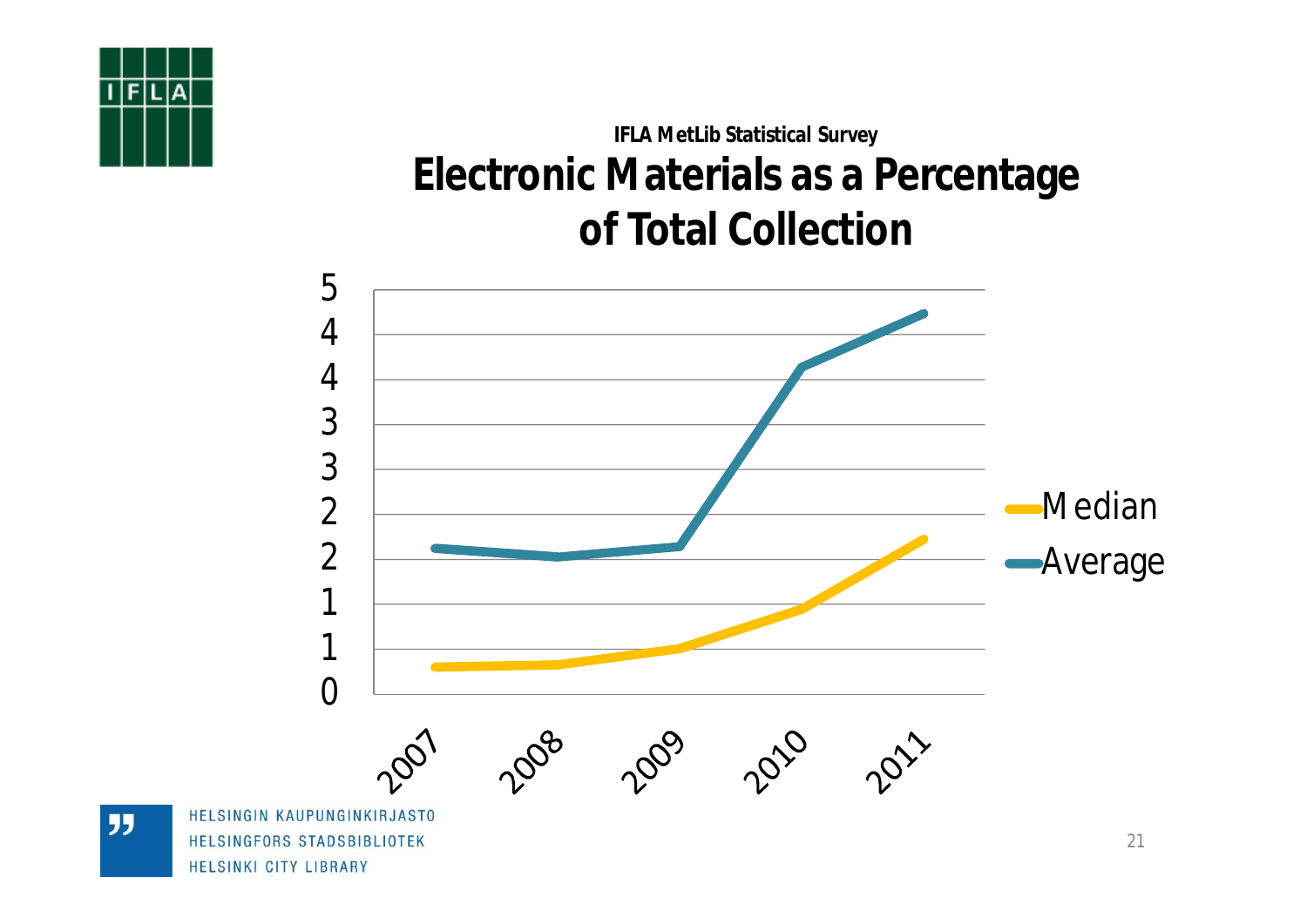## **IFLA MetLib Statistical Survey Electronic Materials as a Percentage of Total Collection**

![](_page_20_Figure_1.jpeg)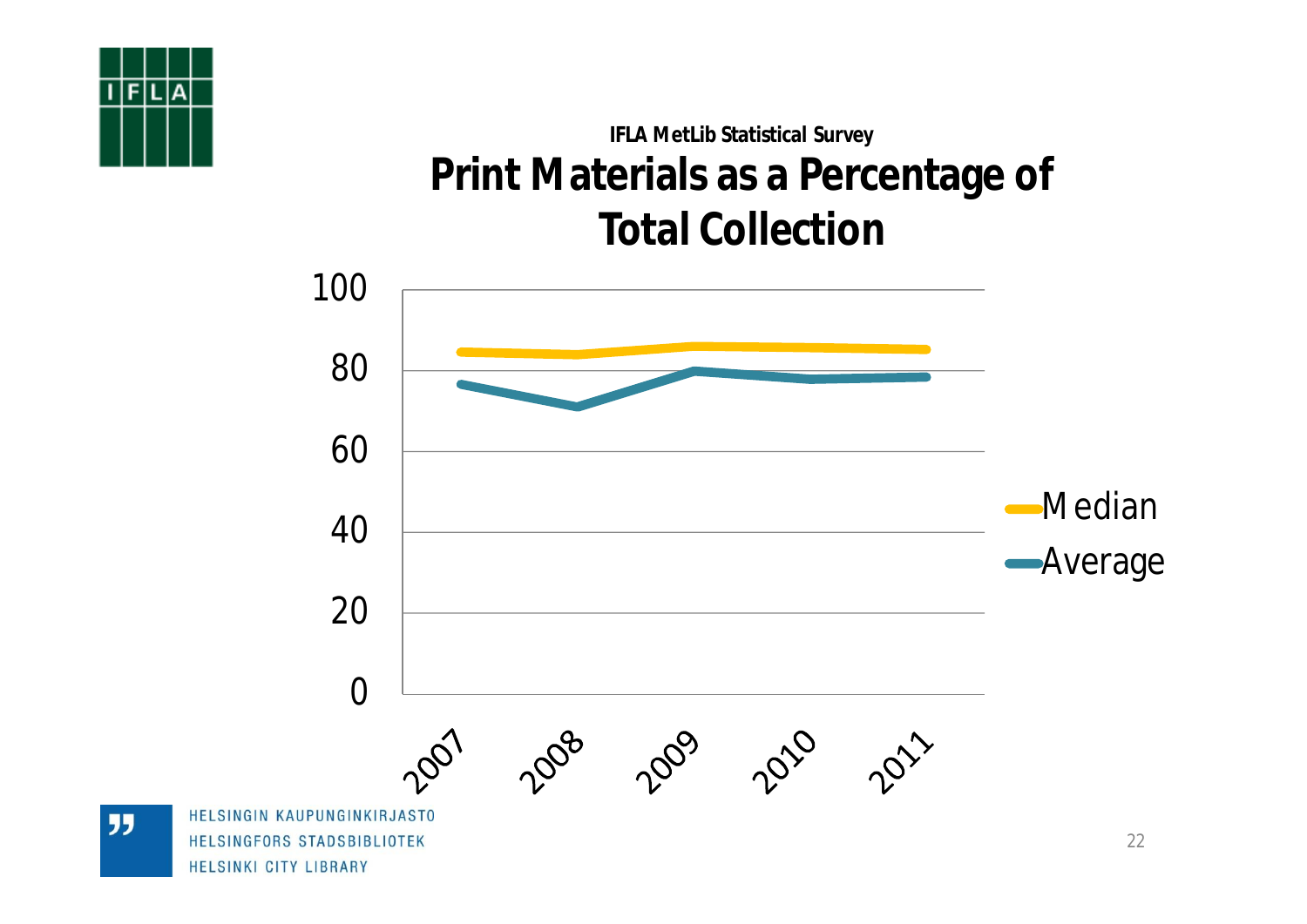![](_page_21_Picture_0.jpeg)

## **IFLA MetLib Statistical Survey Print Materials as a Percentage of Total Collection**

![](_page_21_Figure_2.jpeg)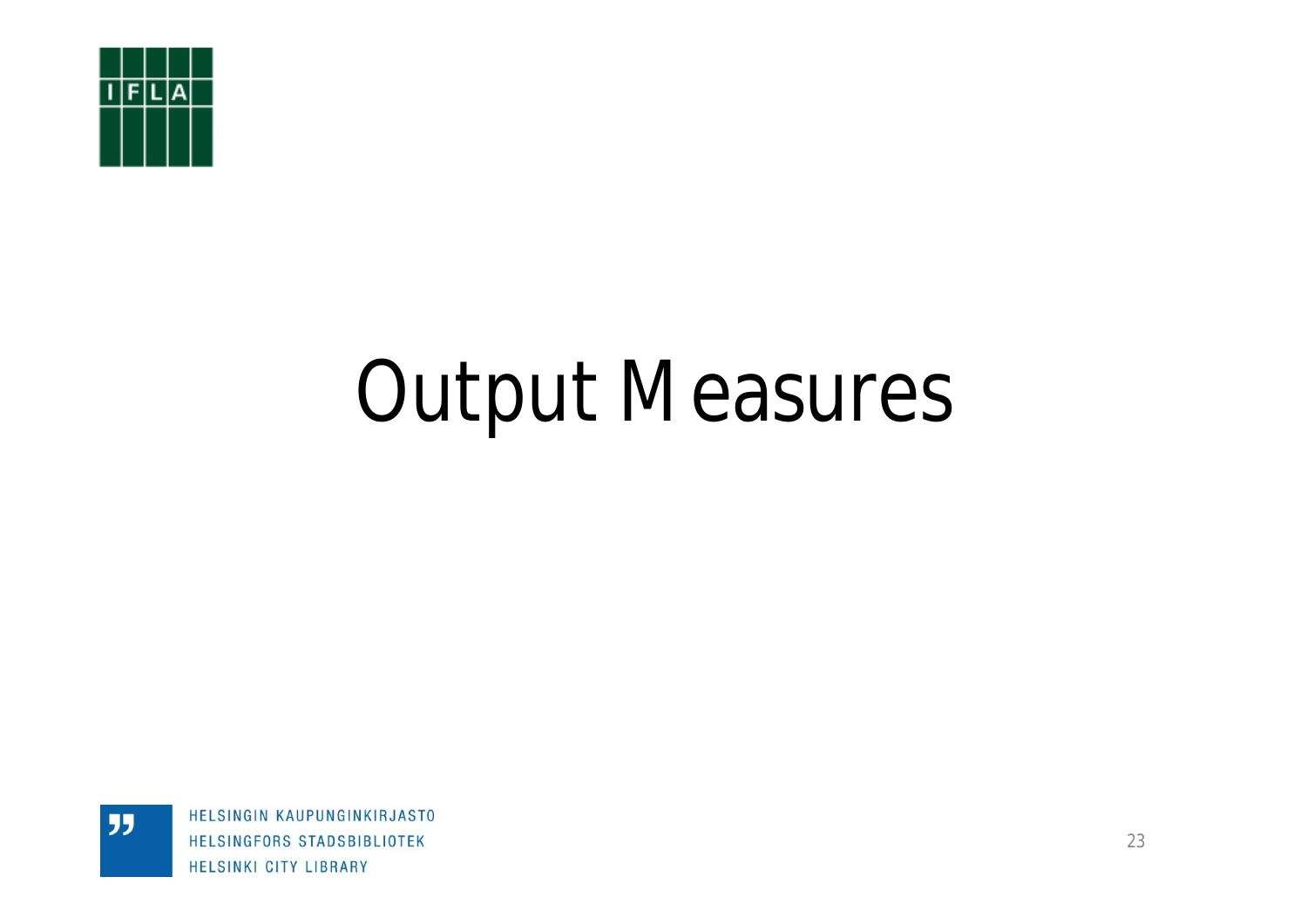![](_page_22_Picture_0.jpeg)

"

# Output Measures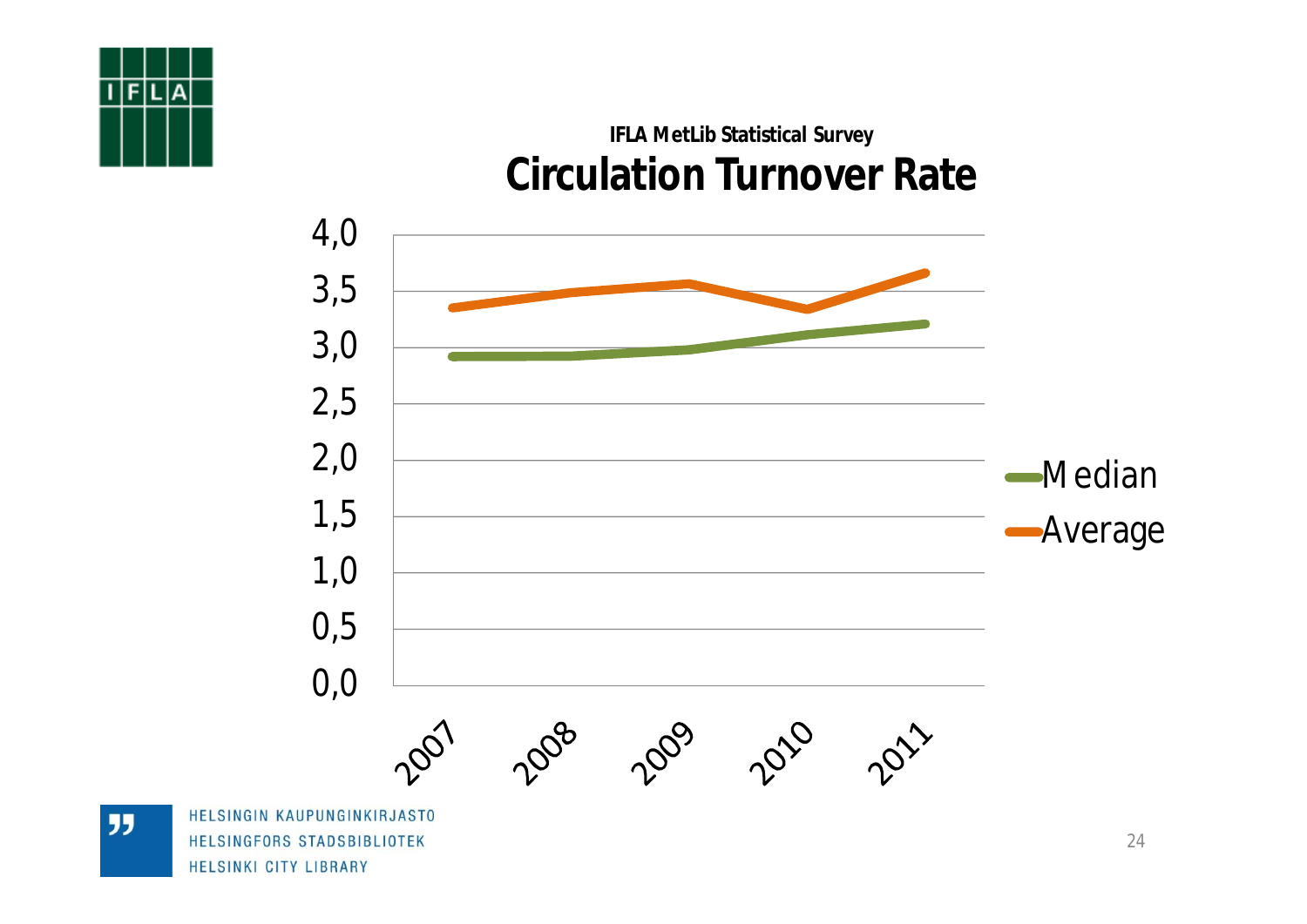![](_page_23_Picture_0.jpeg)

### **IFLA MetLib Statistical Survey Circulation Turnover Rate**

![](_page_23_Figure_2.jpeg)

**JJ** 

HELSINGFORS STADSBIBLIOTEK HELSINKI CITY LIBRARY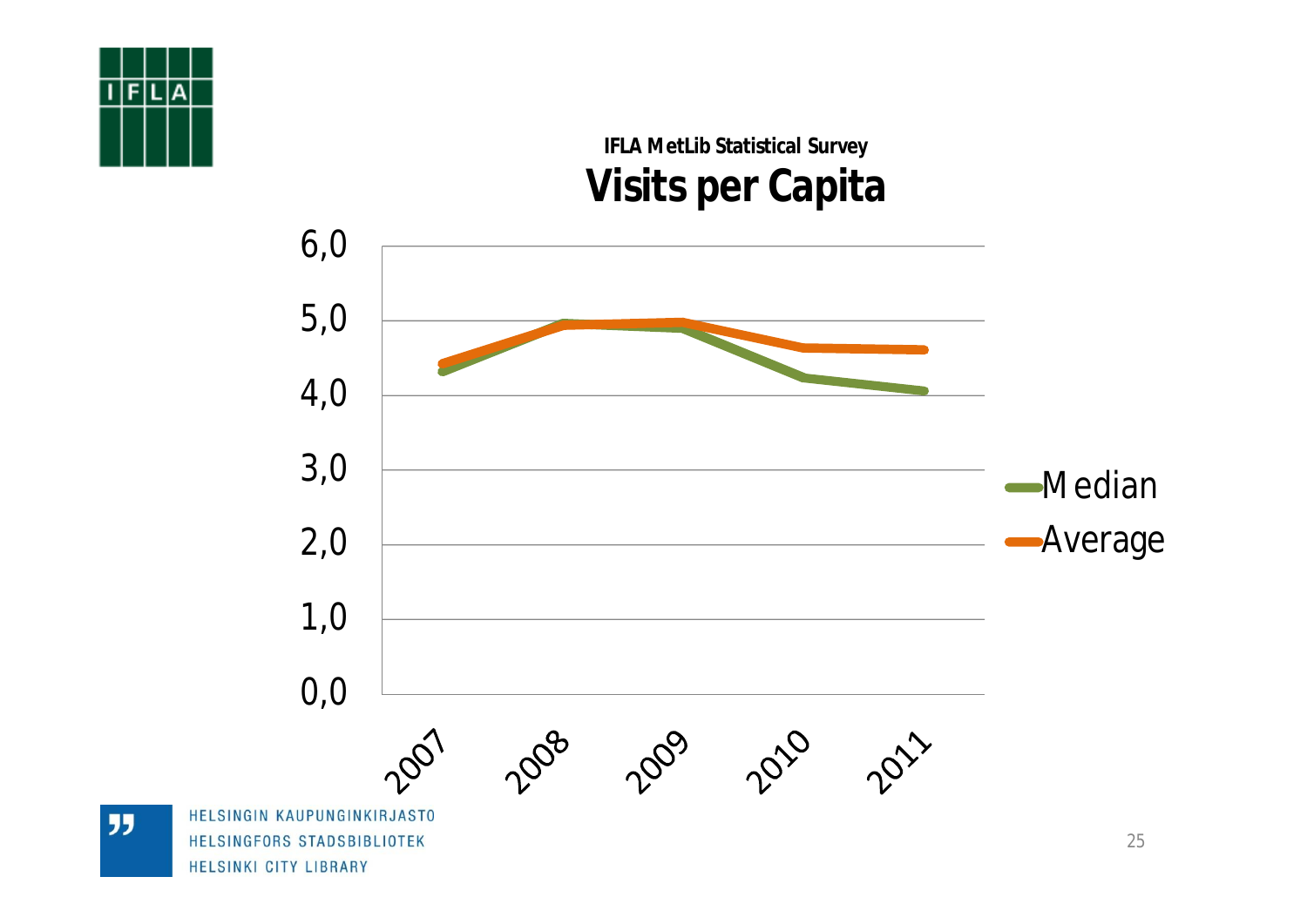![](_page_24_Figure_0.jpeg)

### **IFLA MetLib Statistical Survey Visits per Capita**

![](_page_24_Figure_2.jpeg)

**JJ**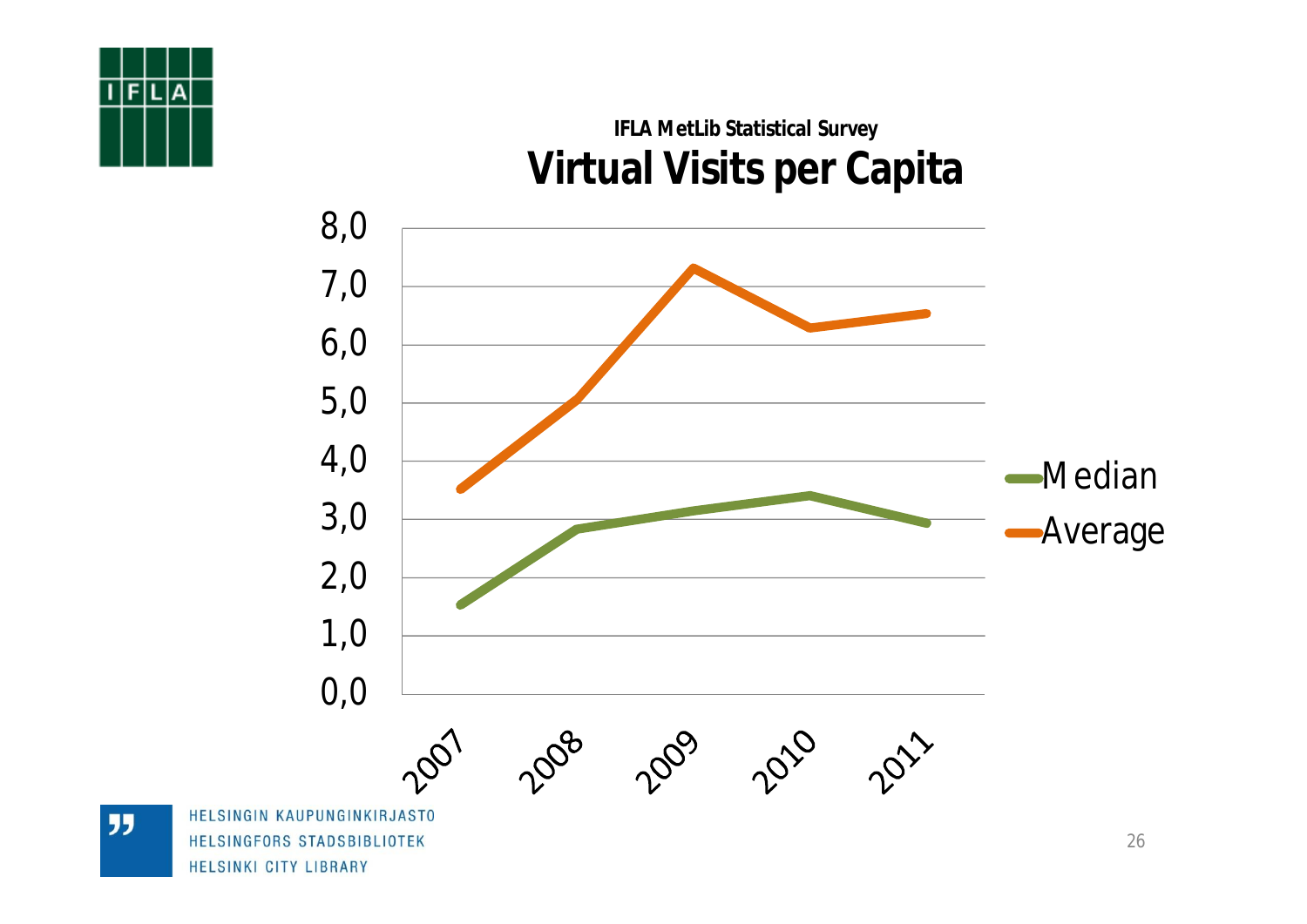![](_page_25_Figure_0.jpeg)

## 6,0 7,0 8,0 **IFLA MetLib Statistical Survey Virtual Visits per Capita**

![](_page_25_Figure_2.jpeg)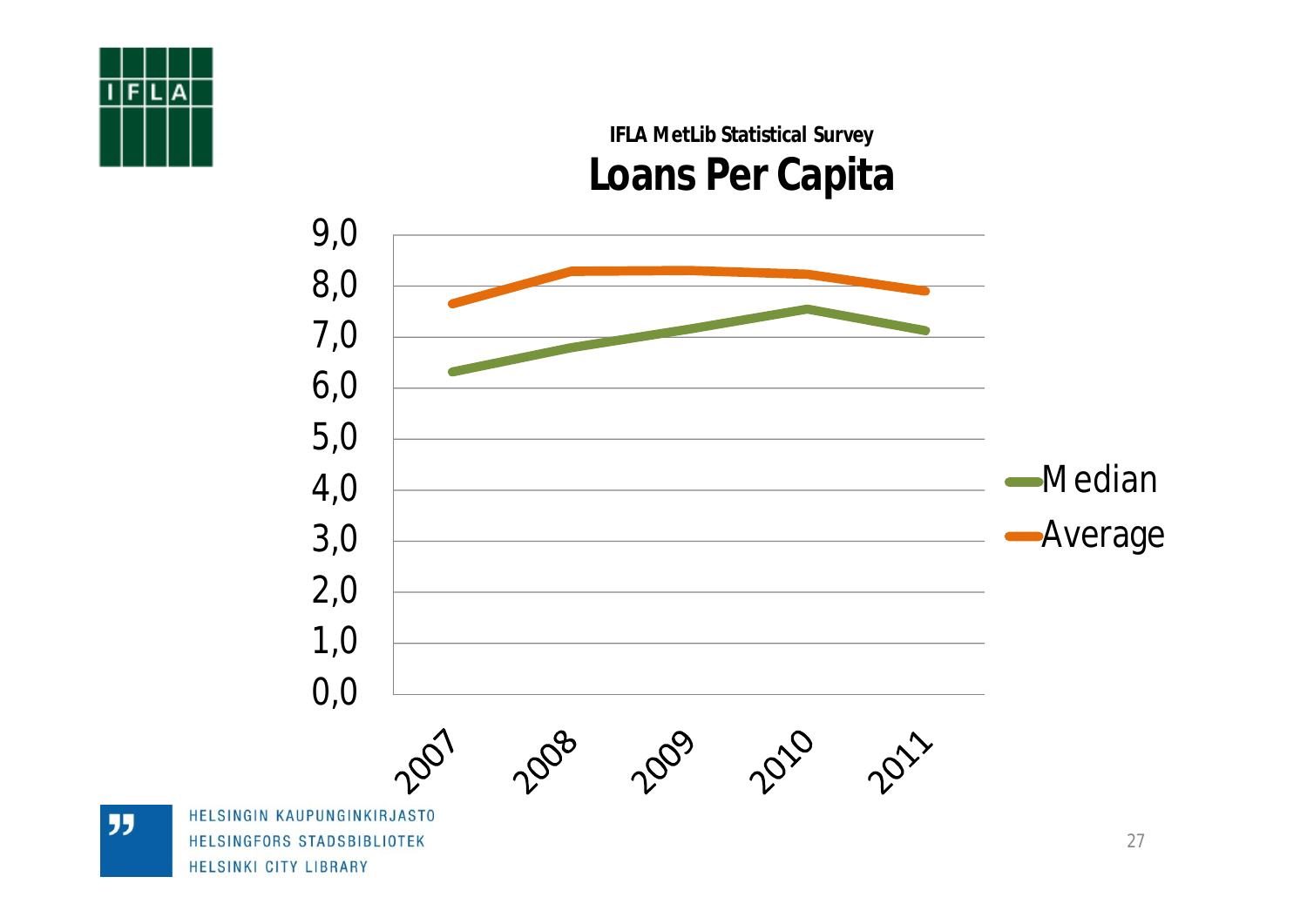![](_page_26_Figure_0.jpeg)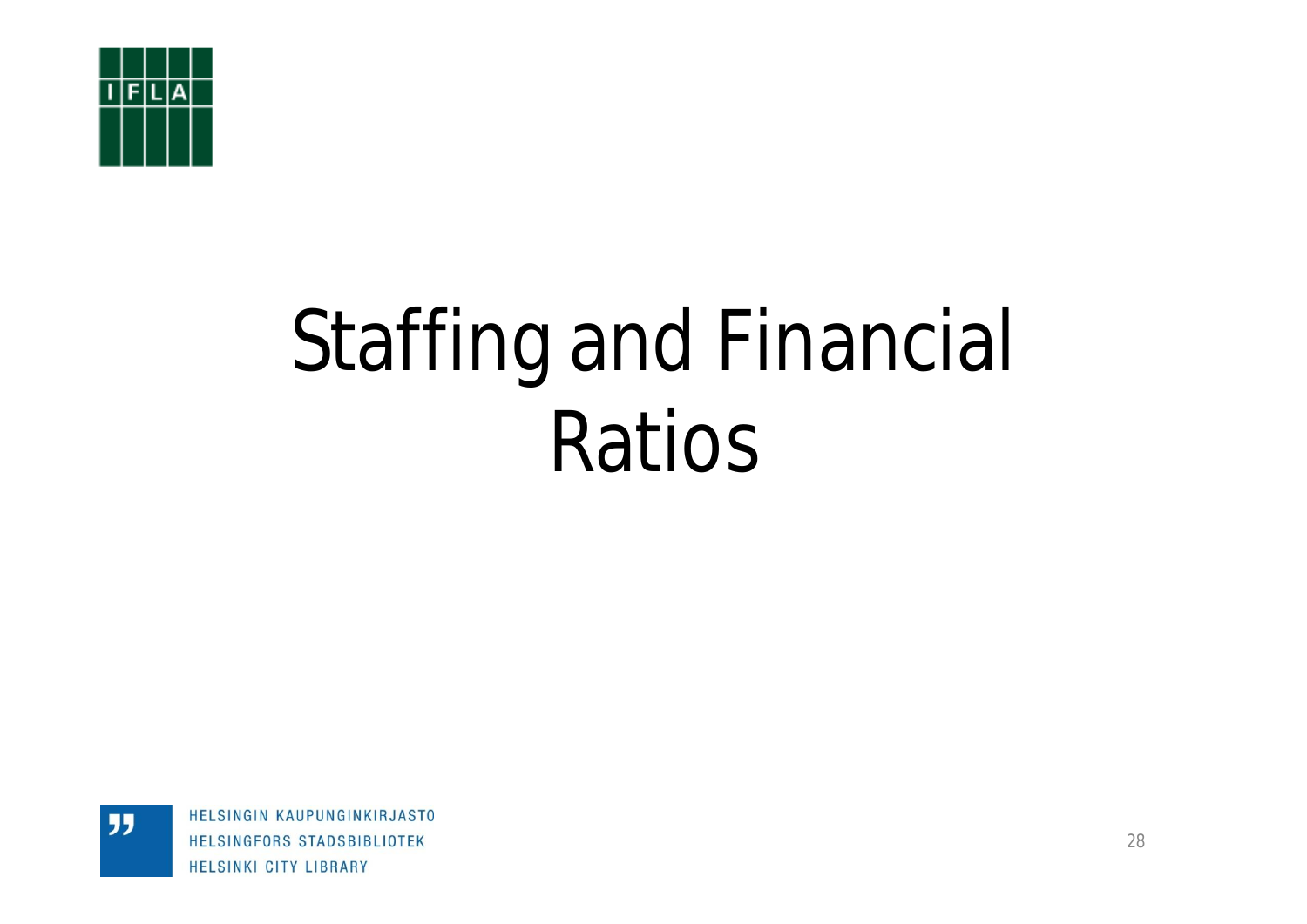![](_page_27_Picture_0.jpeg)

"

# Staffing and Financial Ratios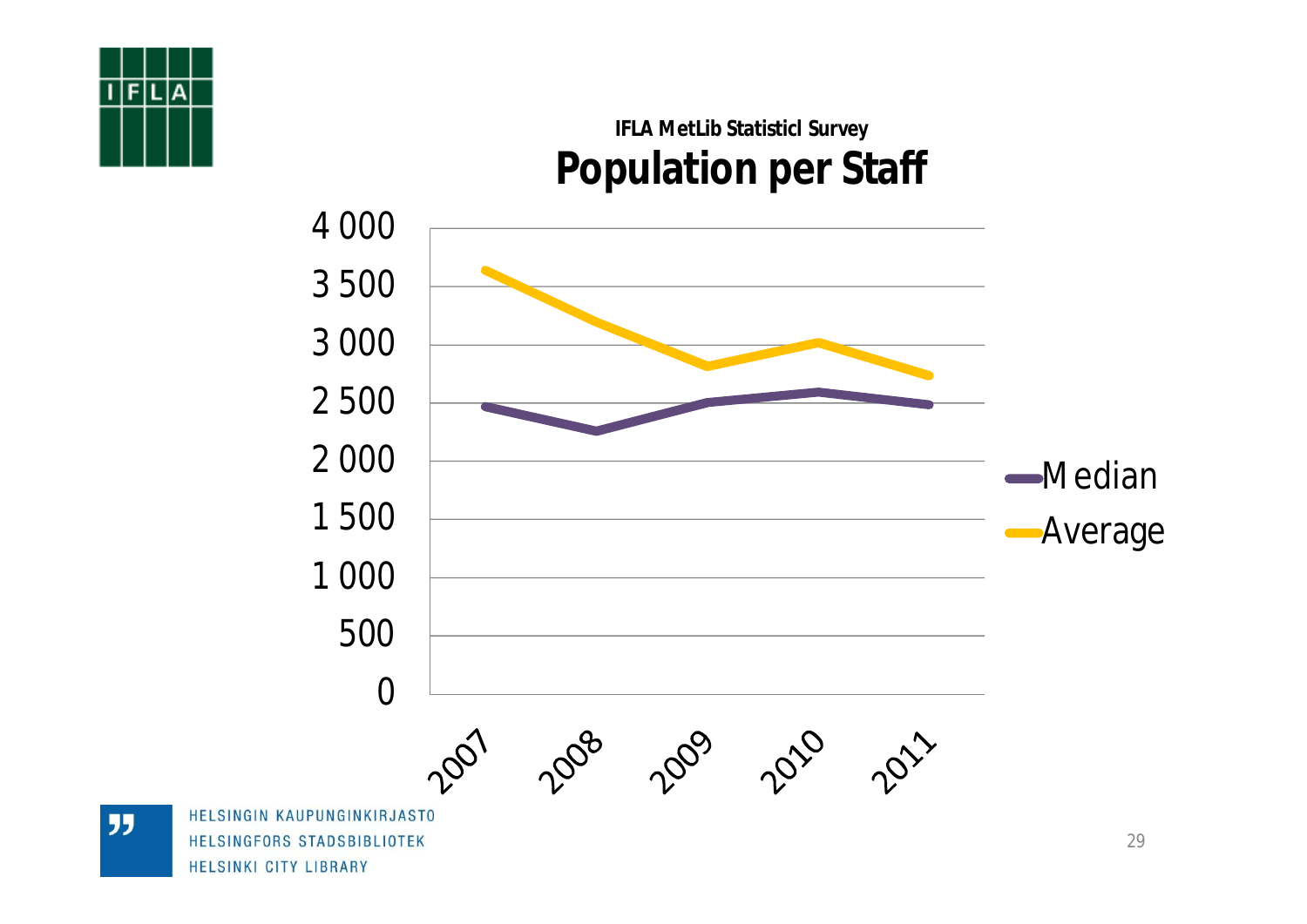![](_page_28_Picture_0.jpeg)

### **IFLA MetLib Statisticl Survey Population per Staff**

![](_page_28_Figure_2.jpeg)

**JJ** 

HELSINGFORS STADSBIBLIOTEK HELSINKI CITY LIBRARY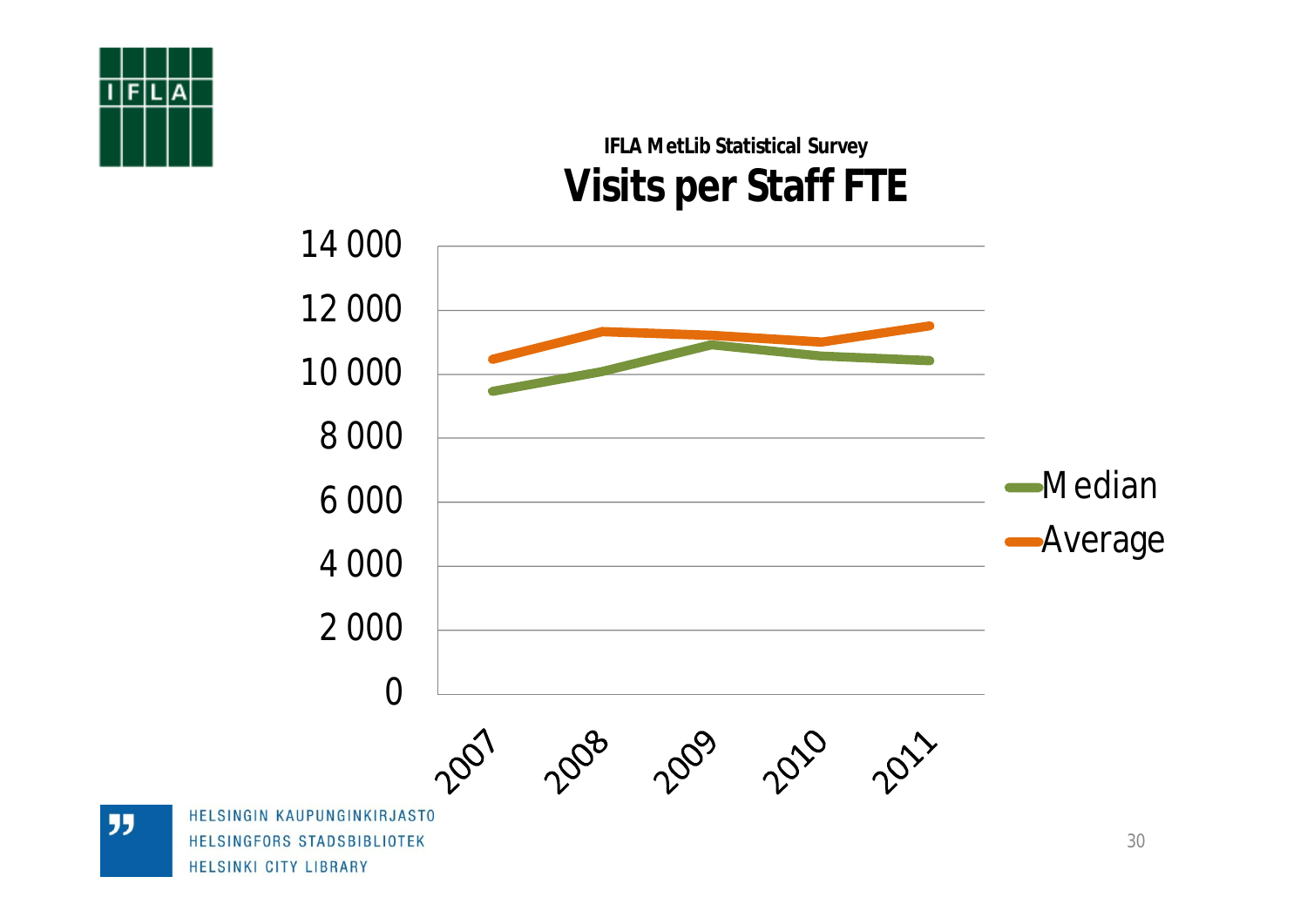![](_page_29_Figure_0.jpeg)

### **IFLA MetLib Statistical Survey Visits per Staff FTE**

![](_page_29_Figure_2.jpeg)

**JJ** 

HELSINGFORS STADSBIBLIOTEK HELSINKI CITY LIBRARY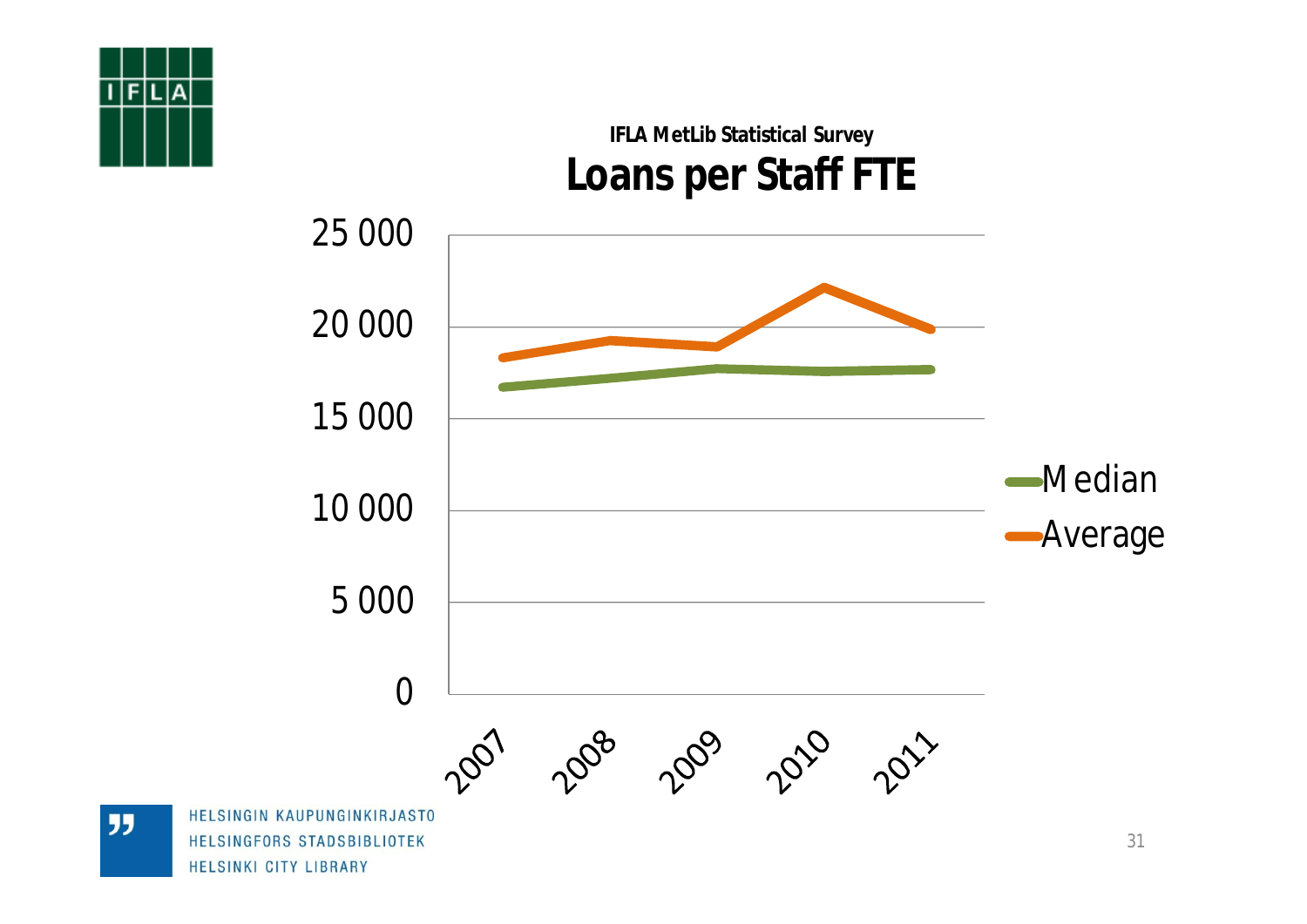![](_page_30_Figure_0.jpeg)

## 5 000 10 000 15 000 20 000 25 000 **IFLA MetLib Statistical Survey Loans per Staff FTE** Median **-Average**

2010 2011

0 

**HELSINGIN H** HELSINGFORS STADSBIBLIOTEK HELSINKI CITY LIBRARY

**JJ**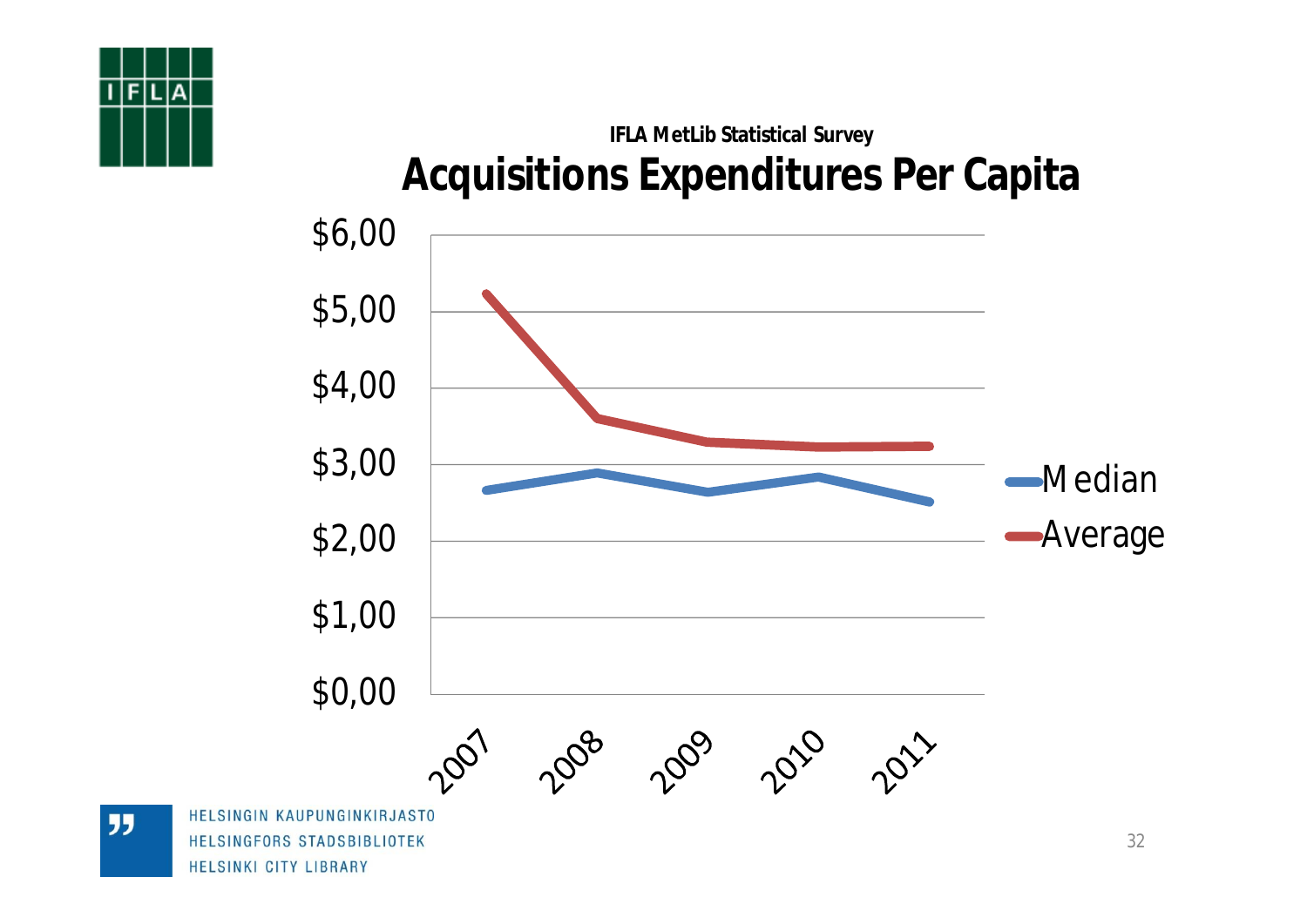![](_page_31_Picture_0.jpeg)

### **IFLA MetLib Statistical Survey Acquisitions Expenditures Per Capita**

![](_page_31_Figure_2.jpeg)

**JJ** 

HELSINGFORS STADSBIBLIOTEK HELSINKI CITY LIBRARY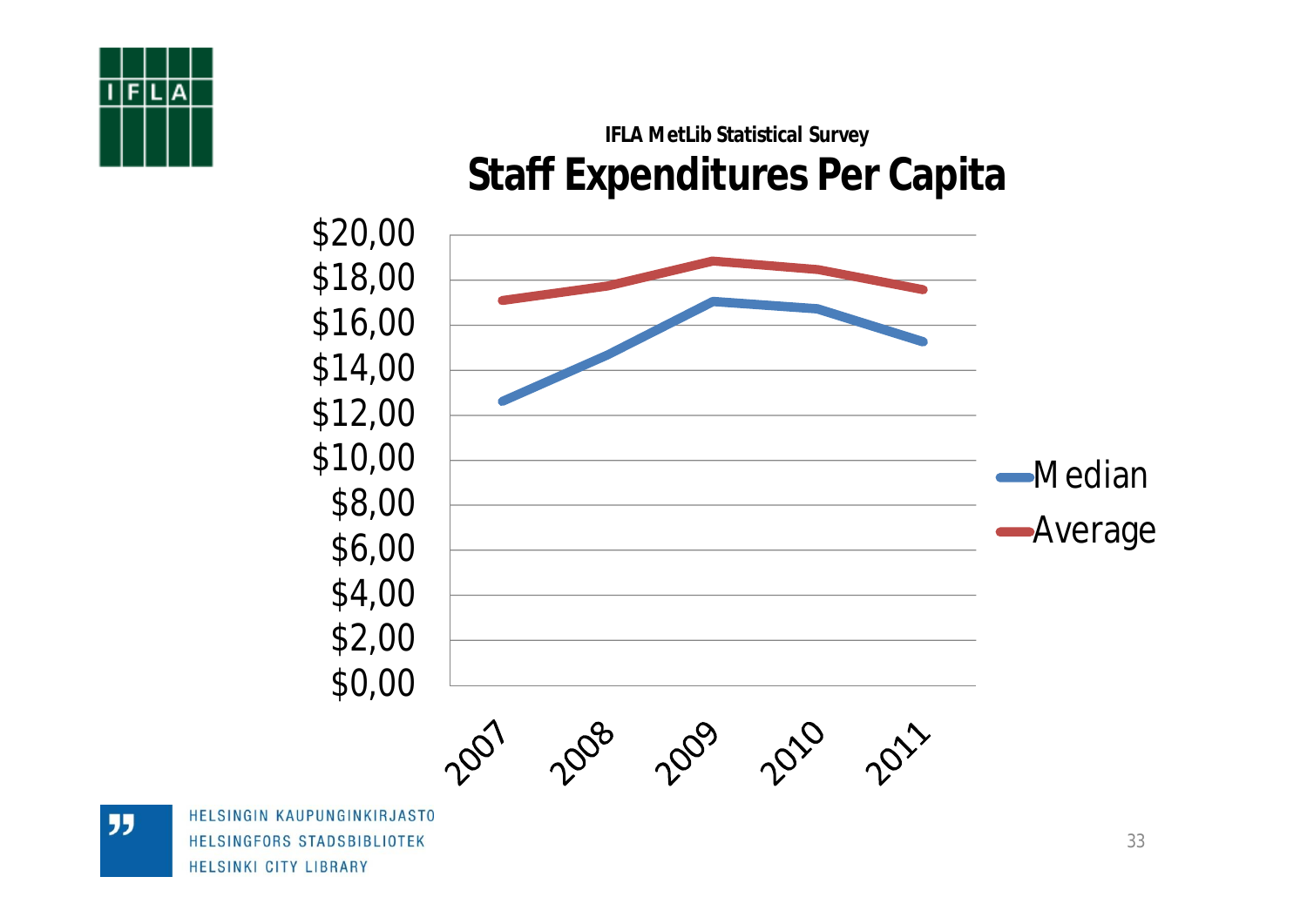![](_page_32_Figure_0.jpeg)

### **IFLA MetLib Statistical Survey Staff Expenditures Per Capita**

![](_page_32_Figure_2.jpeg)

HELSINGIN KAUPUNGINKIRJASTO HELSINGFORS STADSBIBLIOTEK HELSINKI CITY LIBRARY

"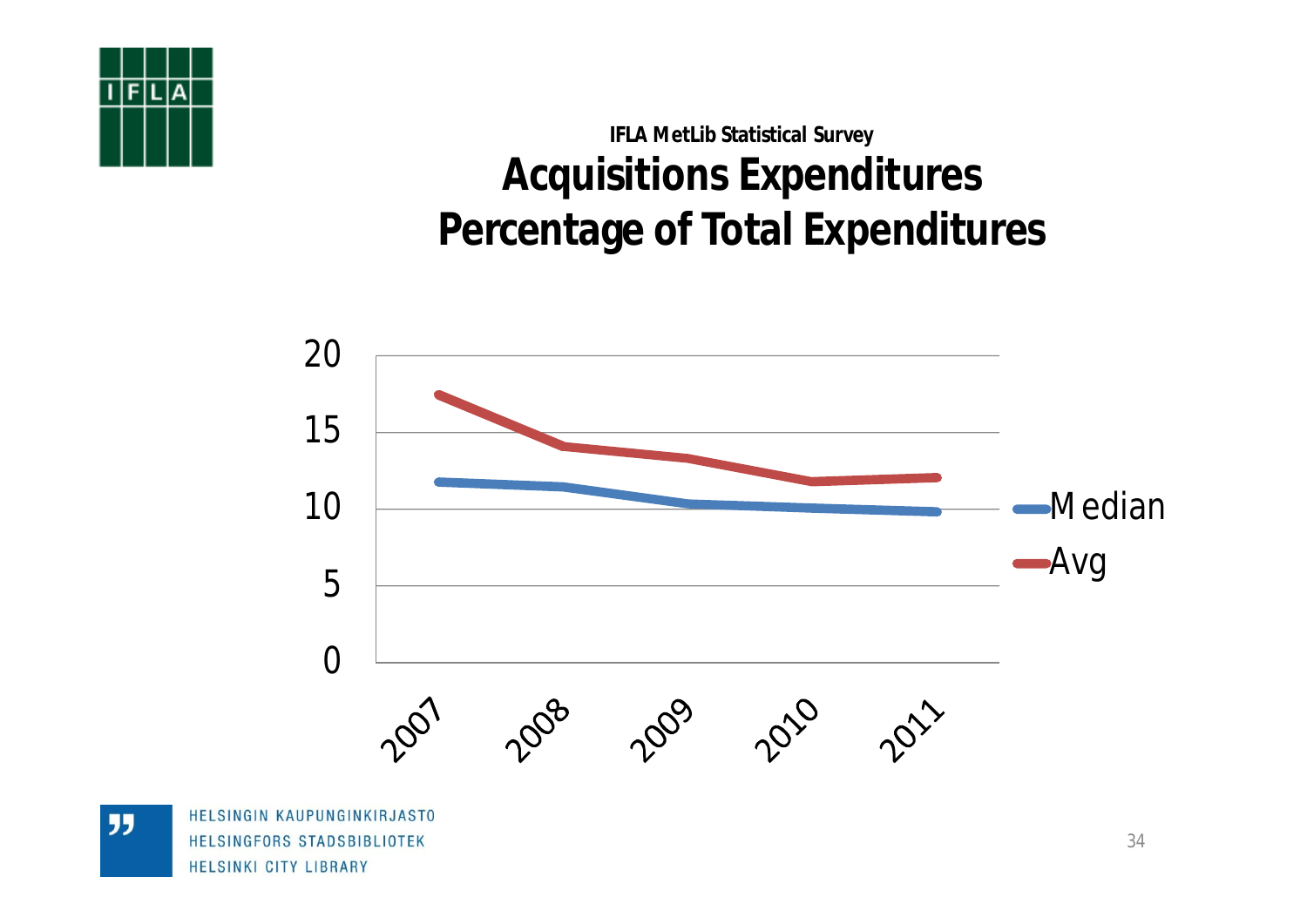![](_page_33_Picture_0.jpeg)

## **IFLA MetLib Statistical Survey Acquisitions Expenditures Percentage of Total Expenditures**

![](_page_33_Figure_2.jpeg)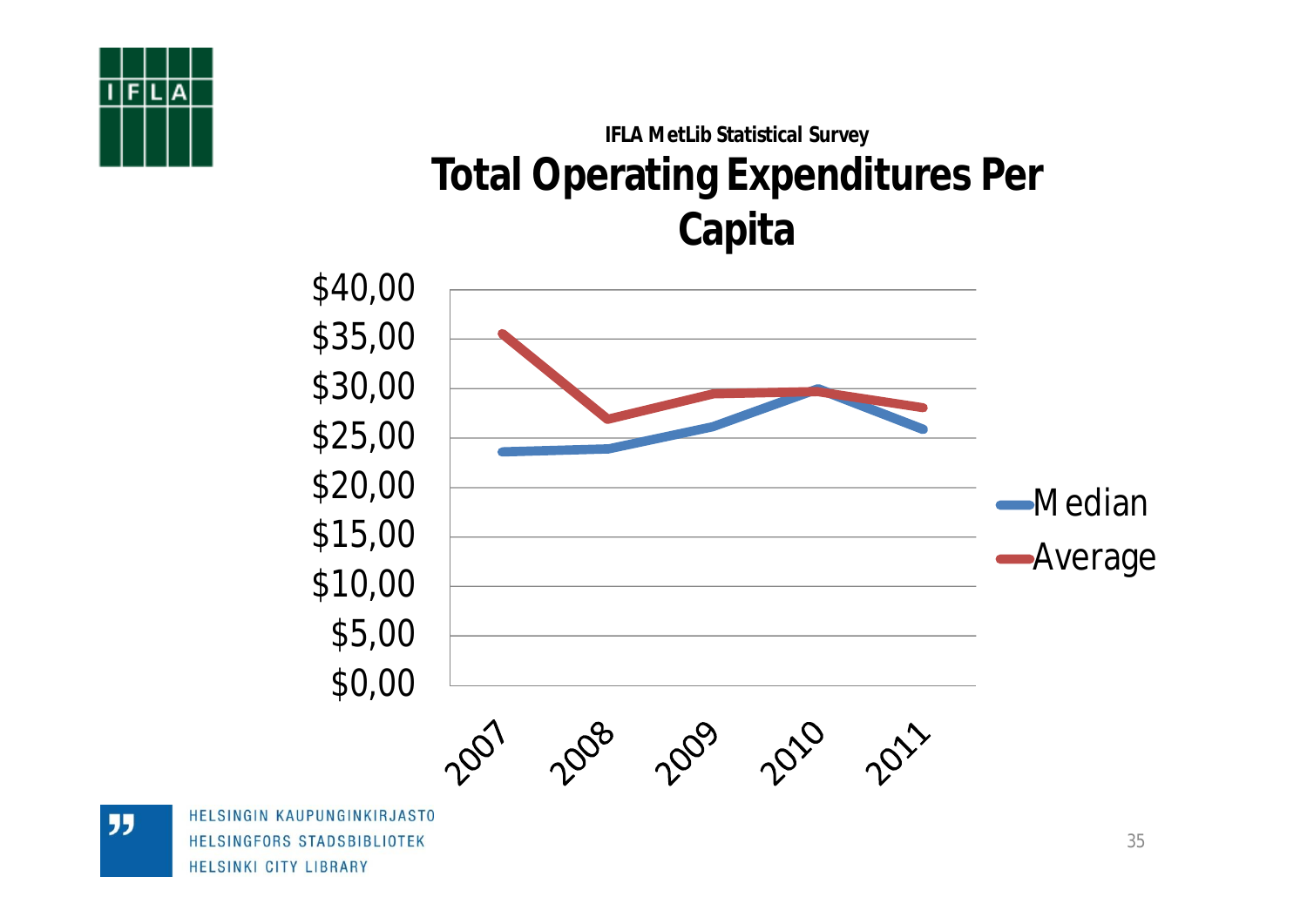![](_page_34_Picture_0.jpeg)

## **IFLA MetLib Statistical Survey Total Operating Expenditures Per Capita**

![](_page_34_Figure_2.jpeg)

HELSINGIN KAUPUNGINKIRJASTO HELSINGFORS STADSBIBLIOTEK HELSINKI CITY LIBRARY

"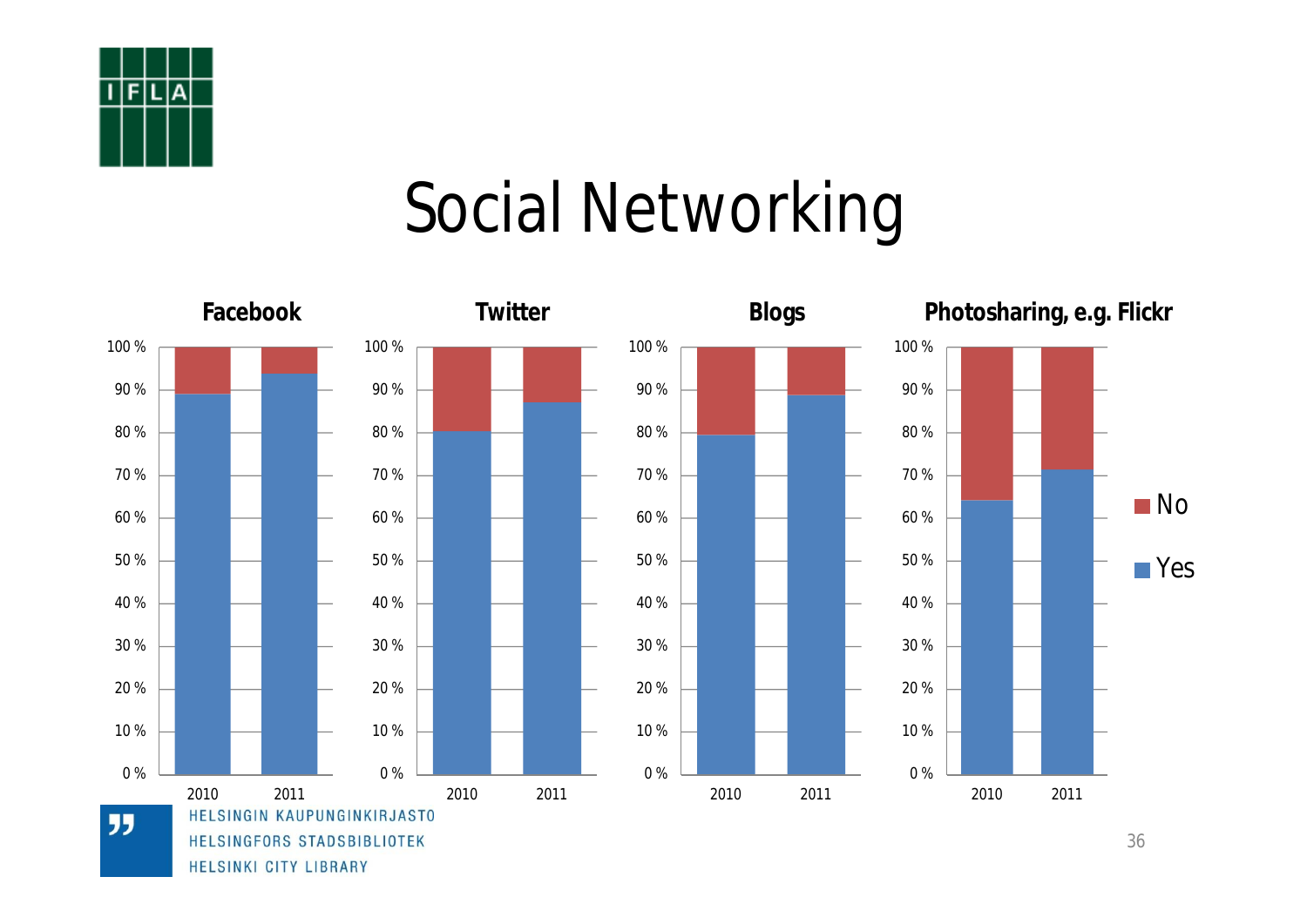![](_page_35_Picture_0.jpeg)

## Social Networking

![](_page_35_Figure_2.jpeg)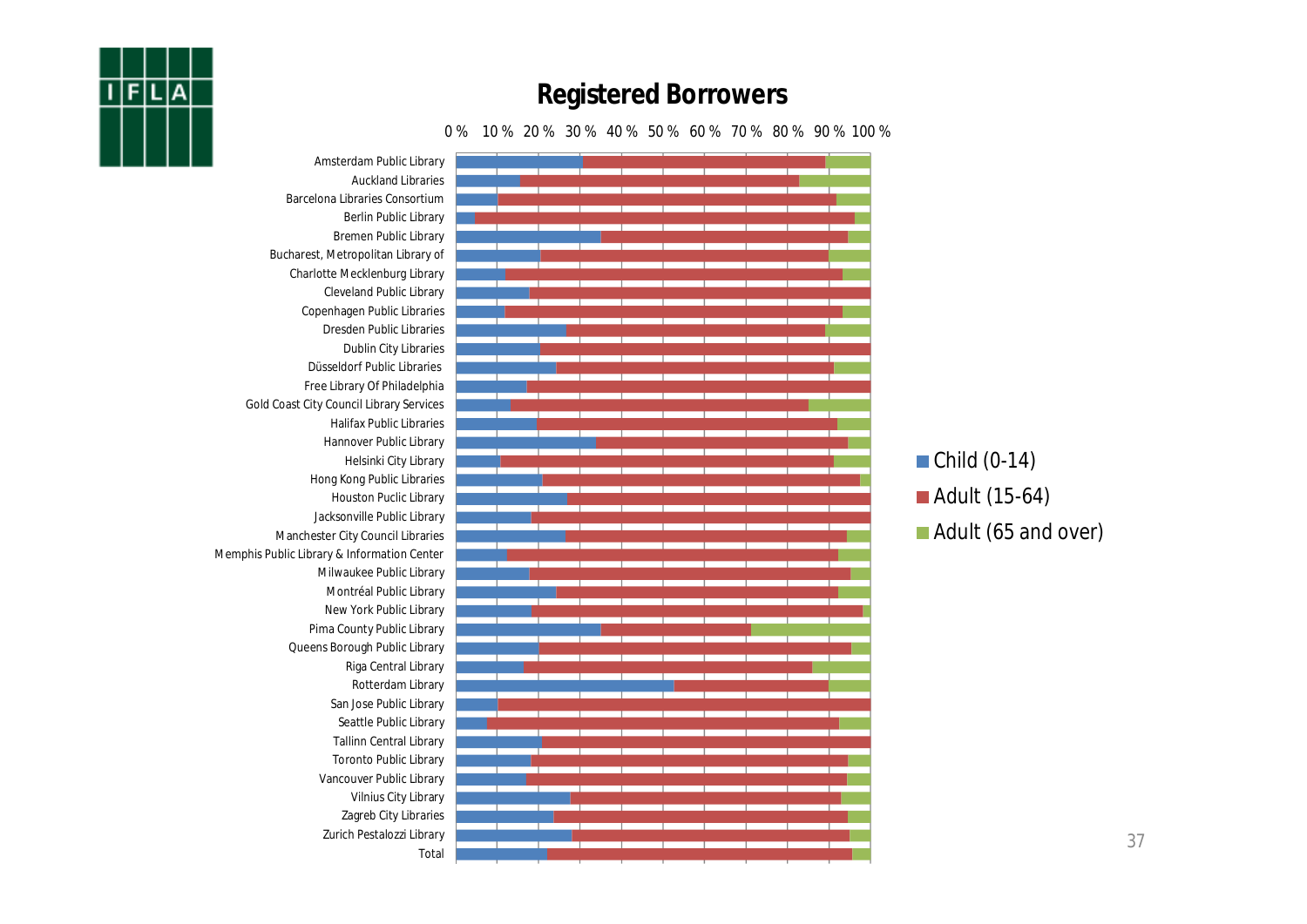![](_page_36_Picture_0.jpeg)

#### **Registered Borrowers**

#### 0 % 10 % 20 % 30 % 40 % 50 % 60 % 70 % 80 % 90 % 100 %

Amsterdam Public Library Auckland Libraries Barcelona Libraries Consortium Berlin Public Library Bremen Public Library Bucharest, Metropolitan Library of Charlotte Mecklenburg Library Cleveland Public Library Copenhagen Public Libraries Dresden Public Libraries Dublin City Libraries Düsseldorf Public Libraries Free Library Of Philadelphia Gold Coast City Council Library Services Halifax Public Libraries Hannover Public Library Helsinki City Library Hong Kong Public Libraries Houston Puclic Library Jacksonville Public Library Manchester City Council Libraries Memphis Public Library & Information Center Milwaukee Public Library Montréal Public Library New York Public Library Pima County Public Library Queens Borough Public Library Riga Central Library Rotterdam Library San Jose Public Library Seattle Public Library Tallinn Central Library Toronto Public Library Vancouver Public Library Vilnius City Library Zagreb City Libraries Zurich Pestalozzi Library Total  $\blacksquare$  Child (0-14) ■ Adult (15-64) Adult (65 and over)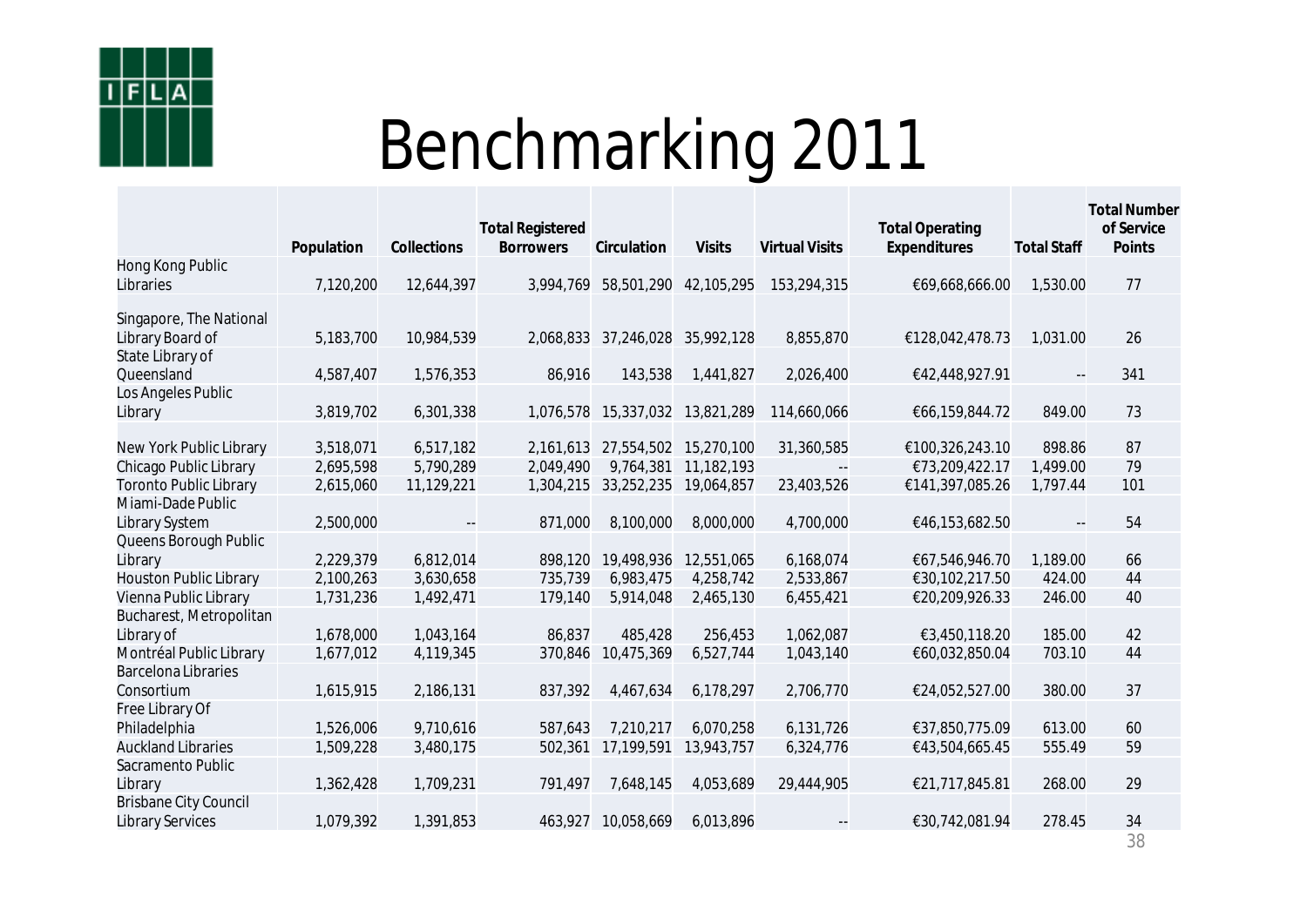![](_page_37_Picture_0.jpeg)

# Benchmarking 2011

|                                                         | Population | Collections              | <b>Total Registered</b><br><b>Borrowers</b> | Circulation | <b>Visits</b>         | <b>Virtual Visits</b>    | <b>Total Operating</b><br>Expenditures | <b>Total Staff</b>       | Total Number<br>of Service<br>Points |
|---------------------------------------------------------|------------|--------------------------|---------------------------------------------|-------------|-----------------------|--------------------------|----------------------------------------|--------------------------|--------------------------------------|
| Hong Kong Public                                        |            |                          |                                             |             |                       |                          |                                        |                          |                                      |
| Libraries                                               | 7,120,200  | 12,644,397               | 3,994,769                                   |             | 58,501,290 42,105,295 | 153,294,315              | €69,668,666.00                         | 1,530.00                 | 77                                   |
| Singapore, The National<br>Library Board of             | 5,183,700  | 10,984,539               | 2,068,833                                   | 37,246,028  | 35,992,128            | 8,855,870                | €128,042,478.73                        | 1,031.00                 | 26                                   |
| State Library of<br>Queensland                          | 4,587,407  | 1,576,353                | 86,916                                      | 143,538     | 1,441,827             | 2,026,400                | €42,448,927.91                         | $\overline{\phantom{a}}$ | 341                                  |
| Los Angeles Public<br>Library                           | 3,819,702  | 6,301,338                | 1,076,578                                   | 15,337,032  | 13,821,289            | 114,660,066              | €66,159,844.72                         | 849.00                   | 73                                   |
| New York Public Library                                 | 3,518,071  | 6,517,182                | 2,161,613                                   | 27,554,502  | 15,270,100            | 31,360,585               | €100,326,243.10                        | 898.86                   | 87                                   |
| Chicago Public Library                                  | 2,695,598  | 5,790,289                | 2,049,490                                   | 9,764,381   | 11,182,193            |                          | €73,209,422.17                         | 1,499.00                 | 79                                   |
| <b>Toronto Public Library</b>                           | 2,615,060  | 11,129,221               | 1,304,215                                   | 33,252,235  | 19,064,857            | 23,403,526               | €141,397,085.26                        | 1,797.44                 | 101                                  |
| Miami-Dade Public<br>Library System                     | 2,500,000  | $\overline{\phantom{a}}$ | 871,000                                     | 8,100,000   | 8,000,000             | 4,700,000                | €46,153,682.50                         | $\overline{\phantom{a}}$ | 54                                   |
| Queens Borough Public<br>Library                        | 2,229,379  | 6,812,014                | 898,120                                     | 19,498,936  | 12,551,065            | 6,168,074                | €67,546,946.70                         | 1,189.00                 | 66                                   |
| Houston Public Library                                  | 2,100,263  | 3,630,658                | 735,739                                     | 6,983,475   | 4,258,742             | 2,533,867                | €30,102,217.50                         | 424.00                   | 44                                   |
| Vienna Public Library                                   | 1,731,236  | 1,492,471                | 179,140                                     | 5,914,048   | 2,465,130             | 6,455,421                | €20,209,926.33                         | 246.00                   | 40                                   |
| Bucharest, Metropolitan<br>Library of                   | 1,678,000  | 1,043,164                | 86,837                                      | 485,428     | 256,453               | 1,062,087                | €3,450,118.20                          | 185.00                   | 42                                   |
| Montréal Public Library                                 | 1,677,012  | 4,119,345                | 370,846                                     | 10,475,369  | 6,527,744             | 1,043,140                | €60,032,850.04                         | 703.10                   | 44                                   |
| <b>Barcelona Libraries</b><br>Consortium                | 1,615,915  | 2,186,131                | 837,392                                     | 4,467,634   | 6,178,297             | 2,706,770                | €24,052,527.00                         | 380.00                   | 37                                   |
| Free Library Of<br>Philadelphia                         | 1,526,006  | 9,710,616                | 587,643                                     | 7,210,217   | 6,070,258             | 6,131,726                | €37,850,775.09                         | 613.00                   | 60                                   |
| <b>Auckland Libraries</b>                               | 1,509,228  | 3,480,175                | 502,361                                     | 17,199,591  | 13,943,757            | 6,324,776                | €43,504,665.45                         | 555.49                   | 59                                   |
| Sacramento Public<br>Library                            | 1,362,428  | 1,709,231                | 791,497                                     | 7,648,145   | 4,053,689             | 29,444,905               | €21,717,845.81                         | 268.00                   | 29                                   |
| <b>Brisbane City Council</b><br><b>Library Services</b> | 1,079,392  | 1,391,853                | 463,927                                     | 10,058,669  | 6,013,896             | $\overline{\phantom{a}}$ | €30,742,081.94                         | 278.45                   | 34                                   |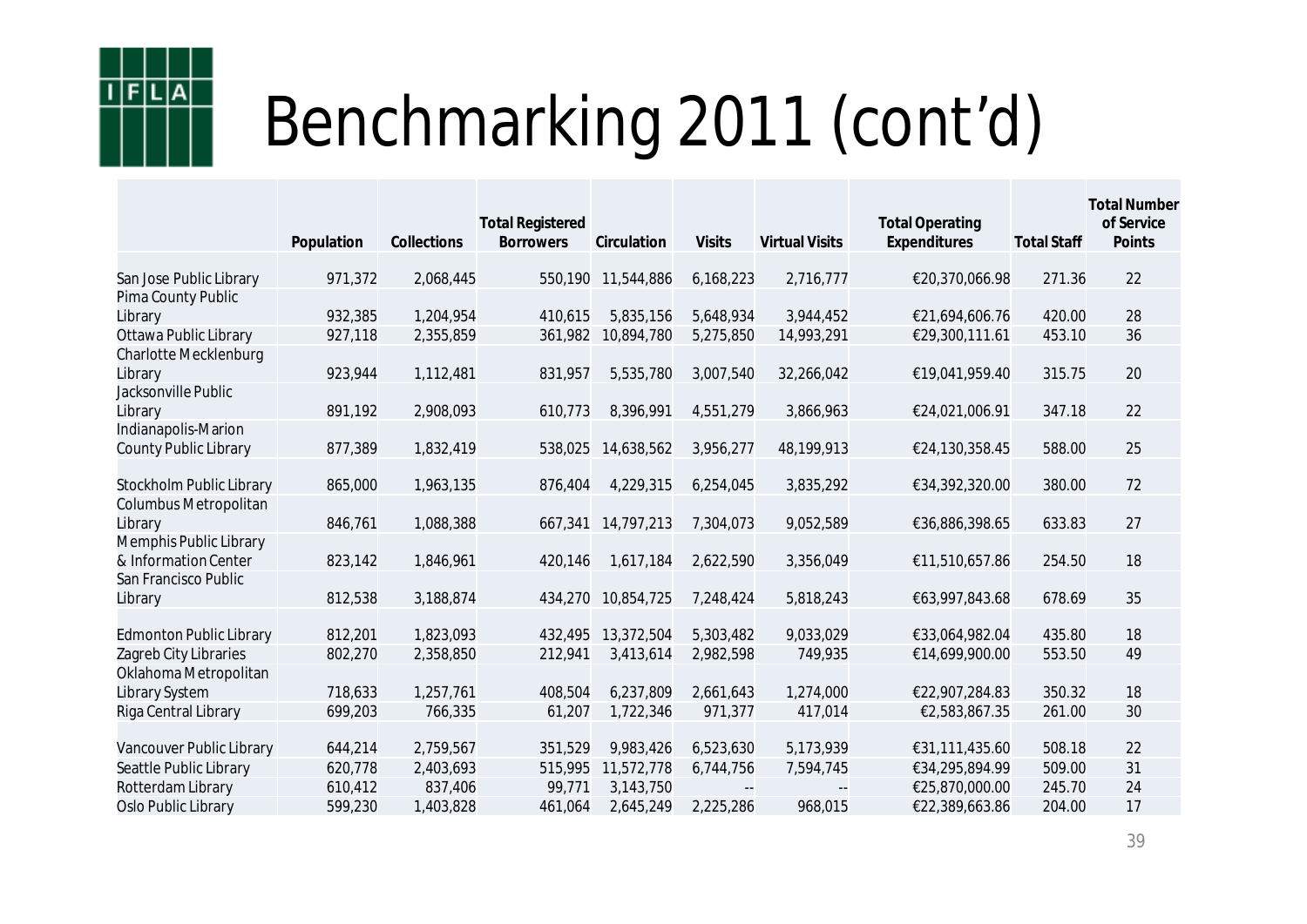![](_page_38_Picture_0.jpeg)

|                                | Population | Collections | <b>Total Registered</b><br><b>Borrowers</b> | Circulation | <b>Visits</b>            | <b>Virtual Visits</b> | <b>Total Operating</b><br>Expenditures | <b>Total Staff</b> | <b>Total Number</b><br>of Service<br>Points |
|--------------------------------|------------|-------------|---------------------------------------------|-------------|--------------------------|-----------------------|----------------------------------------|--------------------|---------------------------------------------|
| San Jose Public Library        | 971,372    | 2,068,445   | 550,190                                     | 11,544,886  | 6,168,223                | 2,716,777             | €20,370,066.98                         | 271.36             | 22                                          |
| Pima County Public             |            |             |                                             |             |                          |                       |                                        |                    |                                             |
| Library                        | 932,385    | 1,204,954   | 410,615                                     | 5,835,156   | 5,648,934                | 3,944,452             | €21,694,606.76                         | 420.00             | 28                                          |
| Ottawa Public Library          | 927,118    | 2,355,859   | 361,982                                     | 10,894,780  | 5,275,850                | 14,993,291            | €29,300,111.61                         | 453.10             | 36                                          |
| Charlotte Mecklenburg          |            |             |                                             |             |                          |                       |                                        |                    |                                             |
| Library                        | 923,944    | 1,112,481   | 831,957                                     | 5,535,780   | 3,007,540                | 32,266,042            | €19,041,959.40                         | 315.75             | 20                                          |
| Jacksonville Public            |            |             |                                             |             |                          |                       |                                        |                    |                                             |
| Library                        | 891,192    | 2,908,093   | 610,773                                     | 8,396,991   | 4,551,279                | 3,866,963             | €24,021,006.91                         | 347.18             | 22                                          |
| Indianapolis-Marion            |            |             |                                             |             |                          |                       |                                        |                    |                                             |
| County Public Library          | 877,389    | 1,832,419   | 538,025                                     | 14,638,562  | 3,956,277                | 48,199,913            | €24,130,358.45                         | 588.00             | 25                                          |
| Stockholm Public Library       | 865,000    | 1,963,135   | 876,404                                     | 4,229,315   | 6,254,045                | 3,835,292             | €34,392,320.00                         | 380.00             | 72                                          |
| Columbus Metropolitan          |            |             |                                             |             |                          |                       |                                        |                    |                                             |
| Library                        | 846,761    | 1,088,388   | 667,341                                     | 14,797,213  | 7,304,073                | 9,052,589             | €36,886,398.65                         | 633.83             | 27                                          |
| Memphis Public Library         |            |             |                                             |             |                          |                       |                                        |                    |                                             |
| & Information Center           | 823,142    | 1,846,961   | 420,146                                     | 1,617,184   | 2,622,590                | 3,356,049             | €11,510,657.86                         | 254.50             | 18                                          |
| San Francisco Public           |            |             |                                             |             |                          |                       |                                        |                    |                                             |
| Library                        | 812,538    | 3,188,874   | 434,270                                     | 10,854,725  | 7,248,424                | 5,818,243             | €63,997,843.68                         | 678.69             | 35                                          |
| <b>Edmonton Public Library</b> | 812,201    | 1,823,093   | 432,495                                     | 13,372,504  | 5,303,482                | 9,033,029             | €33,064,982.04                         | 435.80             | 18                                          |
| Zagreb City Libraries          | 802,270    | 2,358,850   | 212,941                                     | 3,413,614   | 2,982,598                | 749,935               | €14,699,900.00                         | 553.50             | 49                                          |
| Oklahoma Metropolitan          |            |             |                                             |             |                          |                       |                                        |                    |                                             |
| Library System                 | 718,633    | 1,257,761   | 408,504                                     | 6,237,809   | 2,661,643                | 1,274,000             | €22,907,284.83                         | 350.32             | 18                                          |
| Riga Central Library           | 699,203    | 766,335     | 61,207                                      | 1,722,346   | 971,377                  | 417,014               | €2,583,867.35                          | 261.00             | 30                                          |
|                                |            |             |                                             |             |                          |                       |                                        |                    |                                             |
| Vancouver Public Library       | 644,214    | 2,759,567   | 351,529                                     | 9,983,426   | 6,523,630                | 5,173,939             | €31,111,435.60                         | 508.18             | 22                                          |
| Seattle Public Library         | 620,778    | 2,403,693   | 515,995                                     | 11,572,778  | 6,744,756                | 7,594,745             | €34,295,894.99                         | 509.00             | 31                                          |
| Rotterdam Library              | 610,412    | 837,406     | 99,771                                      | 3,143,750   | $\overline{\phantom{a}}$ |                       | €25,870,000.00                         | 245.70             | 24                                          |
| Oslo Public Library            | 599,230    | 1,403,828   | 461,064                                     | 2,645,249   | 2,225,286                | 968,015               | €22,389,663.86                         | 204.00             | 17                                          |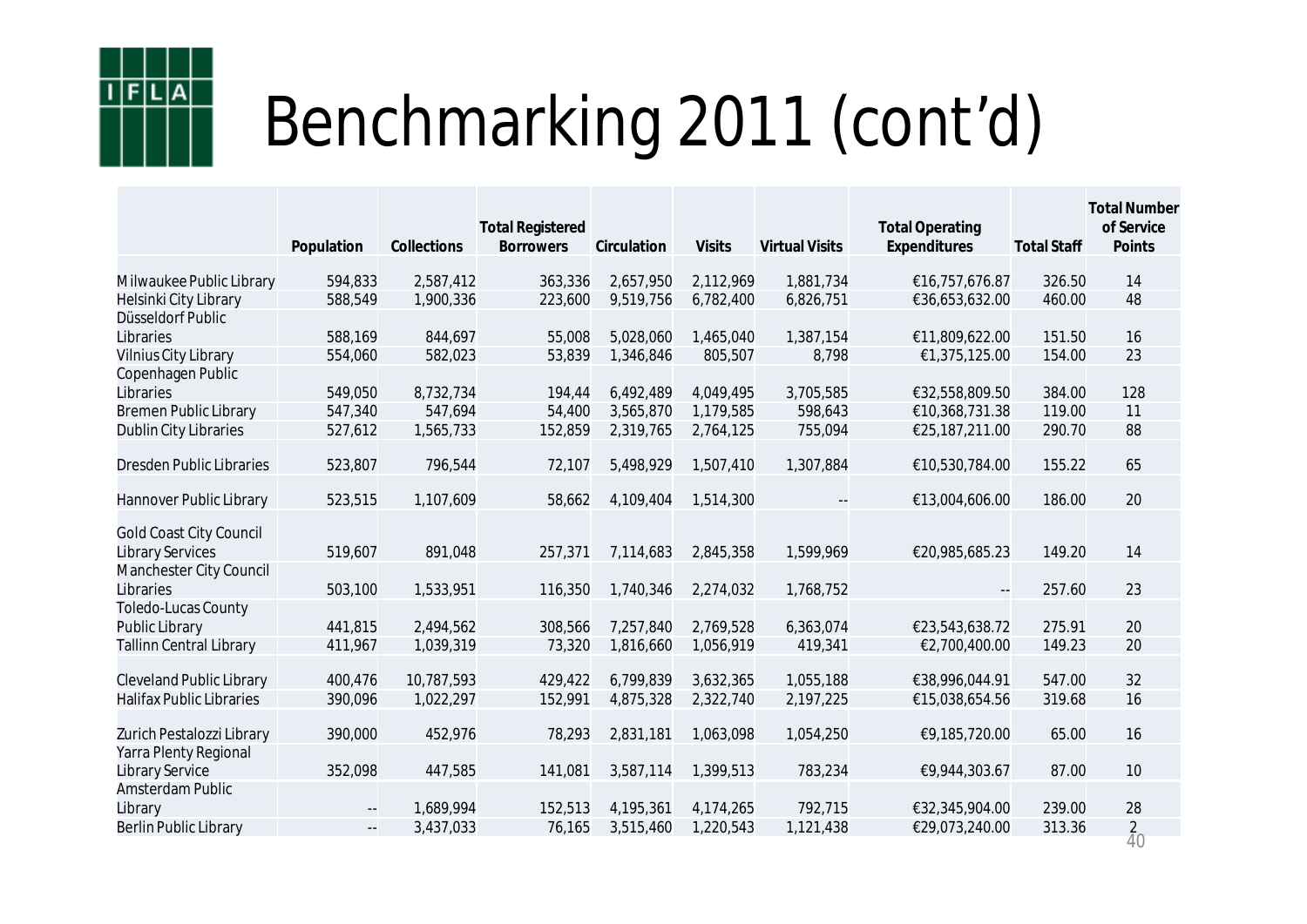![](_page_39_Picture_0.jpeg)

|                                                    |                                               |             | <b>Total Registered</b> |             |               |                       | <b>Total Operating</b>   |                    | <b>Total Number</b><br>of Service |
|----------------------------------------------------|-----------------------------------------------|-------------|-------------------------|-------------|---------------|-----------------------|--------------------------|--------------------|-----------------------------------|
|                                                    | Population                                    | Collections | <b>Borrowers</b>        | Circulation | <b>Visits</b> | <b>Virtual Visits</b> | Expenditures             | <b>Total Staff</b> | Points                            |
| Milwaukee Public Library                           | 594,833                                       | 2,587,412   | 363,336                 | 2,657,950   | 2,112,969     | 1,881,734             | €16,757,676.87           | 326.50             | 14                                |
| Helsinki City Library                              | 588,549                                       | 1,900,336   | 223,600                 | 9,519,756   | 6,782,400     | 6,826,751             | €36,653,632.00           | 460.00             | 48                                |
| Düsseldorf Public                                  |                                               |             |                         |             |               |                       |                          |                    |                                   |
| Libraries                                          | 588,169                                       | 844,697     | 55,008                  | 5,028,060   | 1,465,040     | 1,387,154             | €11,809,622.00           | 151.50             | 16                                |
| Vilnius City Library                               | 554,060                                       | 582,023     | 53,839                  | 1,346,846   | 805,507       | 8,798                 | €1,375,125.00            | 154.00             | 23                                |
| Copenhagen Public                                  |                                               |             |                         |             |               |                       |                          |                    |                                   |
| Libraries                                          | 549,050                                       | 8,732,734   | 194,44                  | 6,492,489   | 4,049,495     | 3,705,585             | €32,558,809.50           | 384.00             | 128                               |
| <b>Bremen Public Library</b>                       | 547,340                                       | 547,694     | 54,400                  | 3,565,870   | 1,179,585     | 598,643               | €10,368,731.38           | 119.00             | 11                                |
| Dublin City Libraries                              | 527,612                                       | 1,565,733   | 152,859                 | 2,319,765   | 2,764,125     | 755,094               | €25,187,211.00           | 290.70             | 88                                |
| <b>Dresden Public Libraries</b>                    | 523,807                                       | 796,544     | 72,107                  | 5,498,929   | 1,507,410     | 1,307,884             | €10,530,784.00           | 155.22             | 65                                |
|                                                    |                                               |             |                         |             |               |                       |                          |                    |                                   |
| Hannover Public Library                            | 523,515                                       | 1,107,609   | 58,662                  | 4,109,404   | 1,514,300     |                       | €13,004,606.00           | 186.00             | 20                                |
| <b>Gold Coast City Council</b><br>Library Services | 519,607                                       | 891,048     | 257,371                 | 7,114,683   | 2,845,358     | 1,599,969             | €20,985,685.23           | 149.20             | 14                                |
| Manchester City Council<br>Libraries               | 503,100                                       | 1,533,951   | 116,350                 | 1,740,346   | 2,274,032     | 1,768,752             | $\overline{\phantom{a}}$ | 257.60             | 23                                |
| Toledo-Lucas County                                |                                               |             |                         |             |               |                       |                          |                    |                                   |
| Public Library                                     | 441,815                                       | 2,494,562   | 308,566                 | 7,257,840   | 2,769,528     | 6,363,074             | €23,543,638.72           | 275.91             | 20                                |
| <b>Tallinn Central Library</b>                     | 411,967                                       | 1,039,319   | 73,320                  | 1,816,660   | 1,056,919     | 419,341               | €2,700,400.00            | 149.23             | 20                                |
| <b>Cleveland Public Library</b>                    | 400,476                                       | 10,787,593  | 429,422                 | 6,799,839   | 3,632,365     | 1,055,188             | €38,996,044.91           | 547.00             | 32                                |
| <b>Halifax Public Libraries</b>                    | 390,096                                       | 1,022,297   | 152,991                 | 4,875,328   | 2,322,740     | 2,197,225             | €15,038,654.56           | 319.68             | 16                                |
|                                                    |                                               |             |                         |             |               |                       |                          |                    |                                   |
| Zurich Pestalozzi Library                          | 390,000                                       | 452,976     | 78,293                  | 2,831,181   | 1,063,098     | 1,054,250             | €9,185,720.00            | 65.00              | 16                                |
| Yarra Plenty Regional<br>Library Service           | 352,098                                       | 447,585     | 141,081                 | 3,587,114   | 1,399,513     | 783,234               | €9,944,303.67            | 87.00              | 10                                |
| Amsterdam Public                                   |                                               |             |                         |             |               |                       |                          |                    |                                   |
| Library                                            | $\mathord{\hspace{1pt}\text{--}\hspace{1pt}}$ | 1,689,994   | 152,513                 | 4,195,361   | 4,174,265     | 792,715               | €32,345,904.00           | 239.00             | 28                                |
| Berlin Public Library                              | $\Box$                                        | 3,437,033   | 76,165                  | 3,515,460   | 1,220,543     | 1,121,438             | €29,073,240.00           | 313.36             | $\overline{2}$                    |
|                                                    |                                               |             |                         |             |               |                       |                          |                    | $\overline{4}0$                   |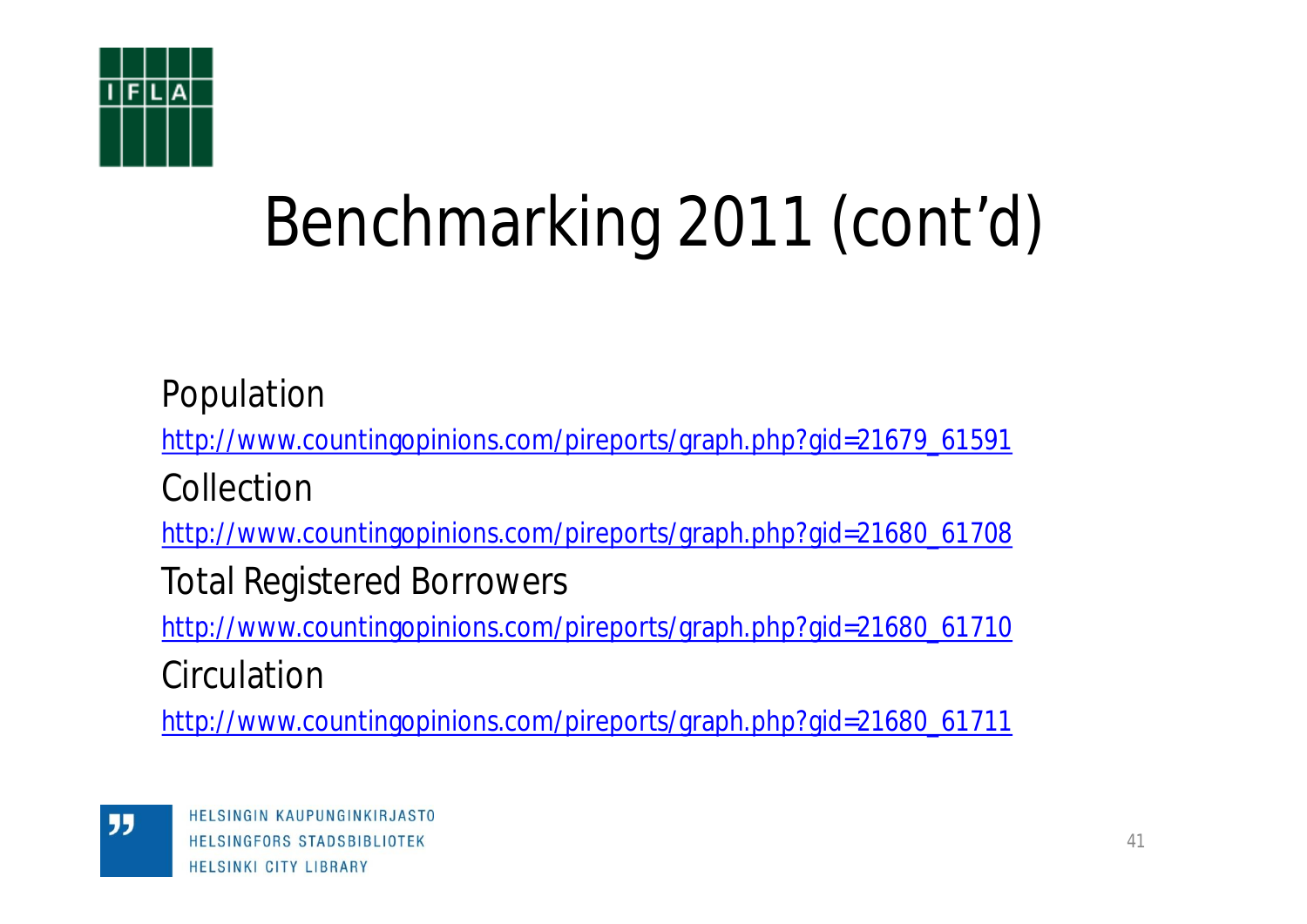![](_page_40_Picture_0.jpeg)

Population [http://www.countingopinions.com/pireports/graph.php?gid=21679\\_61591](http://www.countingopinions.com/pireports/graph.php?gid=21679_61591) Collection [http://www.countingopinions.com/pireports/graph.php?gid=21680\\_61708](http://www.countingopinions.com/pireports/graph.php?gid=21680_61708) Total Registered Borrowers [http://www.countingopinions.com/pireports/graph.php?gid=21680\\_61710](http://www.countingopinions.com/pireports/graph.php?gid=21680_61710) **Circulation** 

[http://www.countingopinions.com/pireports/graph.php?gid=21680\\_61711](http://www.countingopinions.com/pireports/graph.php?gid=21680_61711)

"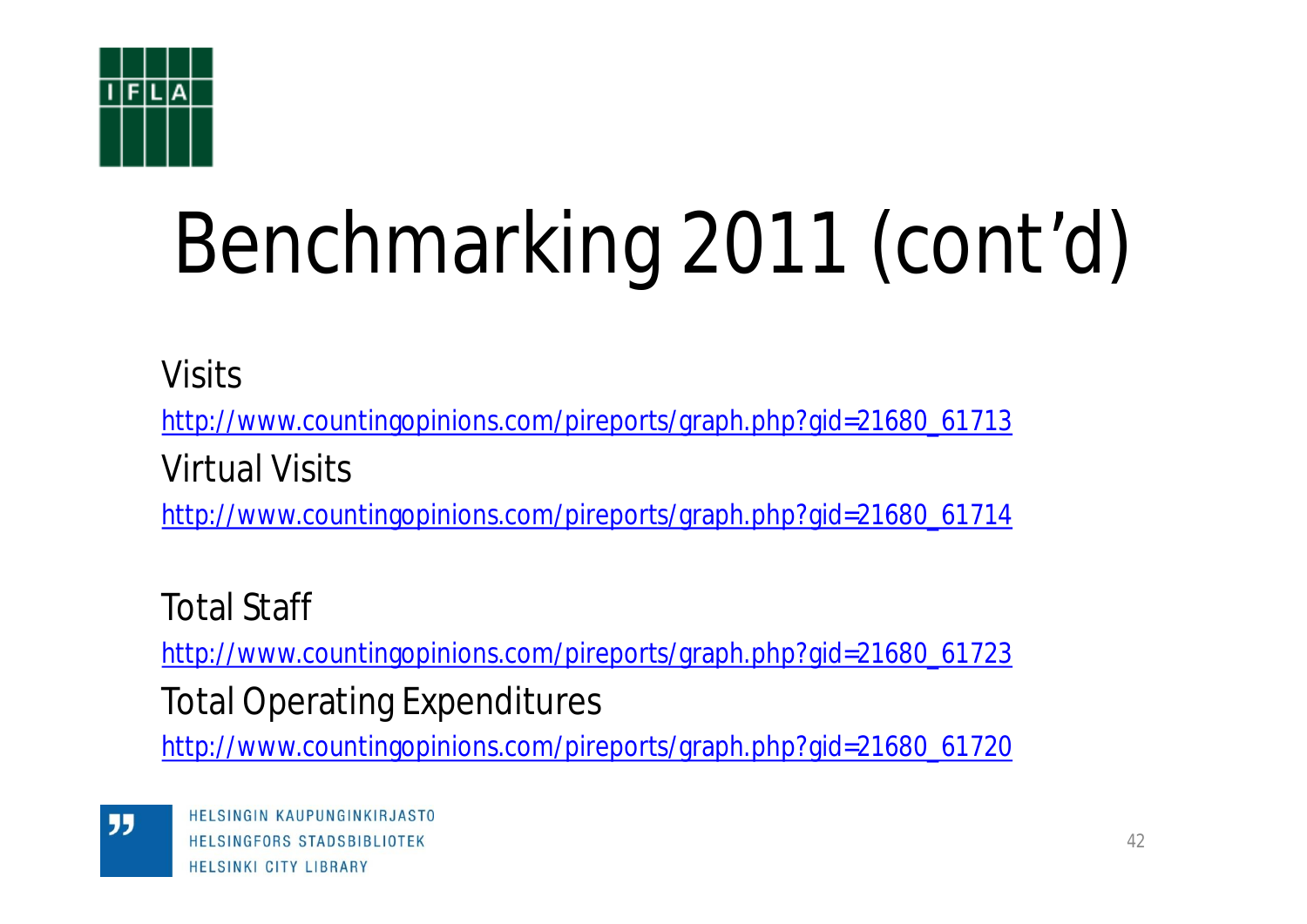![](_page_41_Picture_0.jpeg)

Visits

[http://www.countingopinions.com/pireports/graph.php?gid=21680\\_61713](http://www.countingopinions.com/pireports/graph.php?gid=21680_61713)

Virtual Visits

[http://www.countingopinions.com/pireports/graph.php?gid=21680\\_61714](http://www.countingopinions.com/pireports/graph.php?gid=21680_61714)

Total Staff

[http://www.countingopinions.com/pireports/graph.php?gid=21680\\_61723](http://www.countingopinions.com/pireports/graph.php?gid=21680_61723)

Total Operating Expenditures

[http://www.countingopinions.com/pireports/graph.php?gid=21680\\_61720](http://www.countingopinions.com/pireports/graph.php?gid=21680_61720)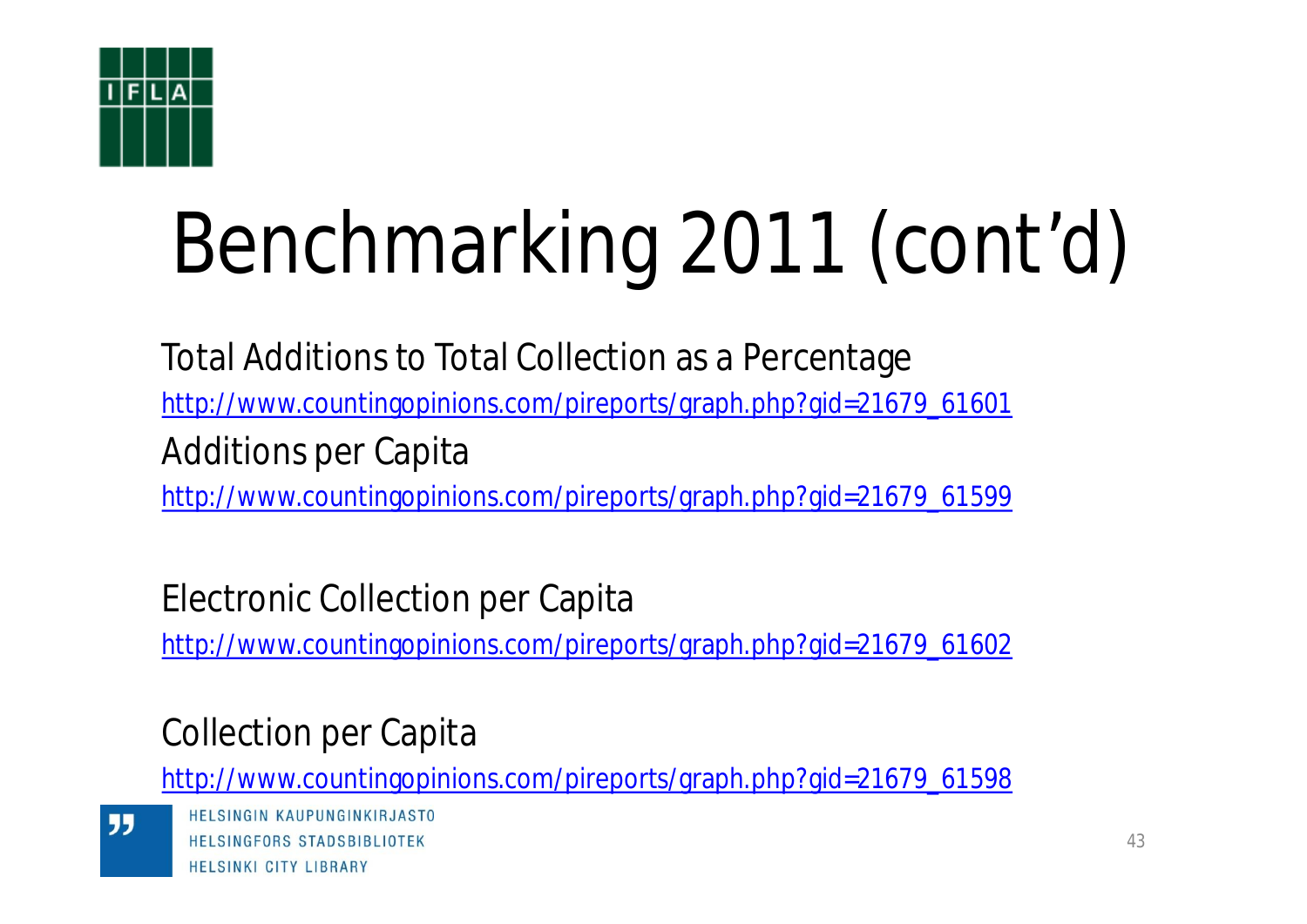![](_page_42_Picture_0.jpeg)

Total Additions to Total Collection as a Percentage [http://www.countingopinions.com/pireports/graph.php?gid=21679\\_61601](http://www.countingopinions.com/pireports/graph.php?gid=21679_61601) Additions per Capita [http://www.countingopinions.com/pireports/graph.php?gid=21679\\_61599](http://www.countingopinions.com/pireports/graph.php?gid=21679_61599)

Electronic Collection per Capita

[http://www.countingopinions.com/pireports/graph.php?gid=21679\\_61602](http://www.countingopinions.com/pireports/graph.php?gid=21679_61602)

## Collection per Capita

[http://www.countingopinions.com/pireports/graph.php?gid=21679\\_61598](http://www.countingopinions.com/pireports/graph.php?gid=21679_61598)

55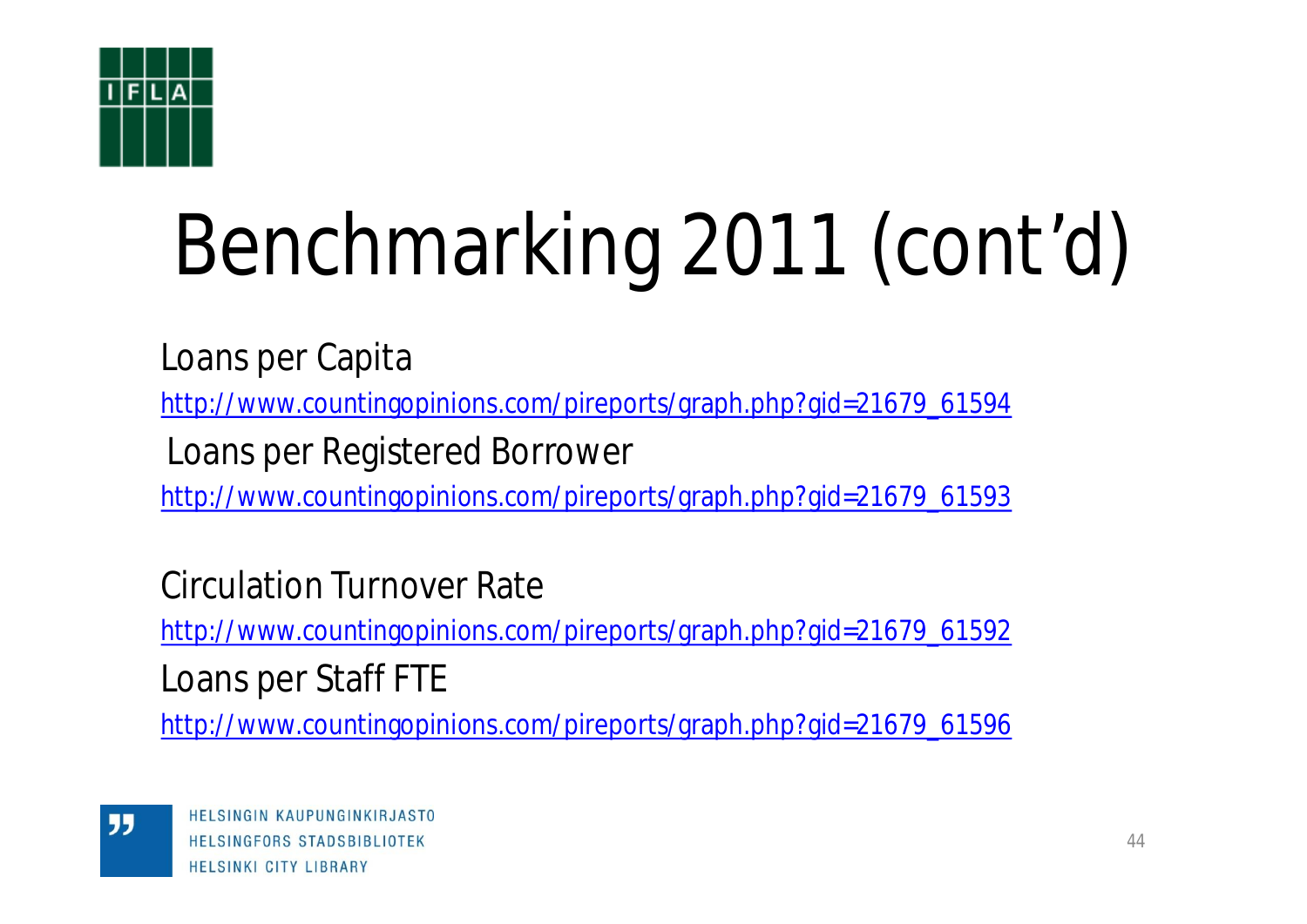![](_page_43_Picture_0.jpeg)

Loans per Capita

[http://www.countingopinions.com/pireports/graph.php?gid=21679\\_61594](http://www.countingopinions.com/pireports/graph.php?gid=21679_61594)

Loans per Registered Borrower

[http://www.countingopinions.com/pireports/graph.php?gid=21679\\_61593](http://www.countingopinions.com/pireports/graph.php?gid=21679_61593)

Circulation Turnover Rate

[http://www.countingopinions.com/pireports/graph.php?gid=21679\\_61592](http://www.countingopinions.com/pireports/graph.php?gid=21679_61592)

Loans per Staff FTE

[http://www.countingopinions.com/pireports/graph.php?gid=21679\\_61596](http://www.countingopinions.com/pireports/graph.php?gid=21679_61596)

"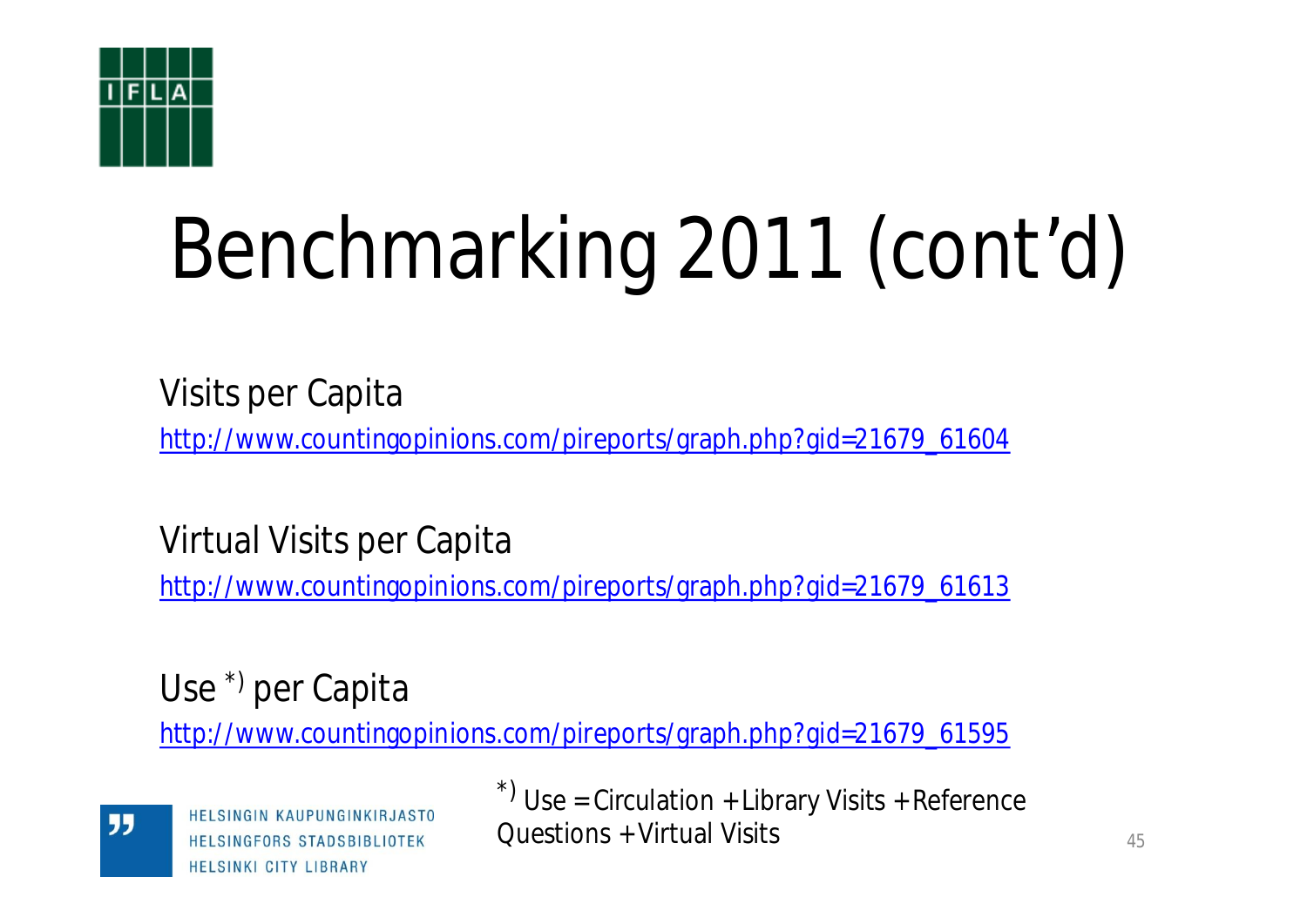![](_page_44_Picture_0.jpeg)

Visits per Capita

[http://www.countingopinions.com/pireports/graph.php?gid=21679\\_61604](http://www.countingopinions.com/pireports/graph.php?gid=21679_61604)

Virtual Visits per Capita

[http://www.countingopinions.com/pireports/graph.php?gid=21679\\_61613](http://www.countingopinions.com/pireports/graph.php?gid=21679_61613)

Use \*) per Capita

[http://www.countingopinions.com/pireports/graph.php?gid=21679\\_61595](http://www.countingopinions.com/pireports/graph.php?gid=21679_61595)

![](_page_44_Picture_8.jpeg)

**HELSINGIN KAUPUNGINKIRJASTO** HELSINGFORS STADSBIBLIOTEK **HELSINKI CITY LIBRARY** 

 $\alpha$ <sup>\*)</sup> Use = Circulation + Library Visits + Reference Questions + Virtual Visits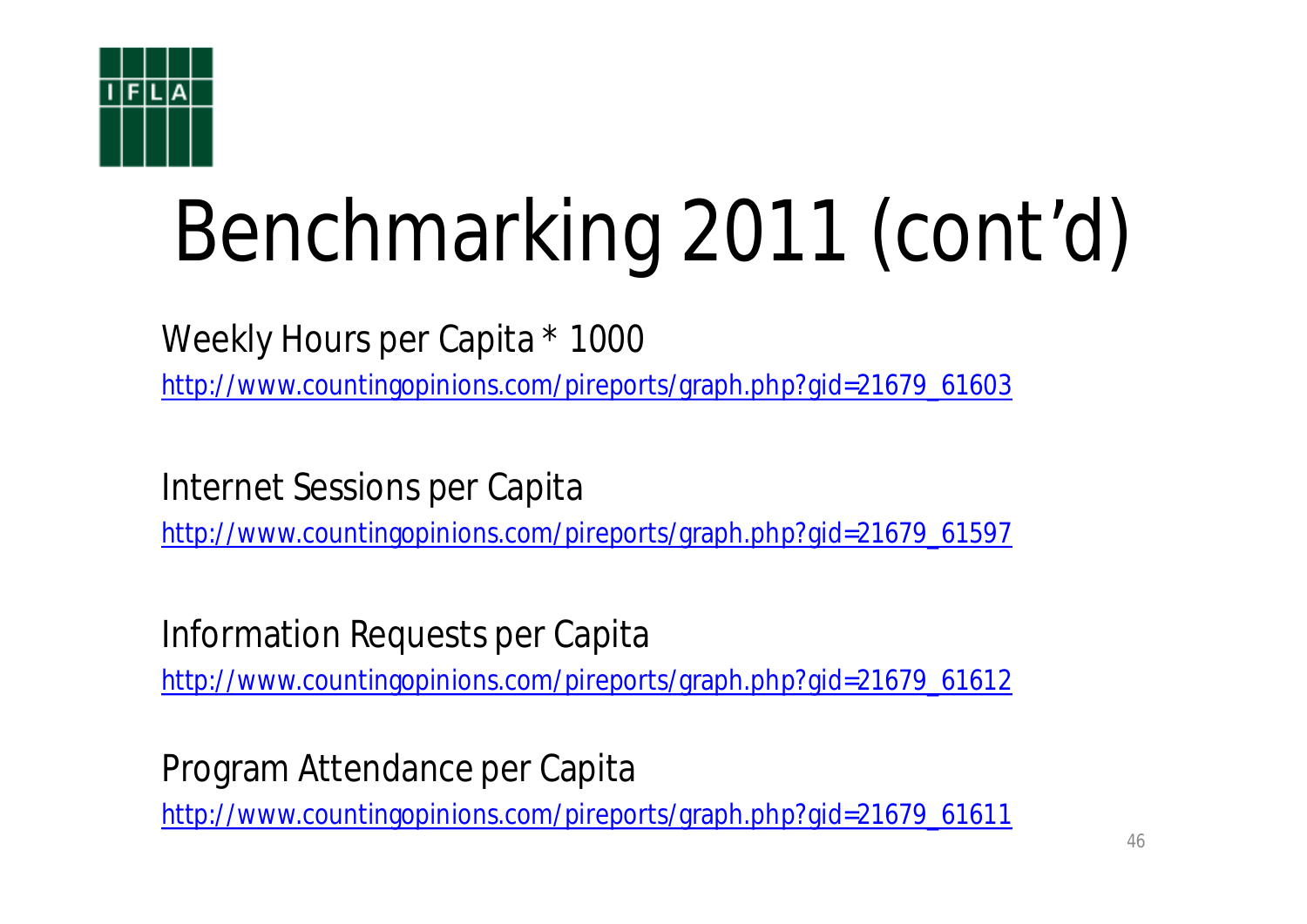![](_page_45_Picture_0.jpeg)

Weekly Hours per Capita \* 1000

[http://www.countingopinions.com/pireports/graph.php?gid=21679\\_61603](http://www.countingopinions.com/pireports/graph.php?gid=21679_61603)

Internet Sessions per Capita

[http://www.countingopinions.com/pireports/graph.php?gid=21679\\_61597](http://www.countingopinions.com/pireports/graph.php?gid=21679_61597)

Information Requests per Capita

[http://www.countingopinions.com/pireports/graph.php?gid=21679\\_61612](http://www.countingopinions.com/pireports/graph.php?gid=21679_61612)

Program Attendance per Capita

[http://www.countingopinions.com/pireports/graph.php?gid=21679\\_61611](http://www.countingopinions.com/pireports/graph.php?gid=21679_61611)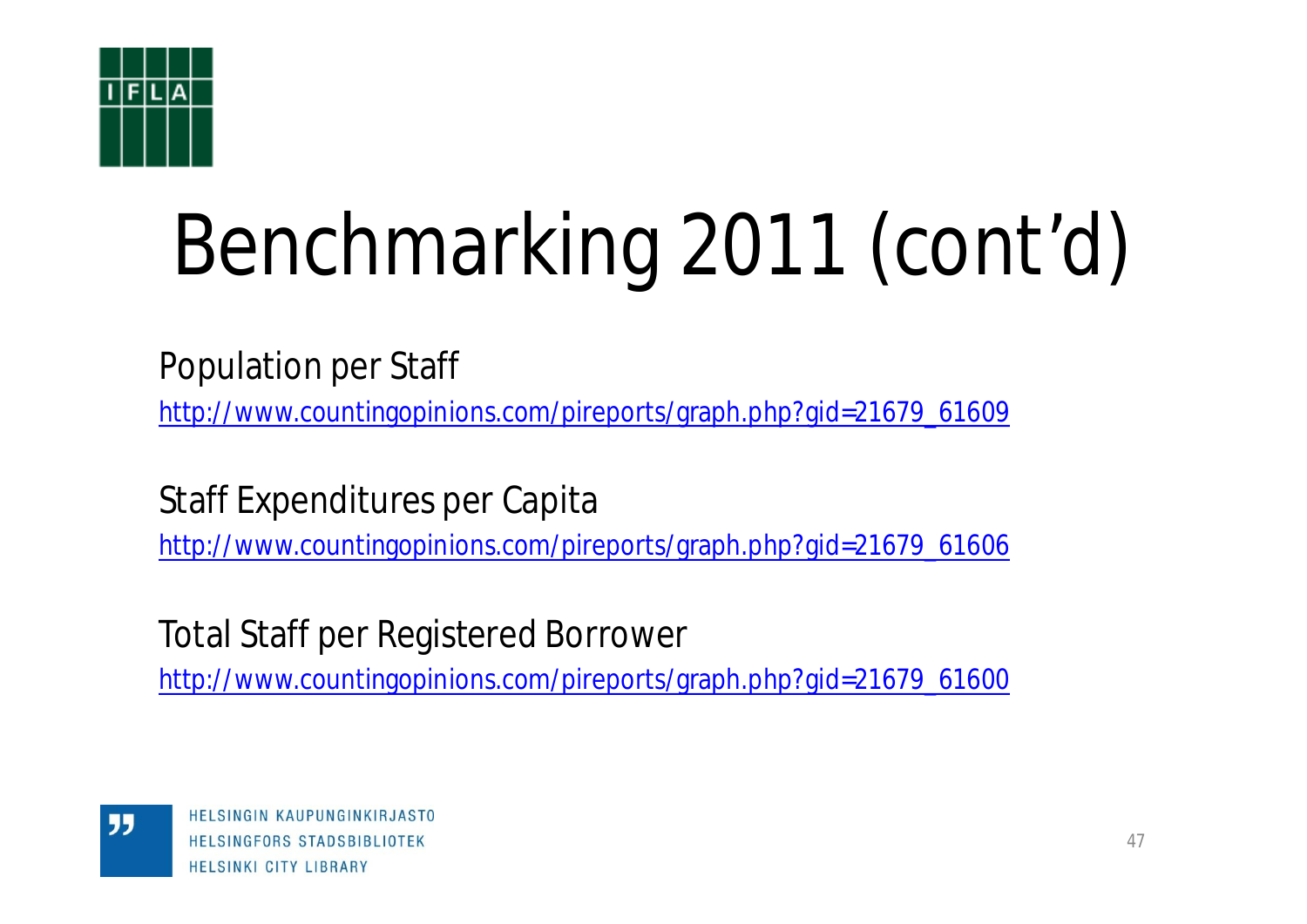![](_page_46_Picture_0.jpeg)

Population per Staff

[http://www.countingopinions.com/pireports/graph.php?gid=21679\\_61609](http://www.countingopinions.com/pireports/graph.php?gid=21679_61609)

Staff Expenditures per Capita

[http://www.countingopinions.com/pireports/graph.php?gid=21679\\_61606](http://www.countingopinions.com/pireports/graph.php?gid=21679_61606)

Total Staff per Registered Borrower

[http://www.countingopinions.com/pireports/graph.php?gid=21679\\_61600](http://www.countingopinions.com/pireports/graph.php?gid=21679_61600)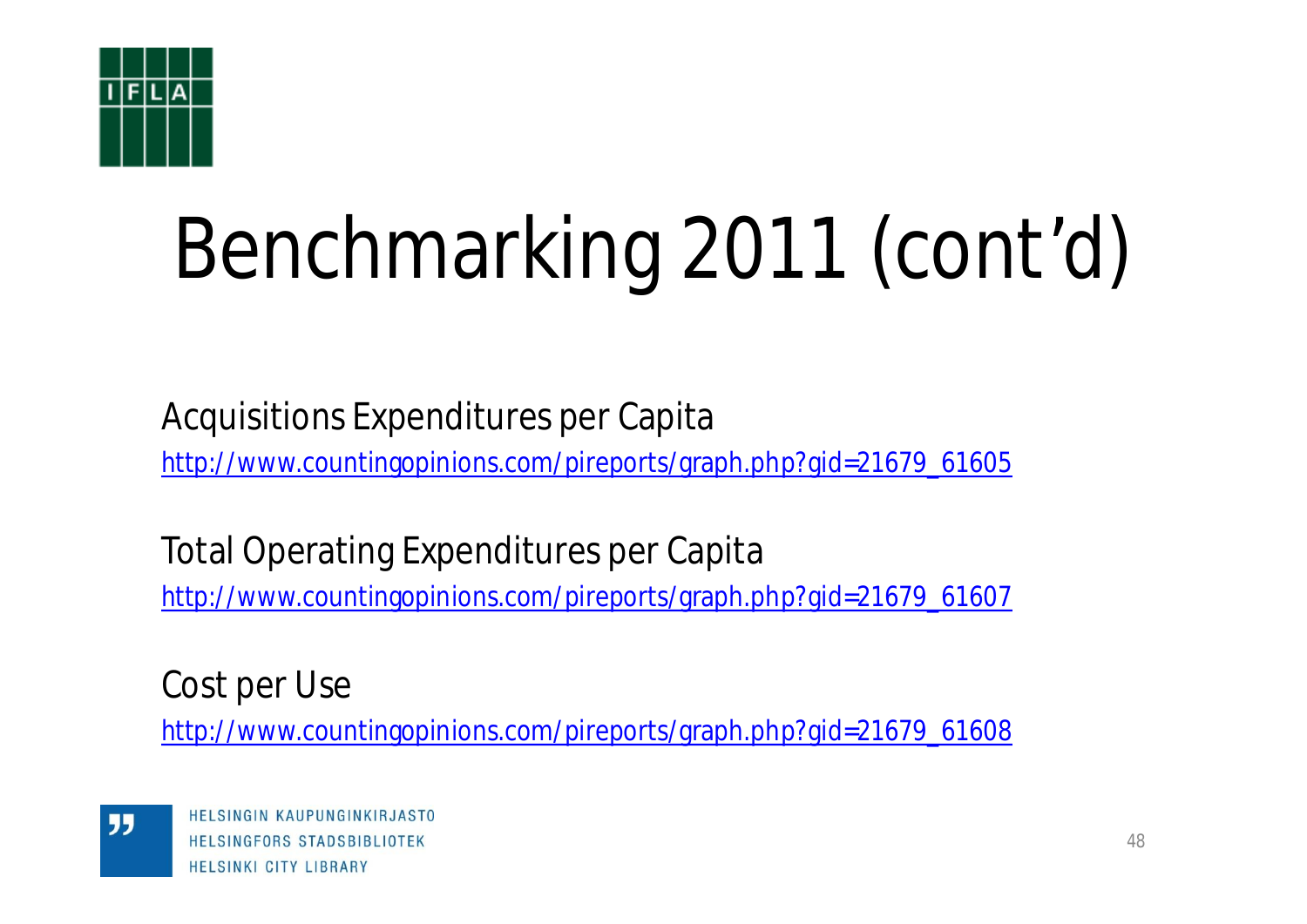![](_page_47_Picture_0.jpeg)

Acquisitions Expenditures per Capita

[http://www.countingopinions.com/pireports/graph.php?gid=21679\\_61605](http://www.countingopinions.com/pireports/graph.php?gid=21679_61605)

Total Operating Expenditures per Capita [http://www.countingopinions.com/pireports/graph.php?gid=21679\\_61607](http://www.countingopinions.com/pireports/graph.php?gid=21679_61607)

Cost per Use

[http://www.countingopinions.com/pireports/graph.php?gid=21679\\_61608](http://www.countingopinions.com/pireports/graph.php?gid=21679_61608)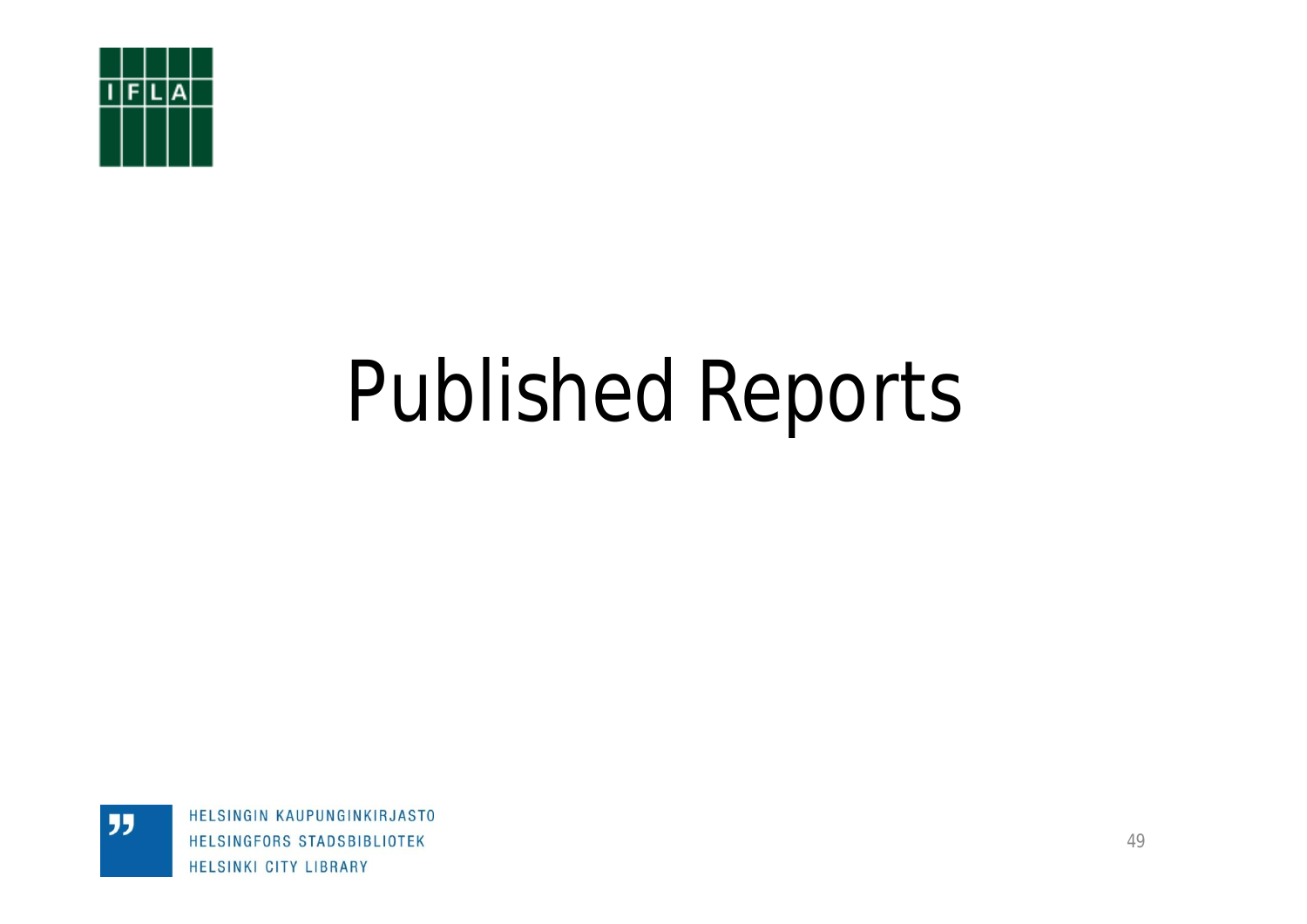![](_page_48_Picture_0.jpeg)

"

# Published Reports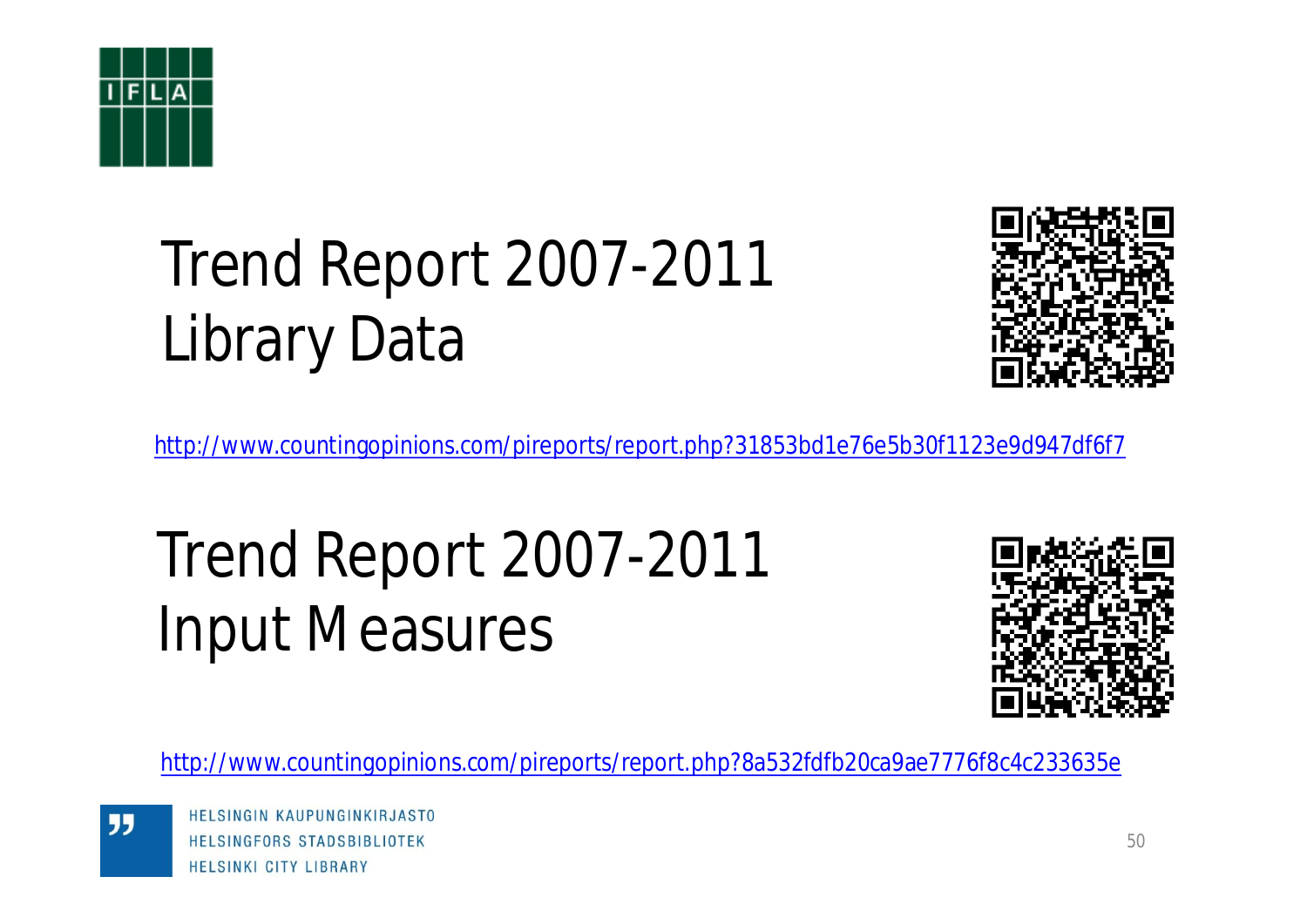![](_page_49_Picture_0.jpeg)

## Trend Report 2007-2011 Library Data

![](_page_49_Picture_2.jpeg)

<http://www.countingopinions.com/pireports/report.php?31853bd1e76e5b30f1123e9d947df6f7>

## Trend Report 2007-2011 Input Measures

![](_page_49_Picture_5.jpeg)

<http://www.countingopinions.com/pireports/report.php?8a532fdfb20ca9ae7776f8c4c233635e>

"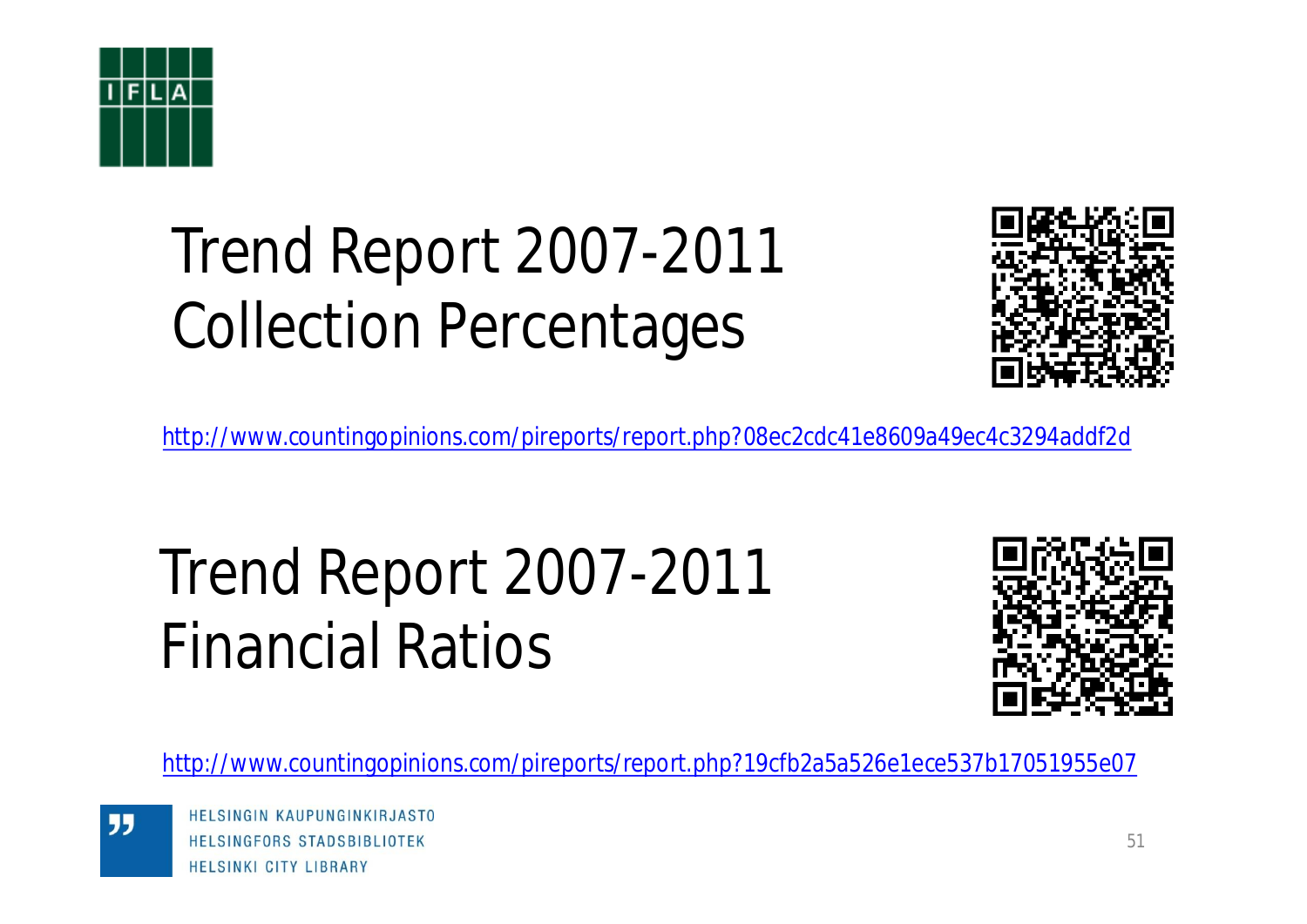![](_page_50_Picture_0.jpeg)

## Trend Report 2007-2011 Collection Percentages

![](_page_50_Picture_2.jpeg)

<http://www.countingopinions.com/pireports/report.php?08ec2cdc41e8609a49ec4c3294addf2d>

## Trend Report 2007-2011 Financial Ratios

![](_page_50_Picture_5.jpeg)

<http://www.countingopinions.com/pireports/report.php?19cfb2a5a526e1ece537b17051955e07>

HELSINGIN KAUPUNGINKIRJASTO HELSINGFORS STADSBIBLIOTEK **HELSINKI CITY LIBRARY**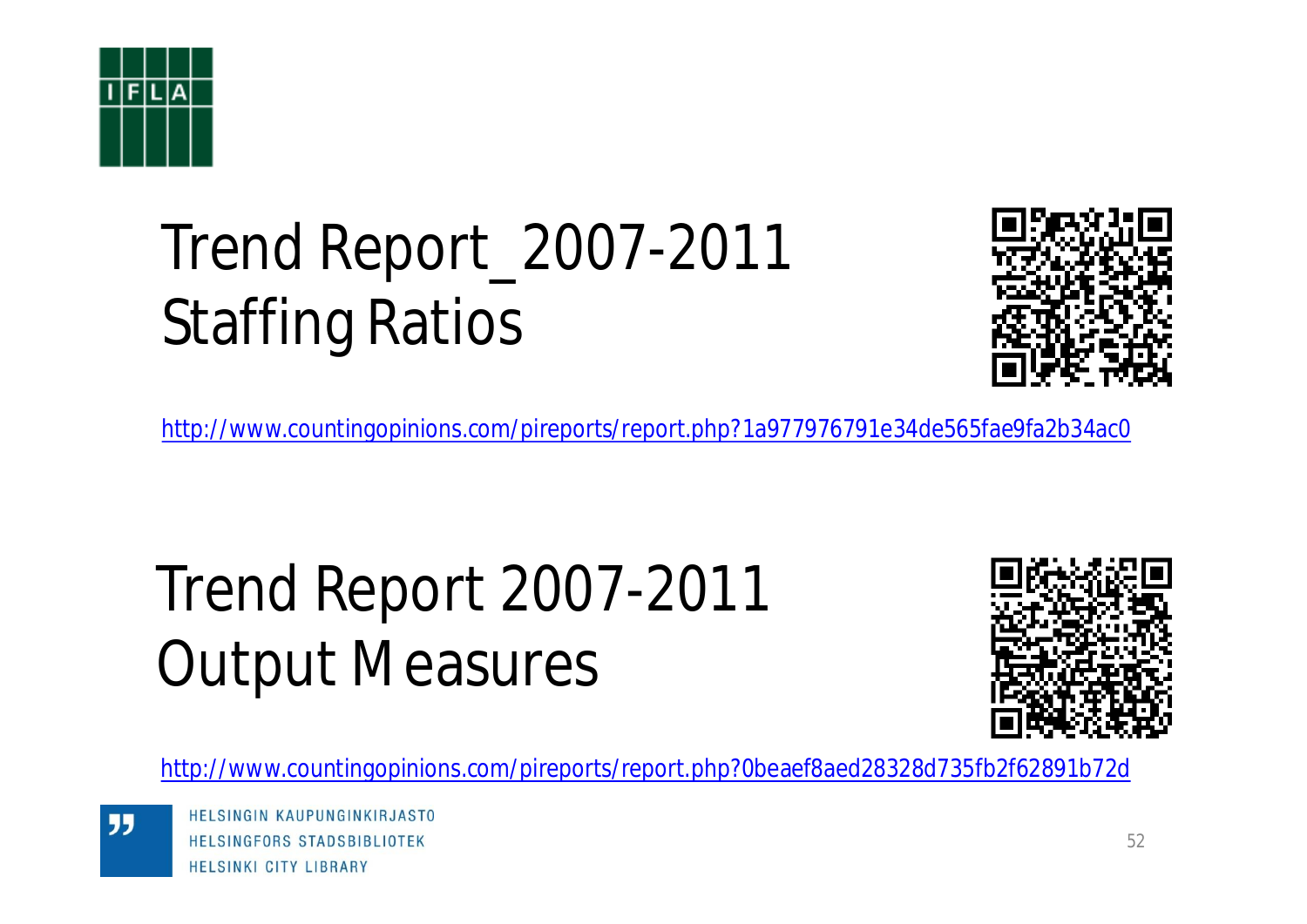![](_page_51_Picture_0.jpeg)

## Trend Report\_2007-2011 Staffing Ratios

![](_page_51_Picture_2.jpeg)

<http://www.countingopinions.com/pireports/report.php?1a977976791e34de565fae9fa2b34ac0>

## Trend Report 2007-2011 Output Measures

![](_page_51_Picture_5.jpeg)

<http://www.countingopinions.com/pireports/report.php?0beaef8aed28328d735fb2f62891b72d>

HELSINGIN KAUPUNGINKIRJASTO HELSINGFORS STADSBIBLIOTEK **HELSINKI CITY LIBRARY**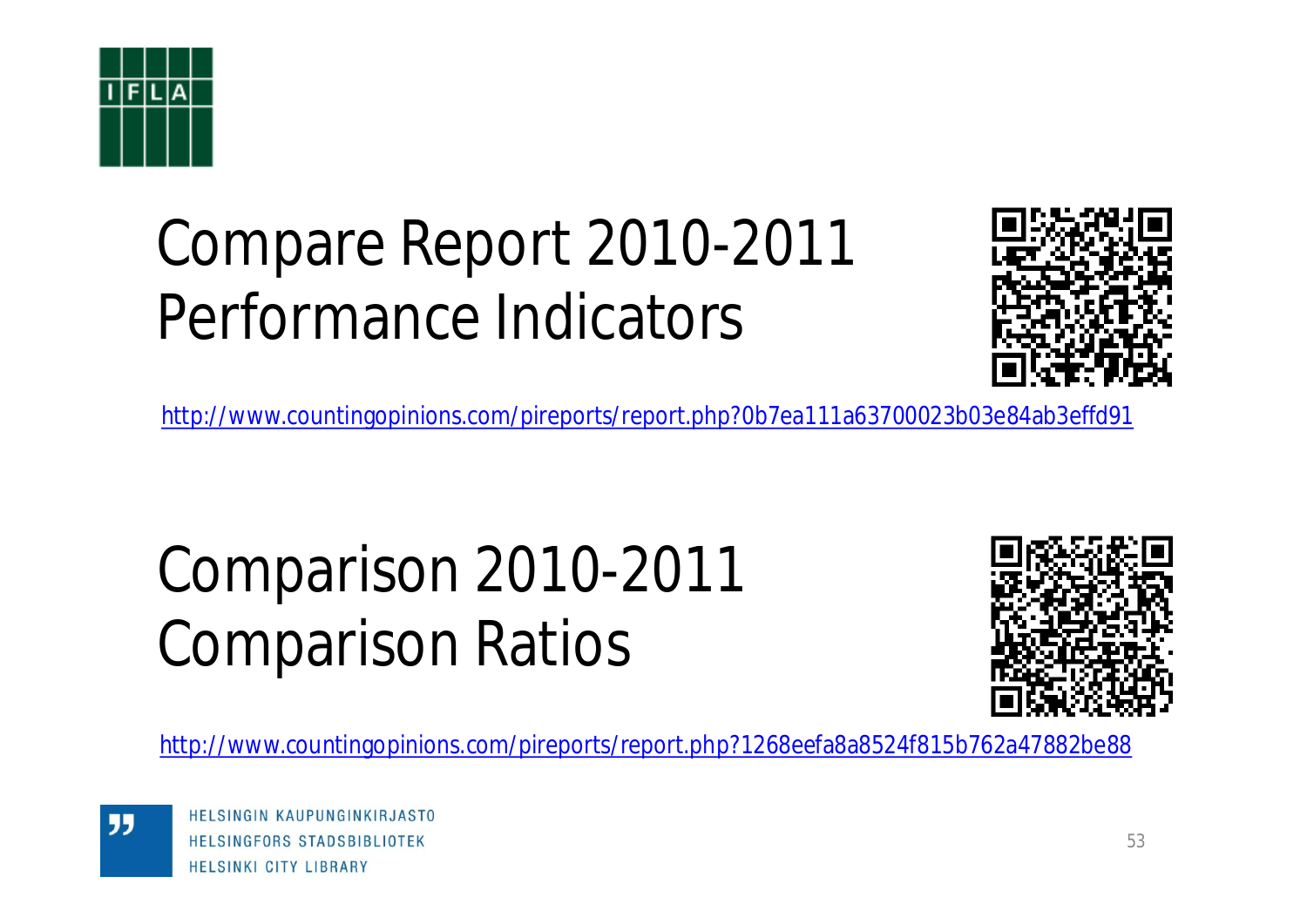![](_page_52_Picture_0.jpeg)

## Compare Report 2010-2011 Performance Indicators

![](_page_52_Picture_2.jpeg)

<http://www.countingopinions.com/pireports/report.php?0b7ea111a63700023b03e84ab3effd91>

## Comparison 2010-2011 Comparison Ratios

![](_page_52_Picture_5.jpeg)

<http://www.countingopinions.com/pireports/report.php?1268eefa8a8524f815b762a47882be88>

HELSINGIN KAUPUNGINKIRJASTO HELSINGFORS STADSBIBLIOTEK **HELSINKI CITY LIBRARY**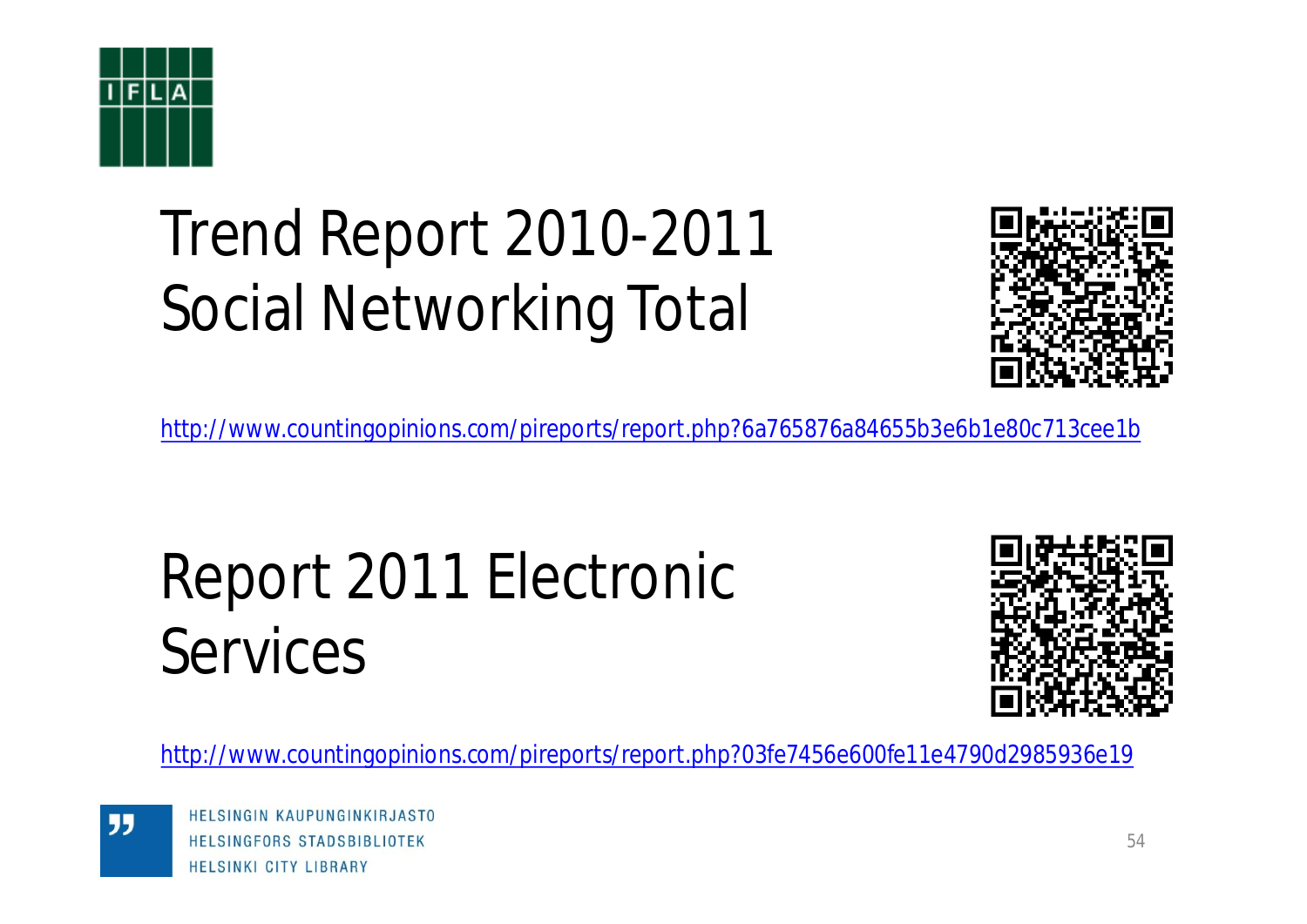![](_page_53_Picture_0.jpeg)

## Trend Report 2010-2011 Social Networking Total

![](_page_53_Picture_2.jpeg)

<http://www.countingopinions.com/pireports/report.php?6a765876a84655b3e6b1e80c713cee1b>

## Report 2011 Electronic Services

![](_page_53_Picture_5.jpeg)

<http://www.countingopinions.com/pireports/report.php?03fe7456e600fe11e4790d2985936e19>

HELSINGIN KAUPUNGINKIRJASTO HELSINGFORS STADSBIBLIOTEK **HELSINKI CITY LIBRARY**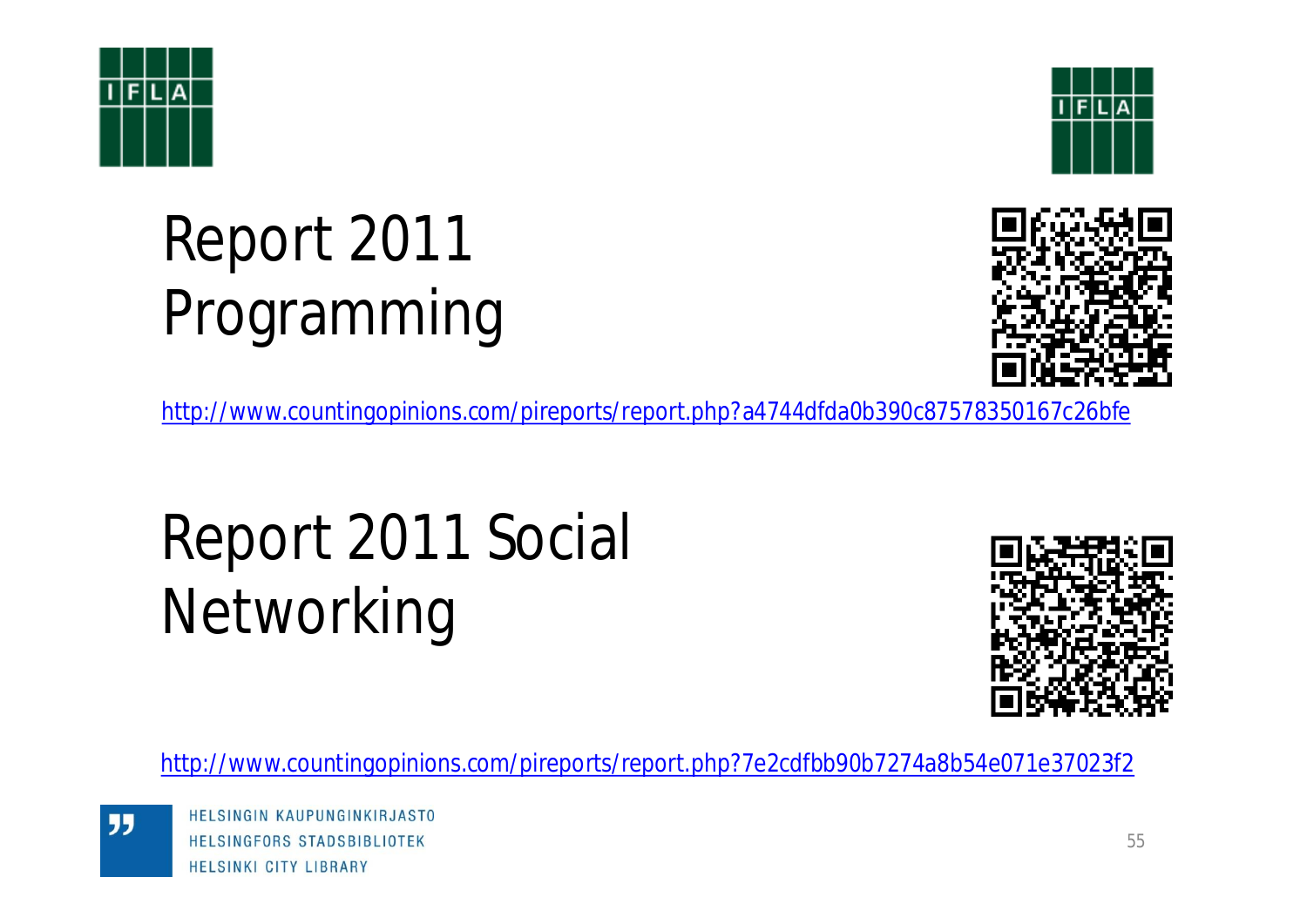![](_page_54_Picture_0.jpeg)

![](_page_54_Picture_1.jpeg)

## Report 2011 Programming

![](_page_54_Picture_3.jpeg)

<http://www.countingopinions.com/pireports/report.php?a4744dfda0b390c87578350167c26bfe>

## Report 2011 Social Networking

![](_page_54_Picture_6.jpeg)

<http://www.countingopinions.com/pireports/report.php?7e2cdfbb90b7274a8b54e071e37023f2>

![](_page_54_Picture_8.jpeg)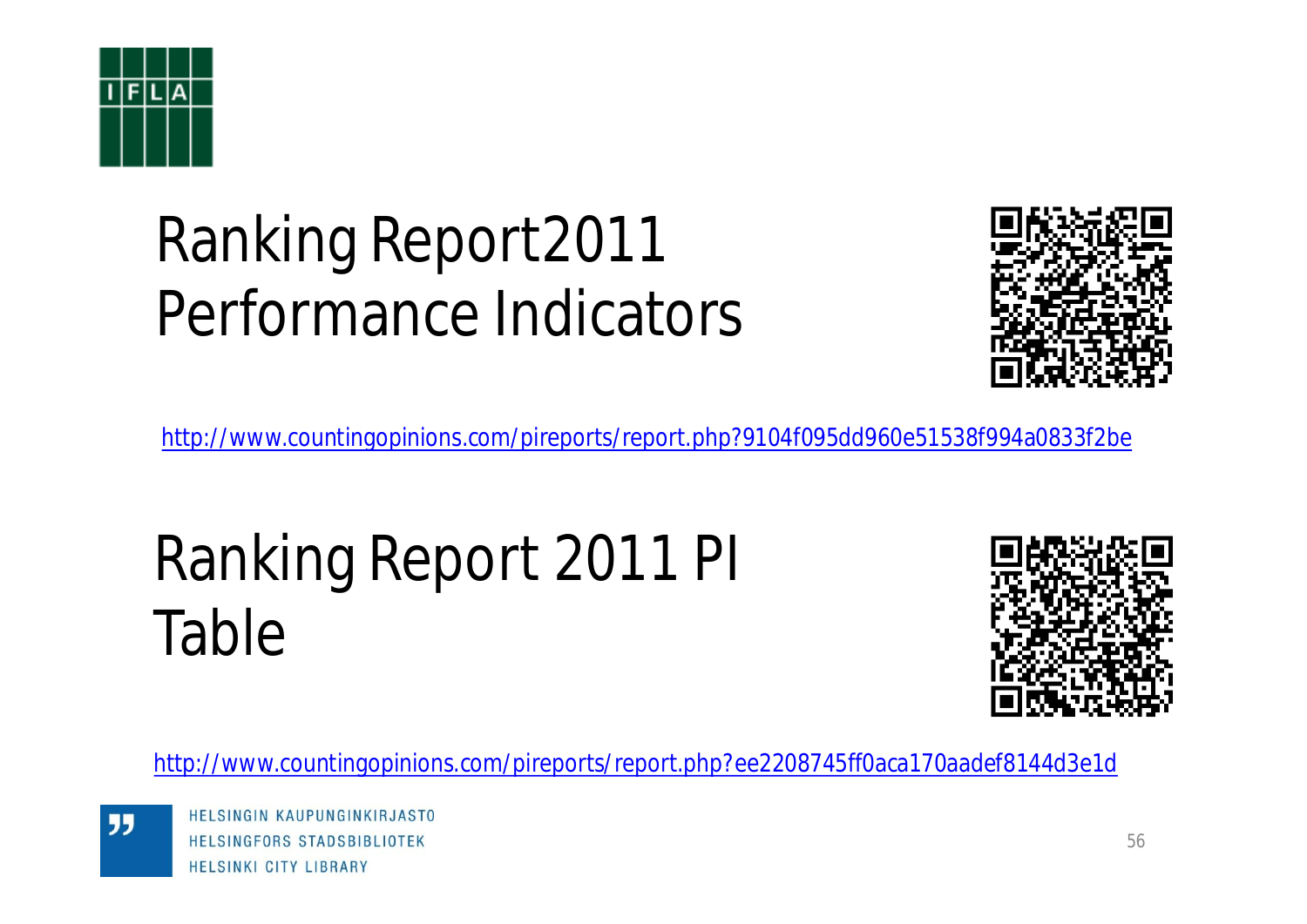![](_page_55_Picture_0.jpeg)

## Ranking Report2011 Performance Indicators

![](_page_55_Picture_2.jpeg)

<http://www.countingopinions.com/pireports/report.php?9104f095dd960e51538f994a0833f2be>

## Ranking Report 2011 PI Table

![](_page_55_Picture_5.jpeg)

<http://www.countingopinions.com/pireports/report.php?ee2208745ff0aca170aadef8144d3e1d>

![](_page_55_Picture_7.jpeg)